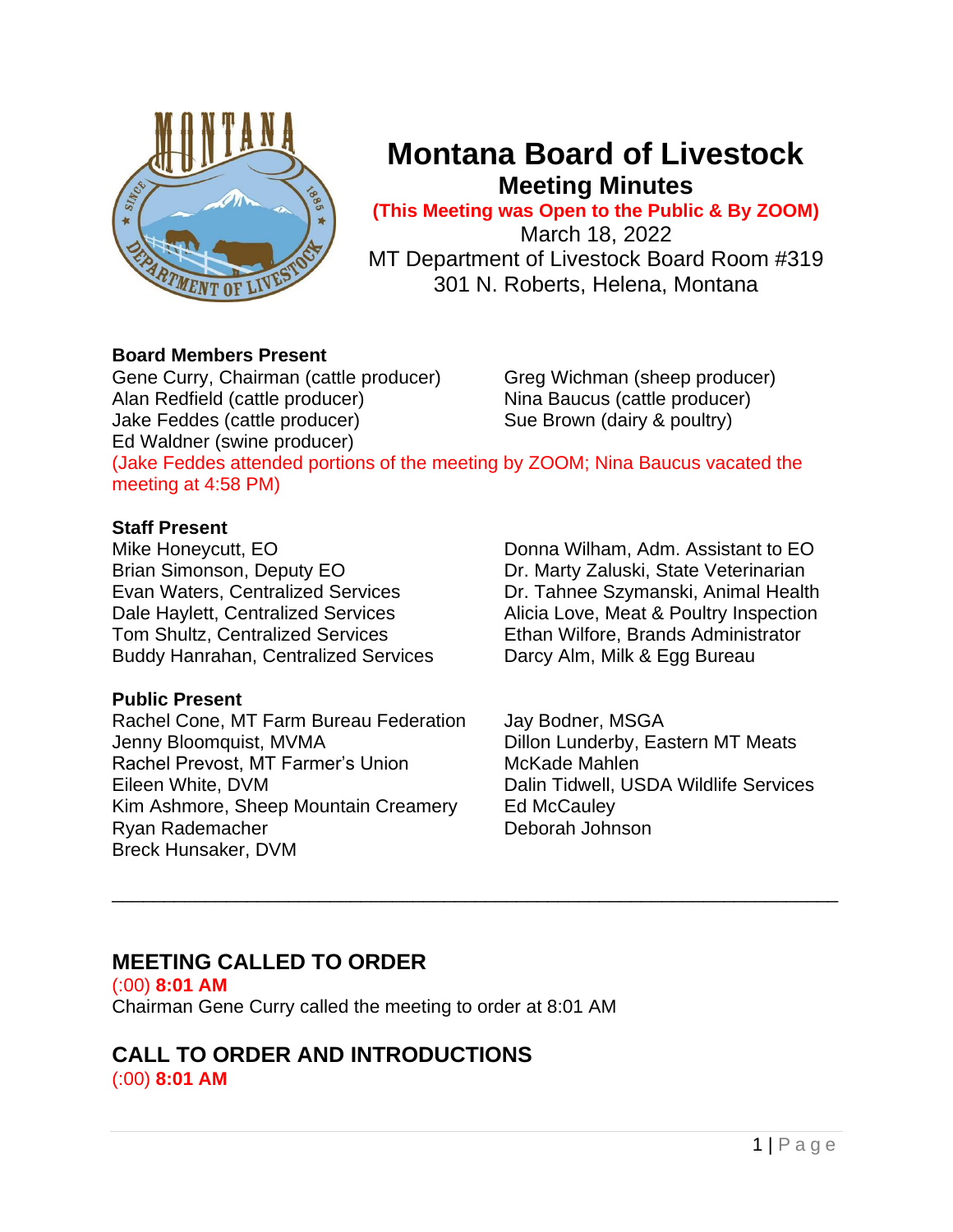

# **Montana Board of Livestock Meeting Minutes**

**(This Meeting was Open to the Public & By ZOOM)**

March 18, 2022 MT Department of Livestock Board Room #319 301 N. Roberts, Helena, Montana

## **Board Members Present**

Gene Curry, Chairman (cattle producer) Greg Wichman (sheep producer) Alan Redfield (cattle producer) Nina Baucus (cattle producer) Jake Feddes (cattle producer) Sue Brown (dairy & poultry) Ed Waldner (swine producer)

(Jake Feddes attended portions of the meeting by ZOOM; Nina Baucus vacated the meeting at 4:58 PM)

\_\_\_\_\_\_\_\_\_\_\_\_\_\_\_\_\_\_\_\_\_\_\_\_\_\_\_\_\_\_\_\_\_\_\_\_\_\_\_\_\_\_\_\_\_\_\_\_\_\_\_\_\_\_\_\_\_\_\_\_\_\_\_\_\_\_\_\_\_\_

## **Staff Present**

Mike Honeycutt, EO **Donna Wilham, Adm. Assistant to EO** Brian Simonson, Deputy EO **Dr. Marty Zaluski, State Veterinarian** Evan Waters, Centralized Services Dr. Tahnee Szymanski, Animal Health Dale Haylett, Centralized Services Alicia Love, Meat & Poultry Inspection Tom Shultz, Centralized Services Ethan Wilfore, Brands Administrator Buddy Hanrahan, Centralized Services Darcy Alm, Milk & Egg Bureau

## **Public Present**

Rachel Cone, MT Farm Bureau Federation Jay Bodner, MSGA Jenny Bloomquist, MVMA Dillon Lunderby, Eastern MT Meats Rachel Prevost, MT Farmer's Union McKade Mahlen Eileen White, DVM Dalin Tidwell, USDA Wildlife Services Kim Ashmore, Sheep Mountain Creamery Ed McCauley Ryan Rademacher **Deborah Johnson** Breck Hunsaker, DVM

# **MEETING CALLED TO ORDER**

(:00) **8:01 AM** Chairman Gene Curry called the meeting to order at 8:01 AM

## **CALL TO ORDER AND INTRODUCTIONS** (:00) **8:01 AM**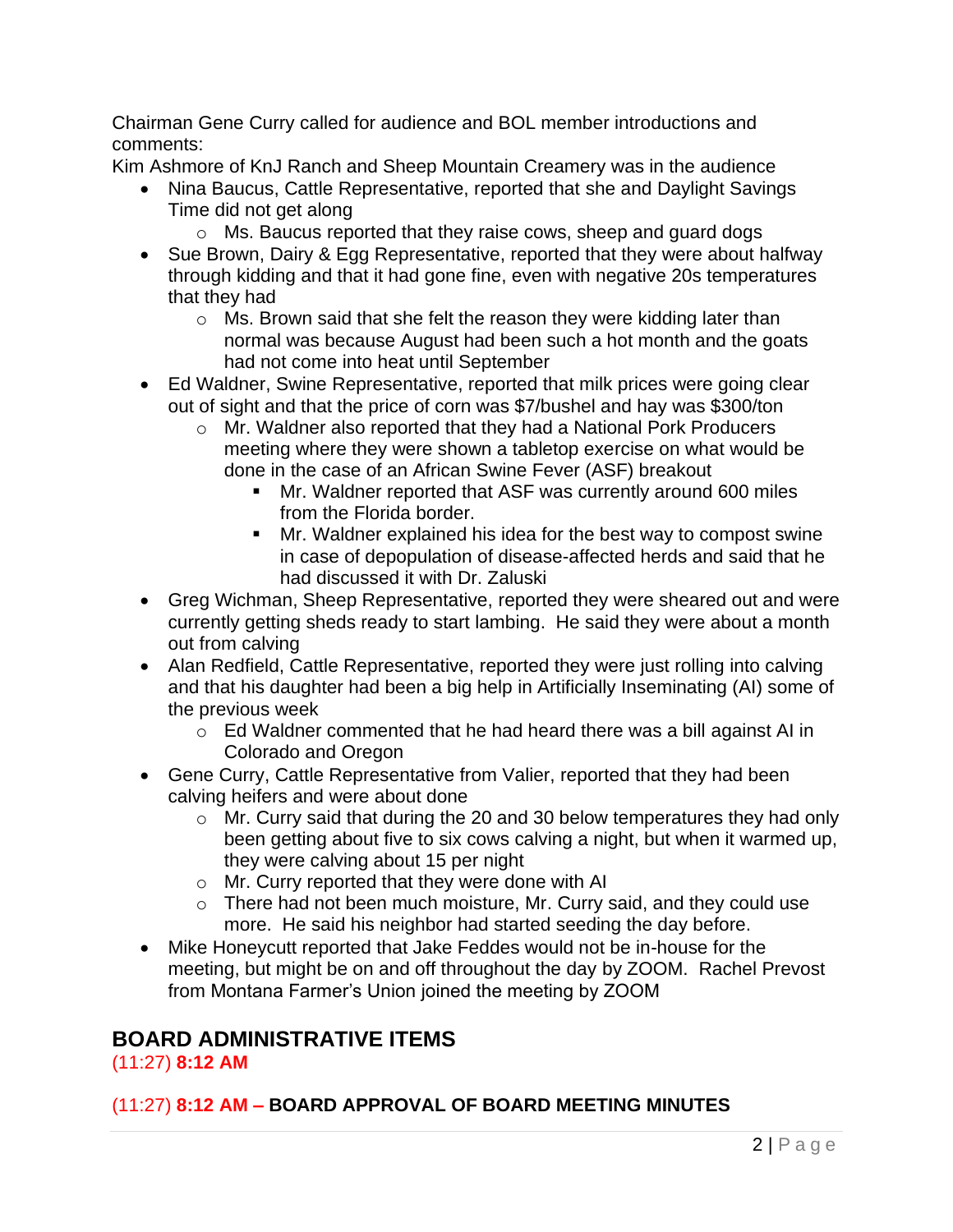Chairman Gene Curry called for audience and BOL member introductions and comments:

Kim Ashmore of KnJ Ranch and Sheep Mountain Creamery was in the audience

- Nina Baucus, Cattle Representative, reported that she and Daylight Savings Time did not get along
	- o Ms. Baucus reported that they raise cows, sheep and guard dogs
- Sue Brown, Dairy & Egg Representative, reported that they were about halfway through kidding and that it had gone fine, even with negative 20s temperatures that they had
	- o Ms. Brown said that she felt the reason they were kidding later than normal was because August had been such a hot month and the goats had not come into heat until September
- Ed Waldner, Swine Representative, reported that milk prices were going clear out of sight and that the price of corn was \$7/bushel and hay was \$300/ton
	- o Mr. Waldner also reported that they had a National Pork Producers meeting where they were shown a tabletop exercise on what would be done in the case of an African Swine Fever (ASF) breakout
		- Mr. Waldner reported that ASF was currently around 600 miles from the Florida border.
		- Mr. Waldner explained his idea for the best way to compost swine in case of depopulation of disease-affected herds and said that he had discussed it with Dr. Zaluski
- Greg Wichman, Sheep Representative, reported they were sheared out and were currently getting sheds ready to start lambing. He said they were about a month out from calving
- Alan Redfield, Cattle Representative, reported they were just rolling into calving and that his daughter had been a big help in Artificially Inseminating (AI) some of the previous week
	- o Ed Waldner commented that he had heard there was a bill against AI in Colorado and Oregon
- Gene Curry, Cattle Representative from Valier, reported that they had been calving heifers and were about done
	- o Mr. Curry said that during the 20 and 30 below temperatures they had only been getting about five to six cows calving a night, but when it warmed up, they were calving about 15 per night
	- o Mr. Curry reported that they were done with AI
	- o There had not been much moisture, Mr. Curry said, and they could use more. He said his neighbor had started seeding the day before.
- Mike Honeycutt reported that Jake Feddes would not be in-house for the meeting, but might be on and off throughout the day by ZOOM. Rachel Prevost from Montana Farmer's Union joined the meeting by ZOOM

# **BOARD ADMINISTRATIVE ITEMS**

(11:27) **8:12 AM**

## (11:27) **8:12 AM – BOARD APPROVAL OF BOARD MEETING MINUTES**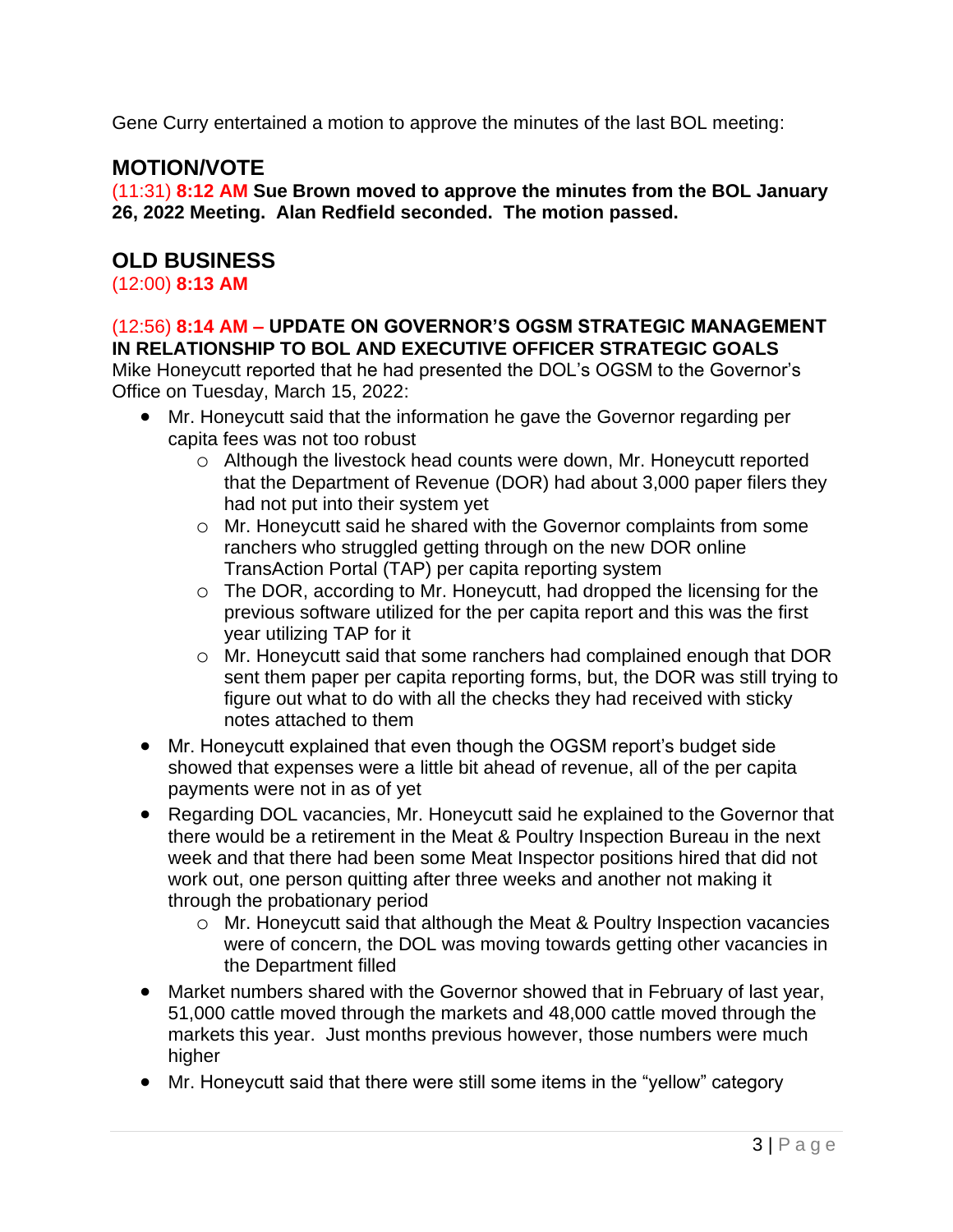Gene Curry entertained a motion to approve the minutes of the last BOL meeting:

# **MOTION/VOTE**

(11:31) **8:12 AM Sue Brown moved to approve the minutes from the BOL January 26, 2022 Meeting. Alan Redfield seconded. The motion passed.**

## **OLD BUSINESS**

(12:00) **8:13 AM**

#### (12:56) **8:14 AM – UPDATE ON GOVERNOR'S OGSM STRATEGIC MANAGEMENT IN RELATIONSHIP TO BOL AND EXECUTIVE OFFICER STRATEGIC GOALS**

Mike Honeycutt reported that he had presented the DOL's OGSM to the Governor's Office on Tuesday, March 15, 2022:

- Mr. Honeycutt said that the information he gave the Governor regarding per capita fees was not too robust
	- o Although the livestock head counts were down, Mr. Honeycutt reported that the Department of Revenue (DOR) had about 3,000 paper filers they had not put into their system yet
	- o Mr. Honeycutt said he shared with the Governor complaints from some ranchers who struggled getting through on the new DOR online TransAction Portal (TAP) per capita reporting system
	- o The DOR, according to Mr. Honeycutt, had dropped the licensing for the previous software utilized for the per capita report and this was the first year utilizing TAP for it
	- o Mr. Honeycutt said that some ranchers had complained enough that DOR sent them paper per capita reporting forms, but, the DOR was still trying to figure out what to do with all the checks they had received with sticky notes attached to them
- Mr. Honeycutt explained that even though the OGSM report's budget side showed that expenses were a little bit ahead of revenue, all of the per capita payments were not in as of yet
- Regarding DOL vacancies, Mr. Honeycutt said he explained to the Governor that there would be a retirement in the Meat & Poultry Inspection Bureau in the next week and that there had been some Meat Inspector positions hired that did not work out, one person quitting after three weeks and another not making it through the probationary period
	- o Mr. Honeycutt said that although the Meat & Poultry Inspection vacancies were of concern, the DOL was moving towards getting other vacancies in the Department filled
- Market numbers shared with the Governor showed that in February of last year, 51,000 cattle moved through the markets and 48,000 cattle moved through the markets this year. Just months previous however, those numbers were much higher
- Mr. Honeycutt said that there were still some items in the "yellow" category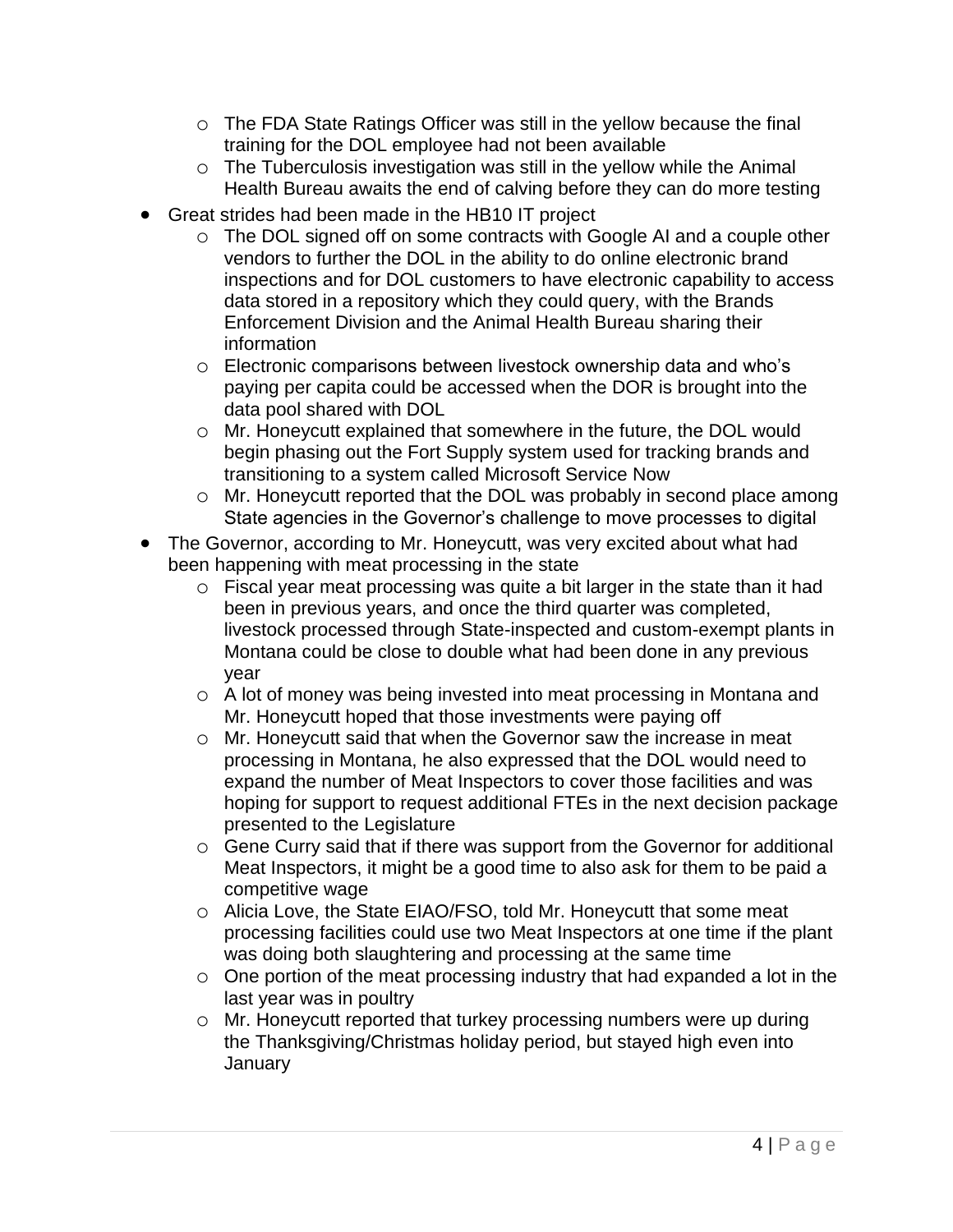- o The FDA State Ratings Officer was still in the yellow because the final training for the DOL employee had not been available
- o The Tuberculosis investigation was still in the yellow while the Animal Health Bureau awaits the end of calving before they can do more testing
- Great strides had been made in the HB10 IT project
	- o The DOL signed off on some contracts with Google AI and a couple other vendors to further the DOL in the ability to do online electronic brand inspections and for DOL customers to have electronic capability to access data stored in a repository which they could query, with the Brands Enforcement Division and the Animal Health Bureau sharing their information
	- o Electronic comparisons between livestock ownership data and who's paying per capita could be accessed when the DOR is brought into the data pool shared with DOL
	- o Mr. Honeycutt explained that somewhere in the future, the DOL would begin phasing out the Fort Supply system used for tracking brands and transitioning to a system called Microsoft Service Now
	- o Mr. Honeycutt reported that the DOL was probably in second place among State agencies in the Governor's challenge to move processes to digital
- The Governor, according to Mr. Honeycutt, was very excited about what had been happening with meat processing in the state
	- o Fiscal year meat processing was quite a bit larger in the state than it had been in previous years, and once the third quarter was completed, livestock processed through State-inspected and custom-exempt plants in Montana could be close to double what had been done in any previous year
	- o A lot of money was being invested into meat processing in Montana and Mr. Honeycutt hoped that those investments were paying off
	- o Mr. Honeycutt said that when the Governor saw the increase in meat processing in Montana, he also expressed that the DOL would need to expand the number of Meat Inspectors to cover those facilities and was hoping for support to request additional FTEs in the next decision package presented to the Legislature
	- o Gene Curry said that if there was support from the Governor for additional Meat Inspectors, it might be a good time to also ask for them to be paid a competitive wage
	- o Alicia Love, the State EIAO/FSO, told Mr. Honeycutt that some meat processing facilities could use two Meat Inspectors at one time if the plant was doing both slaughtering and processing at the same time
	- o One portion of the meat processing industry that had expanded a lot in the last year was in poultry
	- o Mr. Honeycutt reported that turkey processing numbers were up during the Thanksgiving/Christmas holiday period, but stayed high even into **January**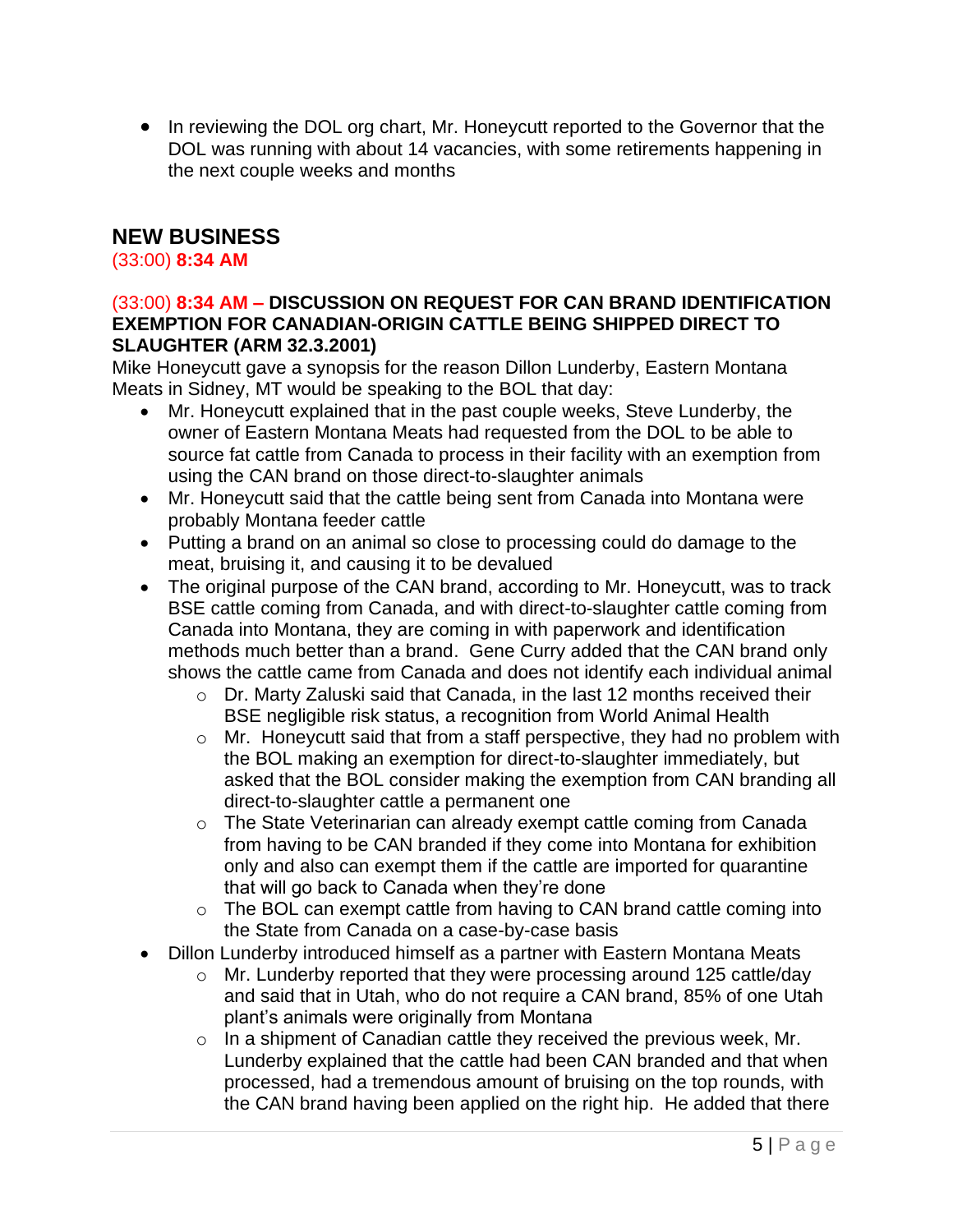• In reviewing the DOL org chart, Mr. Honeycutt reported to the Governor that the DOL was running with about 14 vacancies, with some retirements happening in the next couple weeks and months

# **NEW BUSINESS**

(33:00) **8:34 AM**

#### (33:00) **8:34 AM – DISCUSSION ON REQUEST FOR CAN BRAND IDENTIFICATION EXEMPTION FOR CANADIAN-ORIGIN CATTLE BEING SHIPPED DIRECT TO SLAUGHTER (ARM 32.3.2001)**

Mike Honeycutt gave a synopsis for the reason Dillon Lunderby, Eastern Montana Meats in Sidney, MT would be speaking to the BOL that day:

- Mr. Honeycutt explained that in the past couple weeks, Steve Lunderby, the owner of Eastern Montana Meats had requested from the DOL to be able to source fat cattle from Canada to process in their facility with an exemption from using the CAN brand on those direct-to-slaughter animals
- Mr. Honeycutt said that the cattle being sent from Canada into Montana were probably Montana feeder cattle
- Putting a brand on an animal so close to processing could do damage to the meat, bruising it, and causing it to be devalued
- The original purpose of the CAN brand, according to Mr. Honeycutt, was to track BSE cattle coming from Canada, and with direct-to-slaughter cattle coming from Canada into Montana, they are coming in with paperwork and identification methods much better than a brand. Gene Curry added that the CAN brand only shows the cattle came from Canada and does not identify each individual animal
	- o Dr. Marty Zaluski said that Canada, in the last 12 months received their BSE negligible risk status, a recognition from World Animal Health
	- o Mr. Honeycutt said that from a staff perspective, they had no problem with the BOL making an exemption for direct-to-slaughter immediately, but asked that the BOL consider making the exemption from CAN branding all direct-to-slaughter cattle a permanent one
	- o The State Veterinarian can already exempt cattle coming from Canada from having to be CAN branded if they come into Montana for exhibition only and also can exempt them if the cattle are imported for quarantine that will go back to Canada when they're done
	- o The BOL can exempt cattle from having to CAN brand cattle coming into the State from Canada on a case-by-case basis
- Dillon Lunderby introduced himself as a partner with Eastern Montana Meats
	- o Mr. Lunderby reported that they were processing around 125 cattle/day and said that in Utah, who do not require a CAN brand, 85% of one Utah plant's animals were originally from Montana
	- $\circ$  In a shipment of Canadian cattle they received the previous week, Mr. Lunderby explained that the cattle had been CAN branded and that when processed, had a tremendous amount of bruising on the top rounds, with the CAN brand having been applied on the right hip. He added that there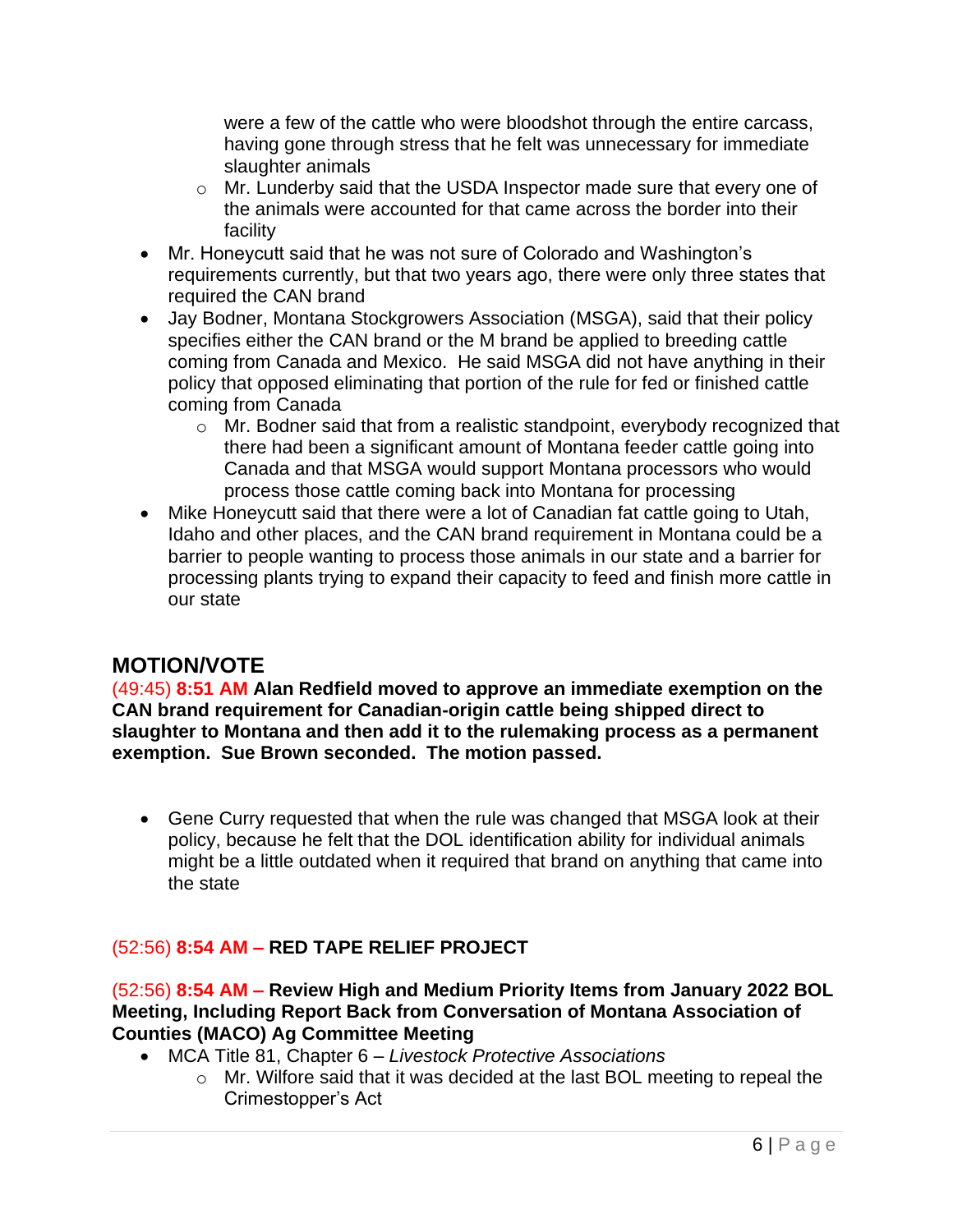were a few of the cattle who were bloodshot through the entire carcass, having gone through stress that he felt was unnecessary for immediate slaughter animals

- o Mr. Lunderby said that the USDA Inspector made sure that every one of the animals were accounted for that came across the border into their facility
- Mr. Honeycutt said that he was not sure of Colorado and Washington's requirements currently, but that two years ago, there were only three states that required the CAN brand
- Jay Bodner, Montana Stockgrowers Association (MSGA), said that their policy specifies either the CAN brand or the M brand be applied to breeding cattle coming from Canada and Mexico. He said MSGA did not have anything in their policy that opposed eliminating that portion of the rule for fed or finished cattle coming from Canada
	- o Mr. Bodner said that from a realistic standpoint, everybody recognized that there had been a significant amount of Montana feeder cattle going into Canada and that MSGA would support Montana processors who would process those cattle coming back into Montana for processing
- Mike Honeycutt said that there were a lot of Canadian fat cattle going to Utah, Idaho and other places, and the CAN brand requirement in Montana could be a barrier to people wanting to process those animals in our state and a barrier for processing plants trying to expand their capacity to feed and finish more cattle in our state

# **MOTION/VOTE**

(49:45) **8:51 AM Alan Redfield moved to approve an immediate exemption on the CAN brand requirement for Canadian-origin cattle being shipped direct to slaughter to Montana and then add it to the rulemaking process as a permanent exemption. Sue Brown seconded. The motion passed.**

• Gene Curry requested that when the rule was changed that MSGA look at their policy, because he felt that the DOL identification ability for individual animals might be a little outdated when it required that brand on anything that came into the state

## (52:56) **8:54 AM – RED TAPE RELIEF PROJECT**

(52:56) **8:54 AM – Review High and Medium Priority Items from January 2022 BOL Meeting, Including Report Back from Conversation of Montana Association of Counties (MACO) Ag Committee Meeting**

- MCA Title 81, Chapter 6 *– Livestock Protective Associations*
	- o Mr. Wilfore said that it was decided at the last BOL meeting to repeal the Crimestopper's Act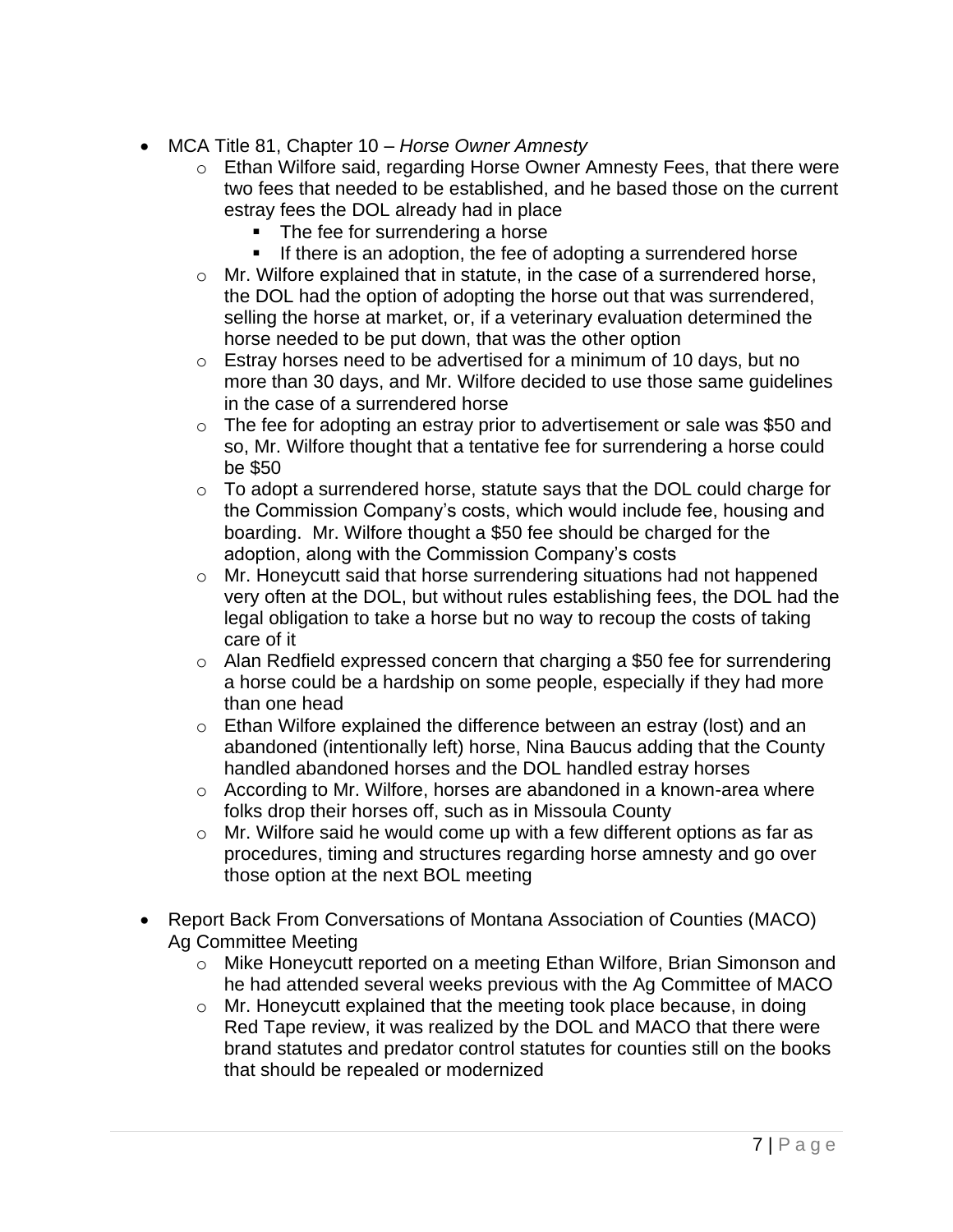- MCA Title 81, Chapter 10 *Horse Owner Amnesty*
	- o Ethan Wilfore said, regarding Horse Owner Amnesty Fees, that there were two fees that needed to be established, and he based those on the current estray fees the DOL already had in place
		- The fee for surrendering a horse
		- **EXECT** If there is an adoption, the fee of adopting a surrendered horse
	- o Mr. Wilfore explained that in statute, in the case of a surrendered horse, the DOL had the option of adopting the horse out that was surrendered, selling the horse at market, or, if a veterinary evaluation determined the horse needed to be put down, that was the other option
	- $\circ$  Estray horses need to be advertised for a minimum of 10 days, but no more than 30 days, and Mr. Wilfore decided to use those same guidelines in the case of a surrendered horse
	- $\circ$  The fee for adopting an estray prior to advertisement or sale was \$50 and so, Mr. Wilfore thought that a tentative fee for surrendering a horse could be \$50
	- o To adopt a surrendered horse, statute says that the DOL could charge for the Commission Company's costs, which would include fee, housing and boarding. Mr. Wilfore thought a \$50 fee should be charged for the adoption, along with the Commission Company's costs
	- o Mr. Honeycutt said that horse surrendering situations had not happened very often at the DOL, but without rules establishing fees, the DOL had the legal obligation to take a horse but no way to recoup the costs of taking care of it
	- o Alan Redfield expressed concern that charging a \$50 fee for surrendering a horse could be a hardship on some people, especially if they had more than one head
	- $\circ$  Ethan Wilfore explained the difference between an estray (lost) and an abandoned (intentionally left) horse, Nina Baucus adding that the County handled abandoned horses and the DOL handled estray horses
	- o According to Mr. Wilfore, horses are abandoned in a known-area where folks drop their horses off, such as in Missoula County
	- o Mr. Wilfore said he would come up with a few different options as far as procedures, timing and structures regarding horse amnesty and go over those option at the next BOL meeting
- Report Back From Conversations of Montana Association of Counties (MACO) Ag Committee Meeting
	- o Mike Honeycutt reported on a meeting Ethan Wilfore, Brian Simonson and he had attended several weeks previous with the Ag Committee of MACO
	- o Mr. Honeycutt explained that the meeting took place because, in doing Red Tape review, it was realized by the DOL and MACO that there were brand statutes and predator control statutes for counties still on the books that should be repealed or modernized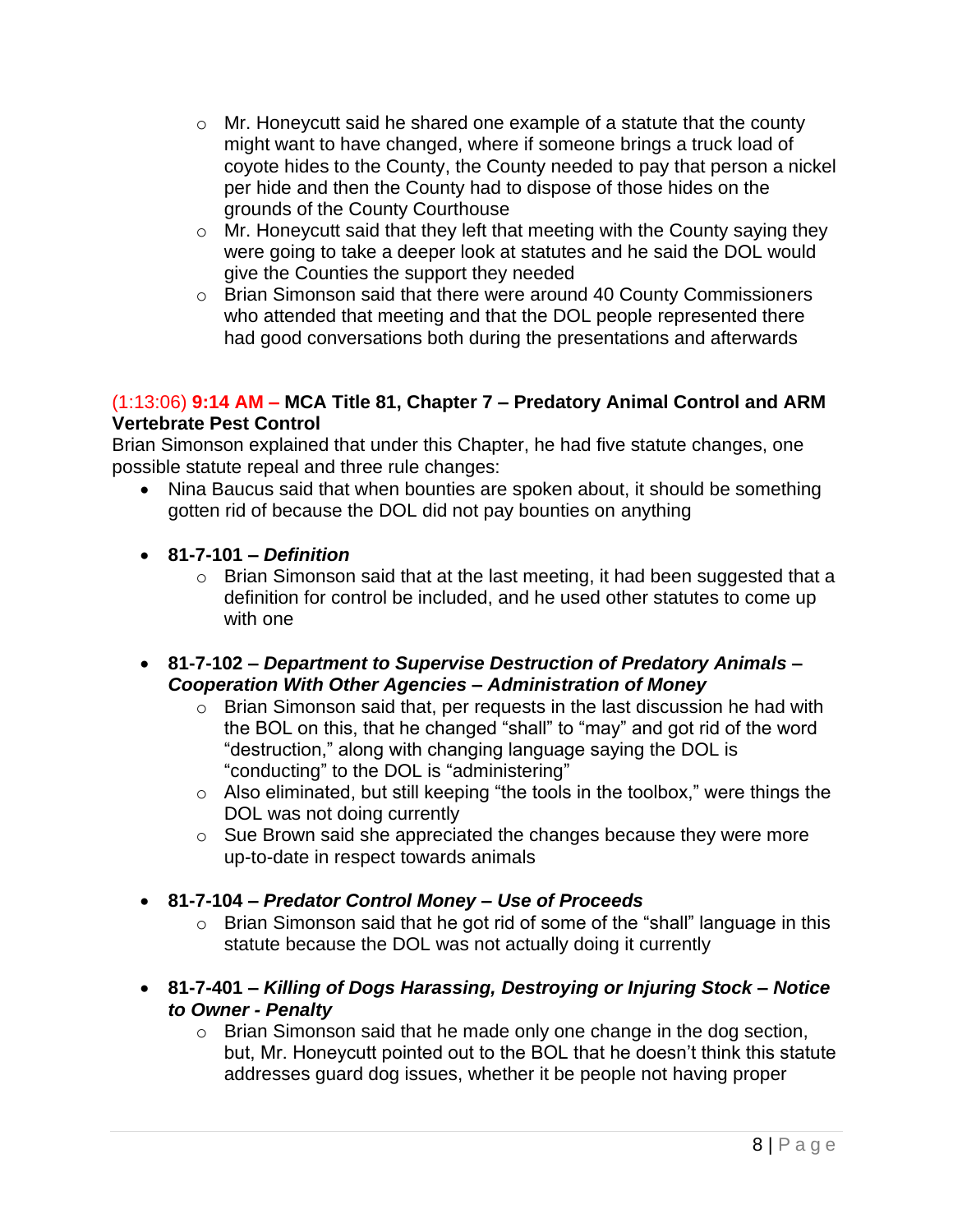- o Mr. Honeycutt said he shared one example of a statute that the county might want to have changed, where if someone brings a truck load of coyote hides to the County, the County needed to pay that person a nickel per hide and then the County had to dispose of those hides on the grounds of the County Courthouse
- o Mr. Honeycutt said that they left that meeting with the County saying they were going to take a deeper look at statutes and he said the DOL would give the Counties the support they needed
- o Brian Simonson said that there were around 40 County Commissioners who attended that meeting and that the DOL people represented there had good conversations both during the presentations and afterwards

#### (1:13:06) **9:14 AM – MCA Title 81, Chapter 7 – Predatory Animal Control and ARM Vertebrate Pest Control**

Brian Simonson explained that under this Chapter, he had five statute changes, one possible statute repeal and three rule changes:

- Nina Baucus said that when bounties are spoken about, it should be something gotten rid of because the DOL did not pay bounties on anything
- **81-7-101 –** *Definition*
	- o Brian Simonson said that at the last meeting, it had been suggested that a definition for control be included, and he used other statutes to come up with one
- **81-7-102 –** *Department to Supervise Destruction of Predatory Animals – Cooperation With Other Agencies – Administration of Money*
	- $\circ$  Brian Simonson said that, per requests in the last discussion he had with the BOL on this, that he changed "shall" to "may" and got rid of the word "destruction," along with changing language saying the DOL is "conducting" to the DOL is "administering"
	- o Also eliminated, but still keeping "the tools in the toolbox," were things the DOL was not doing currently
	- o Sue Brown said she appreciated the changes because they were more up-to-date in respect towards animals
- **81-7-104 –** *Predator Control Money – Use of Proceeds*
	- o Brian Simonson said that he got rid of some of the "shall" language in this statute because the DOL was not actually doing it currently
- **81-7-401 –** *Killing of Dogs Harassing, Destroying or Injuring Stock – Notice to Owner - Penalty*
	- o Brian Simonson said that he made only one change in the dog section, but, Mr. Honeycutt pointed out to the BOL that he doesn't think this statute addresses guard dog issues, whether it be people not having proper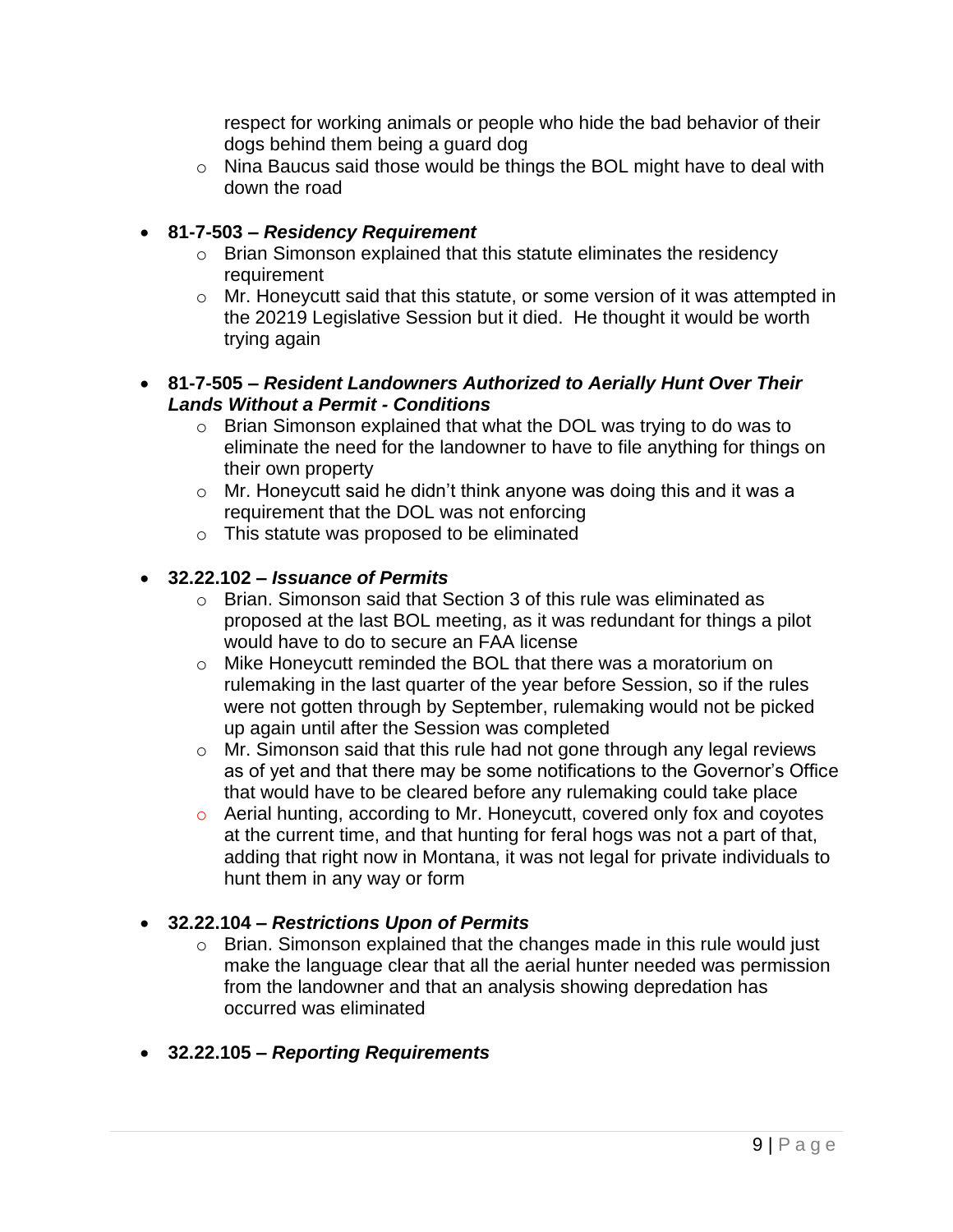respect for working animals or people who hide the bad behavior of their dogs behind them being a guard dog

o Nina Baucus said those would be things the BOL might have to deal with down the road

## • **81-7-503 –** *Residency Requirement*

- o Brian Simonson explained that this statute eliminates the residency requirement
- o Mr. Honeycutt said that this statute, or some version of it was attempted in the 20219 Legislative Session but it died. He thought it would be worth trying again

#### • **81-7-505 –** *Resident Landowners Authorized to Aerially Hunt Over Their Lands Without a Permit - Conditions*

- o Brian Simonson explained that what the DOL was trying to do was to eliminate the need for the landowner to have to file anything for things on their own property
- o Mr. Honeycutt said he didn't think anyone was doing this and it was a requirement that the DOL was not enforcing
- o This statute was proposed to be eliminated

## • **32.22.102 –** *Issuance of Permits*

- o Brian. Simonson said that Section 3 of this rule was eliminated as proposed at the last BOL meeting, as it was redundant for things a pilot would have to do to secure an FAA license
- o Mike Honeycutt reminded the BOL that there was a moratorium on rulemaking in the last quarter of the year before Session, so if the rules were not gotten through by September, rulemaking would not be picked up again until after the Session was completed
- o Mr. Simonson said that this rule had not gone through any legal reviews as of yet and that there may be some notifications to the Governor's Office that would have to be cleared before any rulemaking could take place
- o Aerial hunting, according to Mr. Honeycutt, covered only fox and coyotes at the current time, and that hunting for feral hogs was not a part of that, adding that right now in Montana, it was not legal for private individuals to hunt them in any way or form

## • **32.22.104 –** *Restrictions Upon of Permits*

o Brian. Simonson explained that the changes made in this rule would just make the language clear that all the aerial hunter needed was permission from the landowner and that an analysis showing depredation has occurred was eliminated

## • **32.22.105 –** *Reporting Requirements*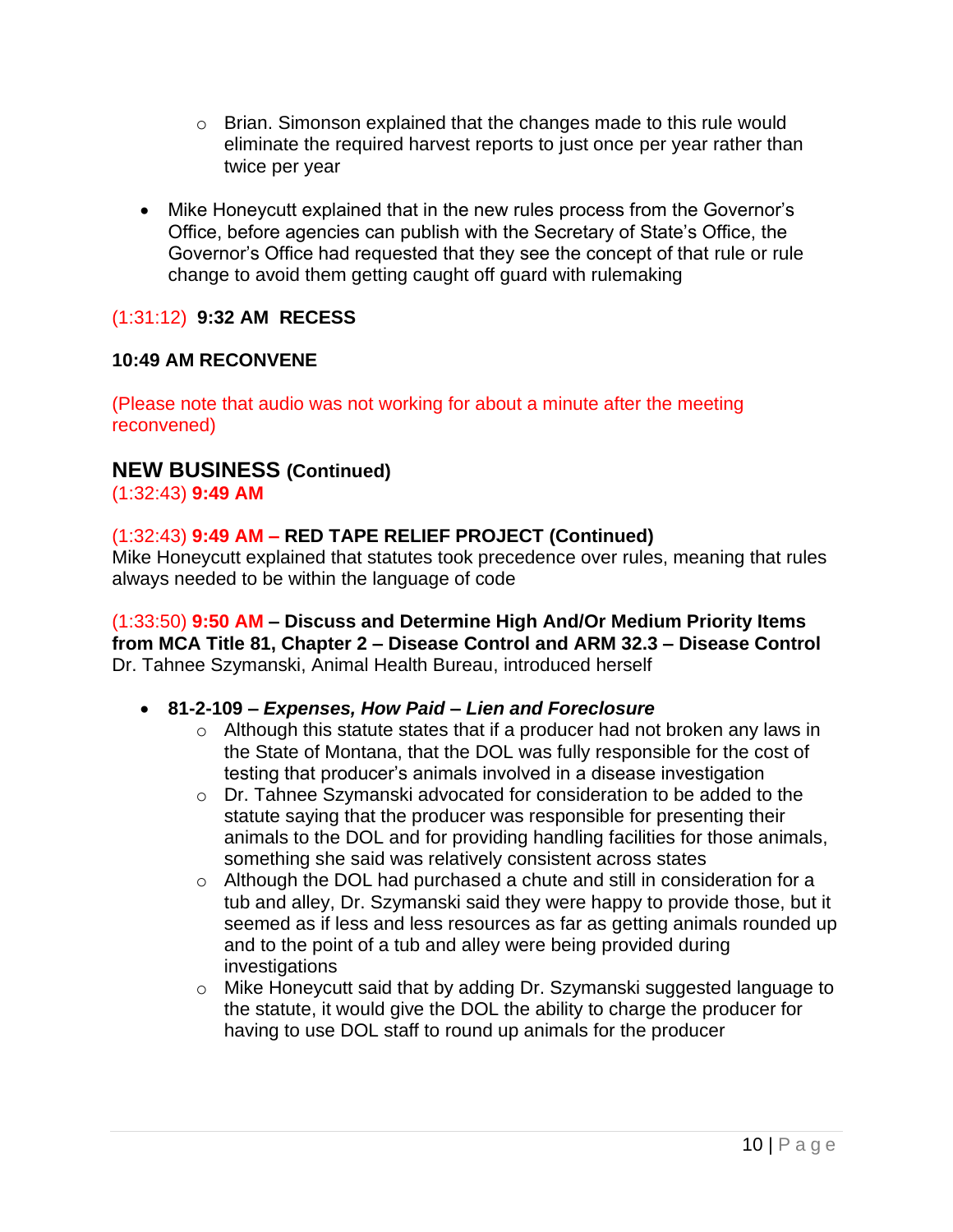- o Brian. Simonson explained that the changes made to this rule would eliminate the required harvest reports to just once per year rather than twice per year
- Mike Honeycutt explained that in the new rules process from the Governor's Office, before agencies can publish with the Secretary of State's Office, the Governor's Office had requested that they see the concept of that rule or rule change to avoid them getting caught off guard with rulemaking

## (1:31:12) **9:32 AM RECESS**

#### **10:49 AM RECONVENE**

(Please note that audio was not working for about a minute after the meeting reconvened)

## **NEW BUSINESS (Continued)**

(1:32:43) **9:49 AM**

#### (1:32:43) **9:49 AM – RED TAPE RELIEF PROJECT (Continued)**

Mike Honeycutt explained that statutes took precedence over rules, meaning that rules always needed to be within the language of code

(1:33:50) **9:50 AM – Discuss and Determine High And/Or Medium Priority Items from MCA Title 81, Chapter 2 – Disease Control and ARM 32.3 – Disease Control** Dr. Tahnee Szymanski, Animal Health Bureau, introduced herself

#### • **81-2-109 –** *Expenses, How Paid – Lien and Foreclosure*

- o Although this statute states that if a producer had not broken any laws in the State of Montana, that the DOL was fully responsible for the cost of testing that producer's animals involved in a disease investigation
- o Dr. Tahnee Szymanski advocated for consideration to be added to the statute saying that the producer was responsible for presenting their animals to the DOL and for providing handling facilities for those animals, something she said was relatively consistent across states
- o Although the DOL had purchased a chute and still in consideration for a tub and alley, Dr. Szymanski said they were happy to provide those, but it seemed as if less and less resources as far as getting animals rounded up and to the point of a tub and alley were being provided during investigations
- o Mike Honeycutt said that by adding Dr. Szymanski suggested language to the statute, it would give the DOL the ability to charge the producer for having to use DOL staff to round up animals for the producer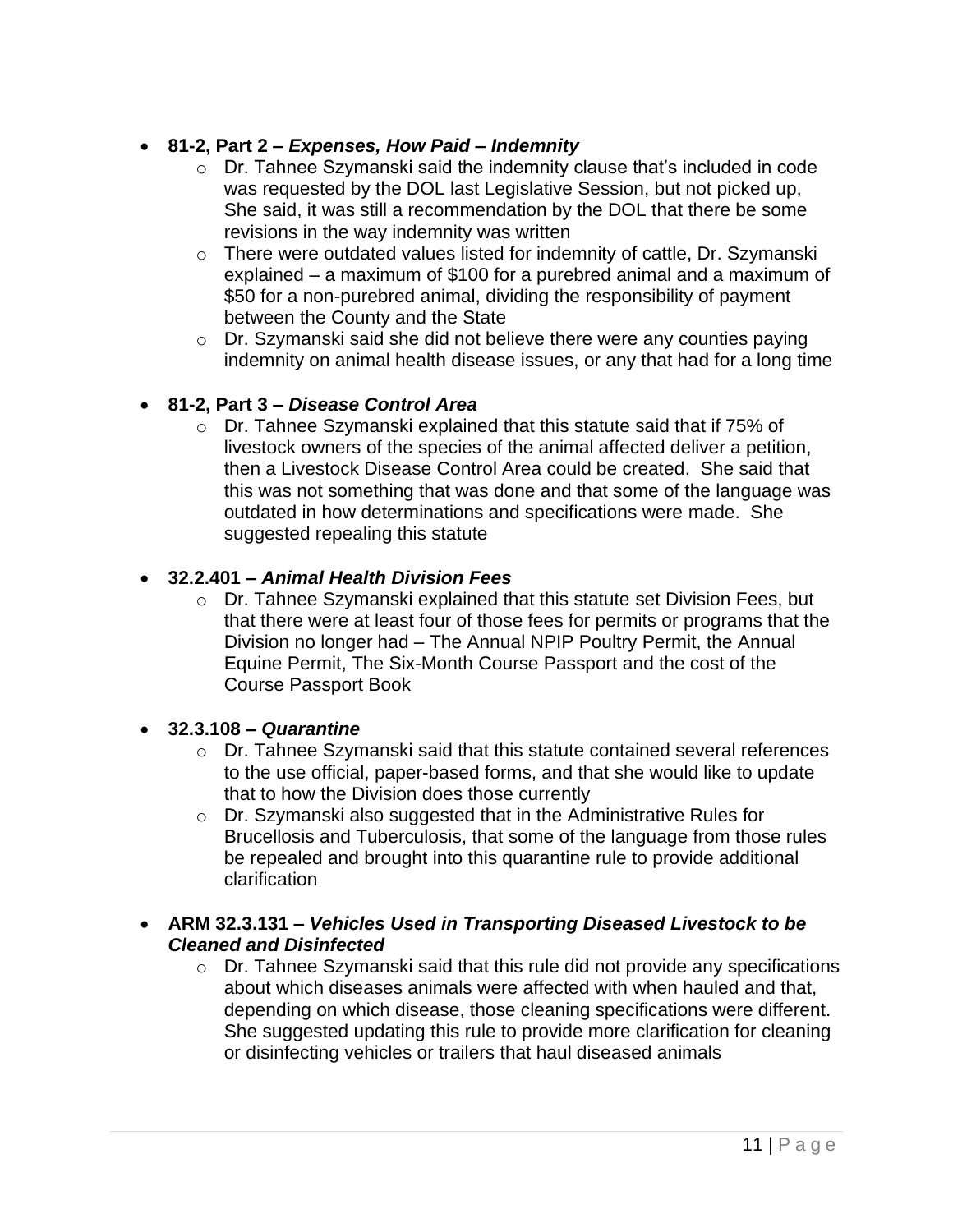## • **81-2, Part 2 –** *Expenses, How Paid – Indemnity*

- o Dr. Tahnee Szymanski said the indemnity clause that's included in code was requested by the DOL last Legislative Session, but not picked up, She said, it was still a recommendation by the DOL that there be some revisions in the way indemnity was written
- o There were outdated values listed for indemnity of cattle, Dr. Szymanski explained – a maximum of \$100 for a purebred animal and a maximum of \$50 for a non-purebred animal, dividing the responsibility of payment between the County and the State
- o Dr. Szymanski said she did not believe there were any counties paying indemnity on animal health disease issues, or any that had for a long time

## • **81-2, Part 3 –** *Disease Control Area*

o Dr. Tahnee Szymanski explained that this statute said that if 75% of livestock owners of the species of the animal affected deliver a petition, then a Livestock Disease Control Area could be created. She said that this was not something that was done and that some of the language was outdated in how determinations and specifications were made. She suggested repealing this statute

## • **32.2.401 –** *Animal Health Division Fees*

o Dr. Tahnee Szymanski explained that this statute set Division Fees, but that there were at least four of those fees for permits or programs that the Division no longer had – The Annual NPIP Poultry Permit, the Annual Equine Permit, The Six-Month Course Passport and the cost of the Course Passport Book

## • **32.3.108 –** *Quarantine*

- $\circ$  Dr. Tahnee Szymanski said that this statute contained several references to the use official, paper-based forms, and that she would like to update that to how the Division does those currently
- o Dr. Szymanski also suggested that in the Administrative Rules for Brucellosis and Tuberculosis, that some of the language from those rules be repealed and brought into this quarantine rule to provide additional clarification
- **ARM 32.3.131 –** *Vehicles Used in Transporting Diseased Livestock to be Cleaned and Disinfected*
	- o Dr. Tahnee Szymanski said that this rule did not provide any specifications about which diseases animals were affected with when hauled and that, depending on which disease, those cleaning specifications were different. She suggested updating this rule to provide more clarification for cleaning or disinfecting vehicles or trailers that haul diseased animals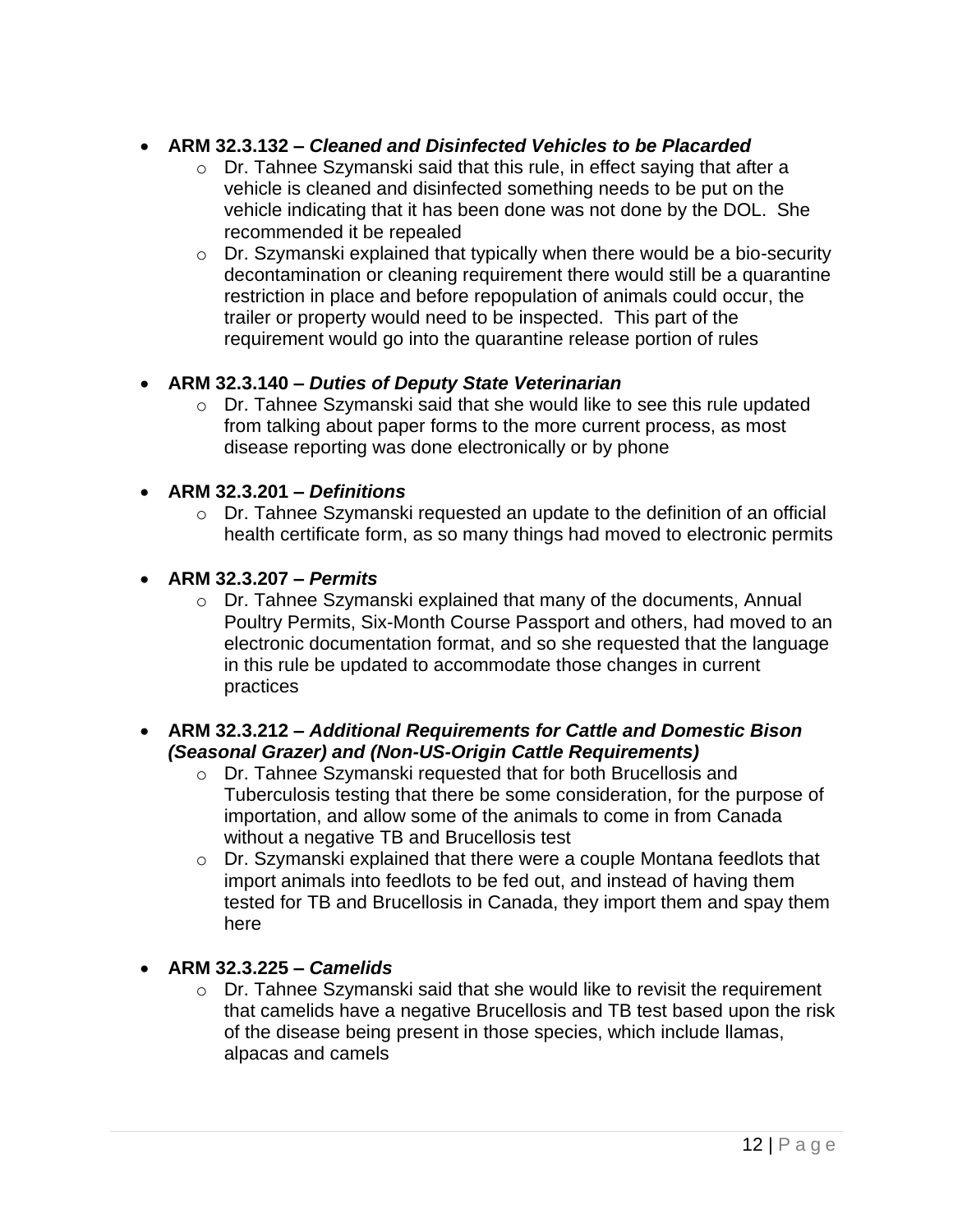## • **ARM 32.3.132 –** *Cleaned and Disinfected Vehicles to be Placarded*

- $\circ$  Dr. Tahnee Szymanski said that this rule, in effect saying that after a vehicle is cleaned and disinfected something needs to be put on the vehicle indicating that it has been done was not done by the DOL. She recommended it be repealed
- o Dr. Szymanski explained that typically when there would be a bio-security decontamination or cleaning requirement there would still be a quarantine restriction in place and before repopulation of animals could occur, the trailer or property would need to be inspected. This part of the requirement would go into the quarantine release portion of rules

## • **ARM 32.3.140 –** *Duties of Deputy State Veterinarian*

- o Dr. Tahnee Szymanski said that she would like to see this rule updated from talking about paper forms to the more current process, as most disease reporting was done electronically or by phone
- **ARM 32.3.201 –** *Definitions*
	- o Dr. Tahnee Szymanski requested an update to the definition of an official health certificate form, as so many things had moved to electronic permits
- **ARM 32.3.207 –** *Permits*
	- o Dr. Tahnee Szymanski explained that many of the documents, Annual Poultry Permits, Six-Month Course Passport and others, had moved to an electronic documentation format, and so she requested that the language in this rule be updated to accommodate those changes in current practices

#### • **ARM 32.3.212 –** *Additional Requirements for Cattle and Domestic Bison (Seasonal Grazer) and (Non-US-Origin Cattle Requirements)*

- o Dr. Tahnee Szymanski requested that for both Brucellosis and Tuberculosis testing that there be some consideration, for the purpose of importation, and allow some of the animals to come in from Canada without a negative TB and Brucellosis test
- o Dr. Szymanski explained that there were a couple Montana feedlots that import animals into feedlots to be fed out, and instead of having them tested for TB and Brucellosis in Canada, they import them and spay them here

## • **ARM 32.3.225 –** *Camelids*

 $\circ$  Dr. Tahnee Szymanski said that she would like to revisit the requirement that camelids have a negative Brucellosis and TB test based upon the risk of the disease being present in those species, which include llamas, alpacas and camels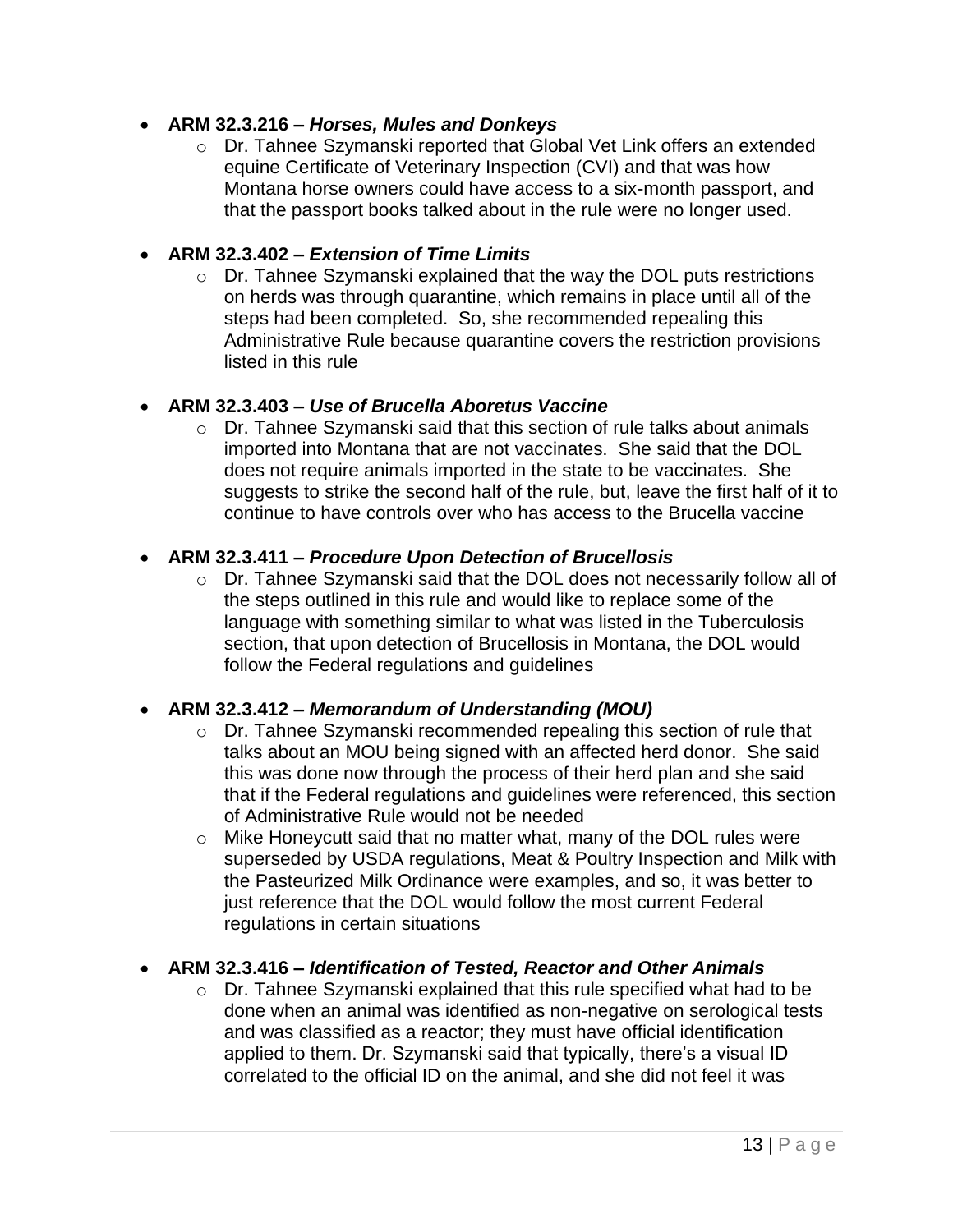#### • **ARM 32.3.216 –** *Horses, Mules and Donkeys*

o Dr. Tahnee Szymanski reported that Global Vet Link offers an extended equine Certificate of Veterinary Inspection (CVI) and that was how Montana horse owners could have access to a six-month passport, and that the passport books talked about in the rule were no longer used.

#### • **ARM 32.3.402 –** *Extension of Time Limits*

o Dr. Tahnee Szymanski explained that the way the DOL puts restrictions on herds was through quarantine, which remains in place until all of the steps had been completed. So, she recommended repealing this Administrative Rule because quarantine covers the restriction provisions listed in this rule

#### • **ARM 32.3.403 –** *Use of Brucella Aboretus Vaccine*

o Dr. Tahnee Szymanski said that this section of rule talks about animals imported into Montana that are not vaccinates. She said that the DOL does not require animals imported in the state to be vaccinates. She suggests to strike the second half of the rule, but, leave the first half of it to continue to have controls over who has access to the Brucella vaccine

#### • **ARM 32.3.411 –** *Procedure Upon Detection of Brucellosis*

o Dr. Tahnee Szymanski said that the DOL does not necessarily follow all of the steps outlined in this rule and would like to replace some of the language with something similar to what was listed in the Tuberculosis section, that upon detection of Brucellosis in Montana, the DOL would follow the Federal regulations and guidelines

## • **ARM 32.3.412 –** *Memorandum of Understanding (MOU)*

- o Dr. Tahnee Szymanski recommended repealing this section of rule that talks about an MOU being signed with an affected herd donor. She said this was done now through the process of their herd plan and she said that if the Federal regulations and guidelines were referenced, this section of Administrative Rule would not be needed
- o Mike Honeycutt said that no matter what, many of the DOL rules were superseded by USDA regulations, Meat & Poultry Inspection and Milk with the Pasteurized Milk Ordinance were examples, and so, it was better to just reference that the DOL would follow the most current Federal regulations in certain situations

## • **ARM 32.3.416 –** *Identification of Tested, Reactor and Other Animals*

o Dr. Tahnee Szymanski explained that this rule specified what had to be done when an animal was identified as non-negative on serological tests and was classified as a reactor; they must have official identification applied to them. Dr. Szymanski said that typically, there's a visual ID correlated to the official ID on the animal, and she did not feel it was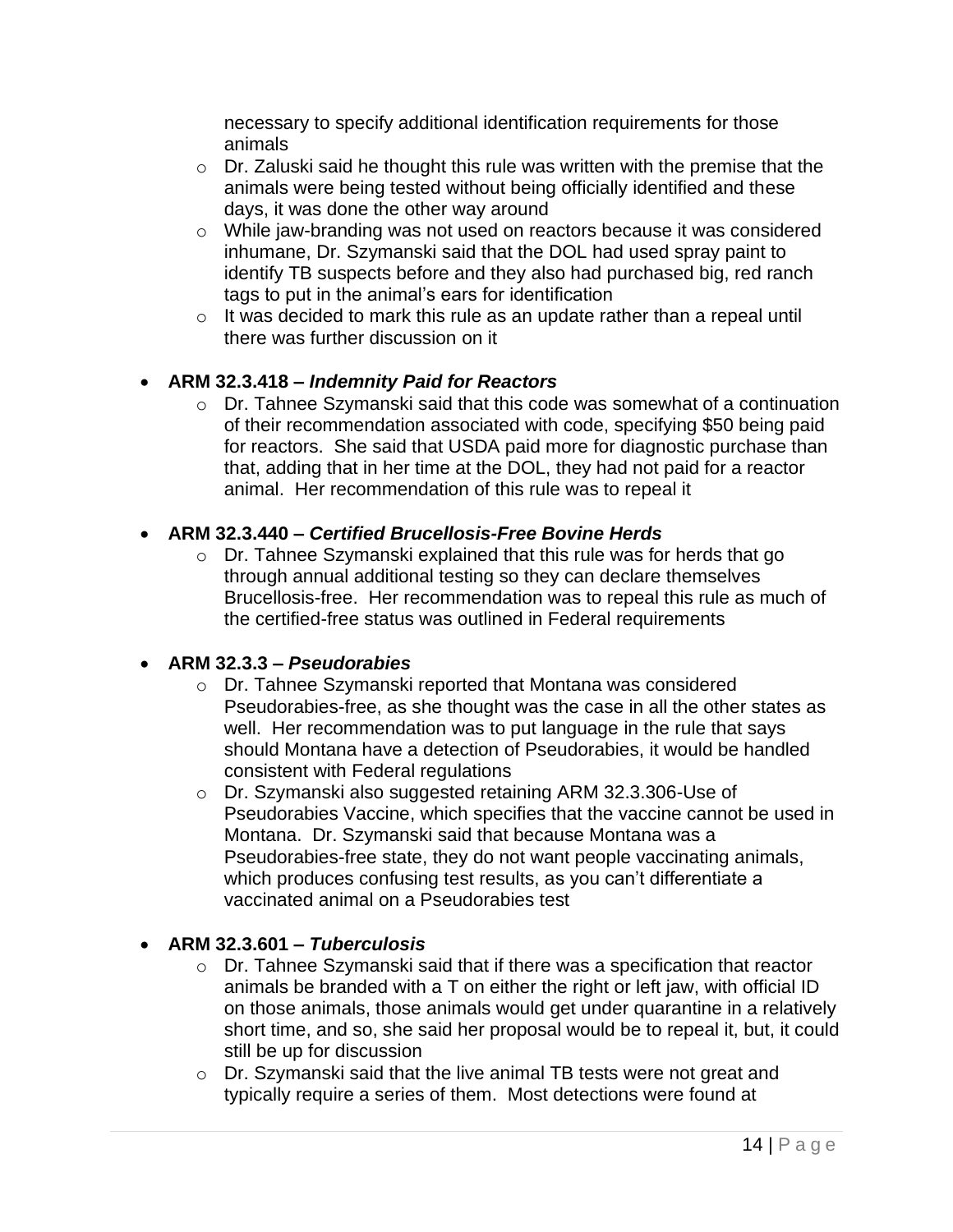necessary to specify additional identification requirements for those animals

- $\circ$  Dr. Zaluski said he thought this rule was written with the premise that the animals were being tested without being officially identified and these days, it was done the other way around
- o While jaw-branding was not used on reactors because it was considered inhumane, Dr. Szymanski said that the DOL had used spray paint to identify TB suspects before and they also had purchased big, red ranch tags to put in the animal's ears for identification
- o It was decided to mark this rule as an update rather than a repeal until there was further discussion on it

## • **ARM 32.3.418 –** *Indemnity Paid for Reactors*

o Dr. Tahnee Szymanski said that this code was somewhat of a continuation of their recommendation associated with code, specifying \$50 being paid for reactors. She said that USDA paid more for diagnostic purchase than that, adding that in her time at the DOL, they had not paid for a reactor animal. Her recommendation of this rule was to repeal it

## • **ARM 32.3.440 –** *Certified Brucellosis-Free Bovine Herds*

o Dr. Tahnee Szymanski explained that this rule was for herds that go through annual additional testing so they can declare themselves Brucellosis-free. Her recommendation was to repeal this rule as much of the certified-free status was outlined in Federal requirements

## • **ARM 32.3.3 –** *Pseudorabies*

- o Dr. Tahnee Szymanski reported that Montana was considered Pseudorabies-free, as she thought was the case in all the other states as well. Her recommendation was to put language in the rule that says should Montana have a detection of Pseudorabies, it would be handled consistent with Federal regulations
- o Dr. Szymanski also suggested retaining ARM 32.3.306-Use of Pseudorabies Vaccine, which specifies that the vaccine cannot be used in Montana. Dr. Szymanski said that because Montana was a Pseudorabies-free state, they do not want people vaccinating animals, which produces confusing test results, as you can't differentiate a vaccinated animal on a Pseudorabies test

## • **ARM 32.3.601 –** *Tuberculosis*

- o Dr. Tahnee Szymanski said that if there was a specification that reactor animals be branded with a T on either the right or left jaw, with official ID on those animals, those animals would get under quarantine in a relatively short time, and so, she said her proposal would be to repeal it, but, it could still be up for discussion
- o Dr. Szymanski said that the live animal TB tests were not great and typically require a series of them. Most detections were found at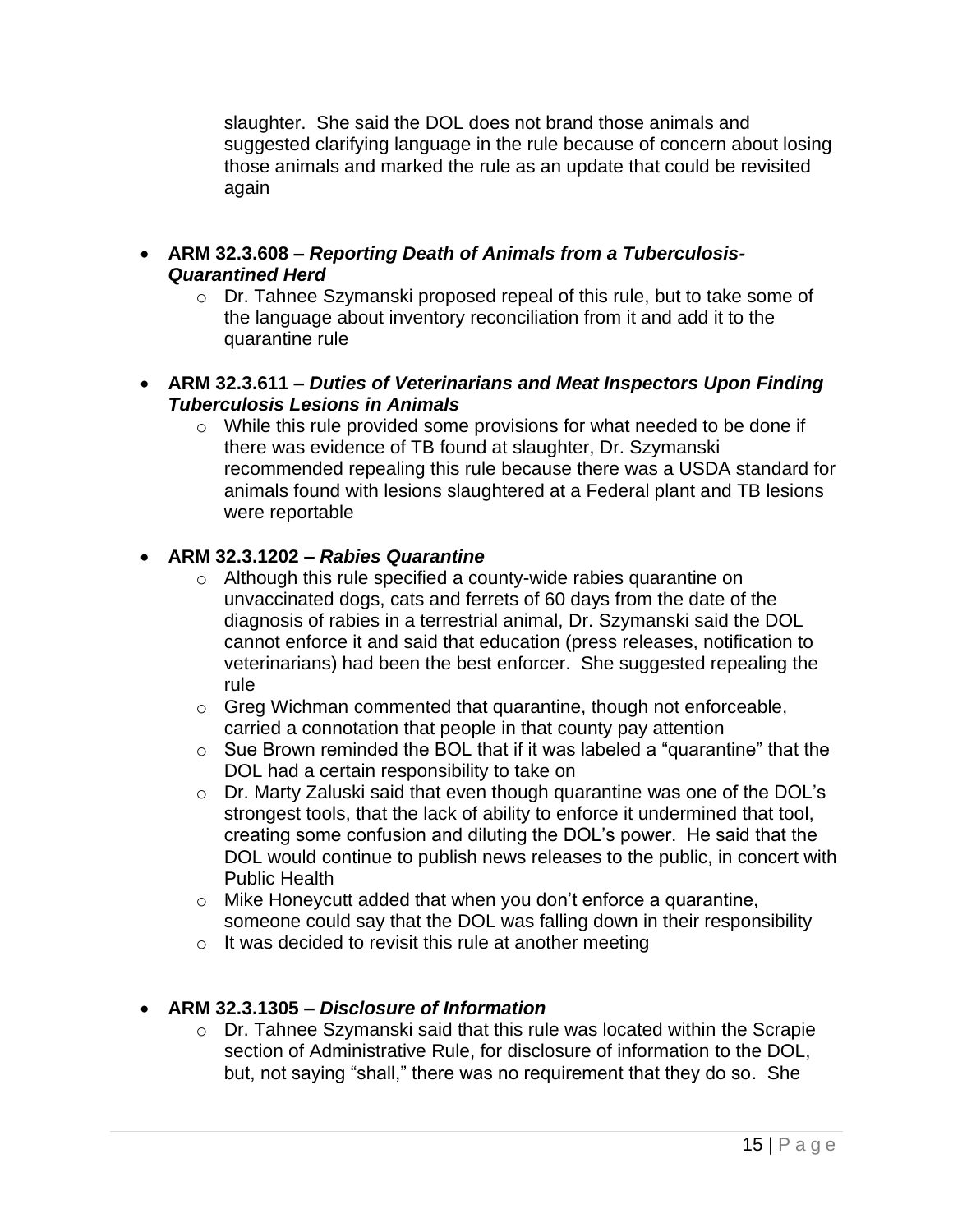slaughter. She said the DOL does not brand those animals and suggested clarifying language in the rule because of concern about losing those animals and marked the rule as an update that could be revisited again

- **ARM 32.3.608 –** *Reporting Death of Animals from a Tuberculosis-Quarantined Herd*
	- o Dr. Tahnee Szymanski proposed repeal of this rule, but to take some of the language about inventory reconciliation from it and add it to the quarantine rule
- **ARM 32.3.611 –** *Duties of Veterinarians and Meat Inspectors Upon Finding Tuberculosis Lesions in Animals*
	- o While this rule provided some provisions for what needed to be done if there was evidence of TB found at slaughter, Dr. Szymanski recommended repealing this rule because there was a USDA standard for animals found with lesions slaughtered at a Federal plant and TB lesions were reportable

## • **ARM 32.3.1202 –** *Rabies Quarantine*

- o Although this rule specified a county-wide rabies quarantine on unvaccinated dogs, cats and ferrets of 60 days from the date of the diagnosis of rabies in a terrestrial animal, Dr. Szymanski said the DOL cannot enforce it and said that education (press releases, notification to veterinarians) had been the best enforcer. She suggested repealing the rule
- o Greg Wichman commented that quarantine, though not enforceable, carried a connotation that people in that county pay attention
- o Sue Brown reminded the BOL that if it was labeled a "quarantine" that the DOL had a certain responsibility to take on
- o Dr. Marty Zaluski said that even though quarantine was one of the DOL's strongest tools, that the lack of ability to enforce it undermined that tool, creating some confusion and diluting the DOL's power. He said that the DOL would continue to publish news releases to the public, in concert with Public Health
- o Mike Honeycutt added that when you don't enforce a quarantine, someone could say that the DOL was falling down in their responsibility
- $\circ$  It was decided to revisit this rule at another meeting

## • **ARM 32.3.1305 –** *Disclosure of Information*

o Dr. Tahnee Szymanski said that this rule was located within the Scrapie section of Administrative Rule, for disclosure of information to the DOL, but, not saying "shall," there was no requirement that they do so. She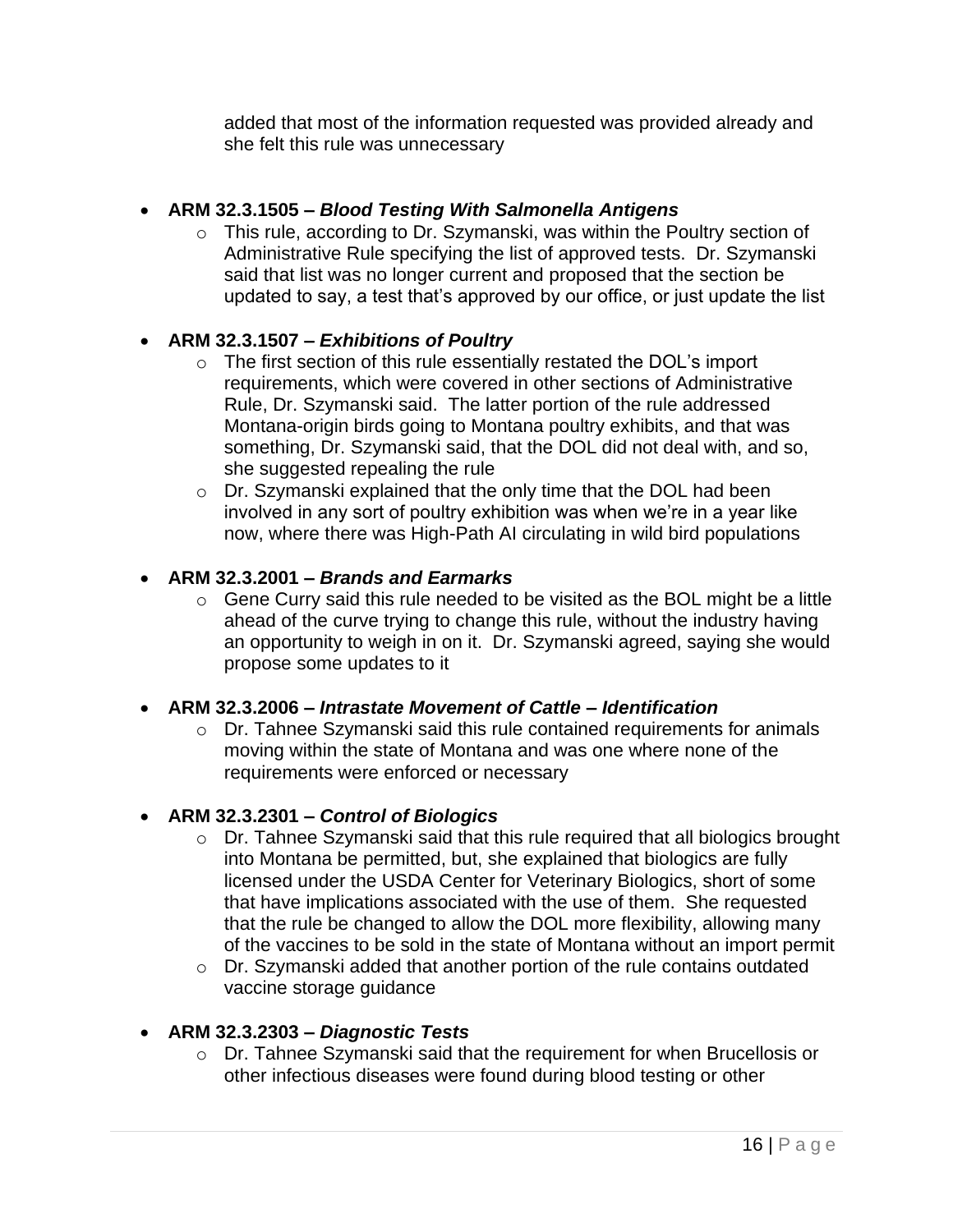added that most of the information requested was provided already and she felt this rule was unnecessary

## • **ARM 32.3.1505 –** *Blood Testing With Salmonella Antigens*

o This rule, according to Dr. Szymanski, was within the Poultry section of Administrative Rule specifying the list of approved tests. Dr. Szymanski said that list was no longer current and proposed that the section be updated to say, a test that's approved by our office, or just update the list

## • **ARM 32.3.1507 –** *Exhibitions of Poultry*

- o The first section of this rule essentially restated the DOL's import requirements, which were covered in other sections of Administrative Rule, Dr. Szymanski said. The latter portion of the rule addressed Montana-origin birds going to Montana poultry exhibits, and that was something, Dr. Szymanski said, that the DOL did not deal with, and so, she suggested repealing the rule
- o Dr. Szymanski explained that the only time that the DOL had been involved in any sort of poultry exhibition was when we're in a year like now, where there was High-Path AI circulating in wild bird populations

## • **ARM 32.3.2001 –** *Brands and Earmarks*

 $\circ$  Gene Curry said this rule needed to be visited as the BOL might be a little ahead of the curve trying to change this rule, without the industry having an opportunity to weigh in on it. Dr. Szymanski agreed, saying she would propose some updates to it

## • **ARM 32.3.2006 –** *Intrastate Movement of Cattle – Identification*

o Dr. Tahnee Szymanski said this rule contained requirements for animals moving within the state of Montana and was one where none of the requirements were enforced or necessary

## • **ARM 32.3.2301 –** *Control of Biologics*

- o Dr. Tahnee Szymanski said that this rule required that all biologics brought into Montana be permitted, but, she explained that biologics are fully licensed under the USDA Center for Veterinary Biologics, short of some that have implications associated with the use of them. She requested that the rule be changed to allow the DOL more flexibility, allowing many of the vaccines to be sold in the state of Montana without an import permit
- o Dr. Szymanski added that another portion of the rule contains outdated vaccine storage guidance

## • **ARM 32.3.2303 –** *Diagnostic Tests*

o Dr. Tahnee Szymanski said that the requirement for when Brucellosis or other infectious diseases were found during blood testing or other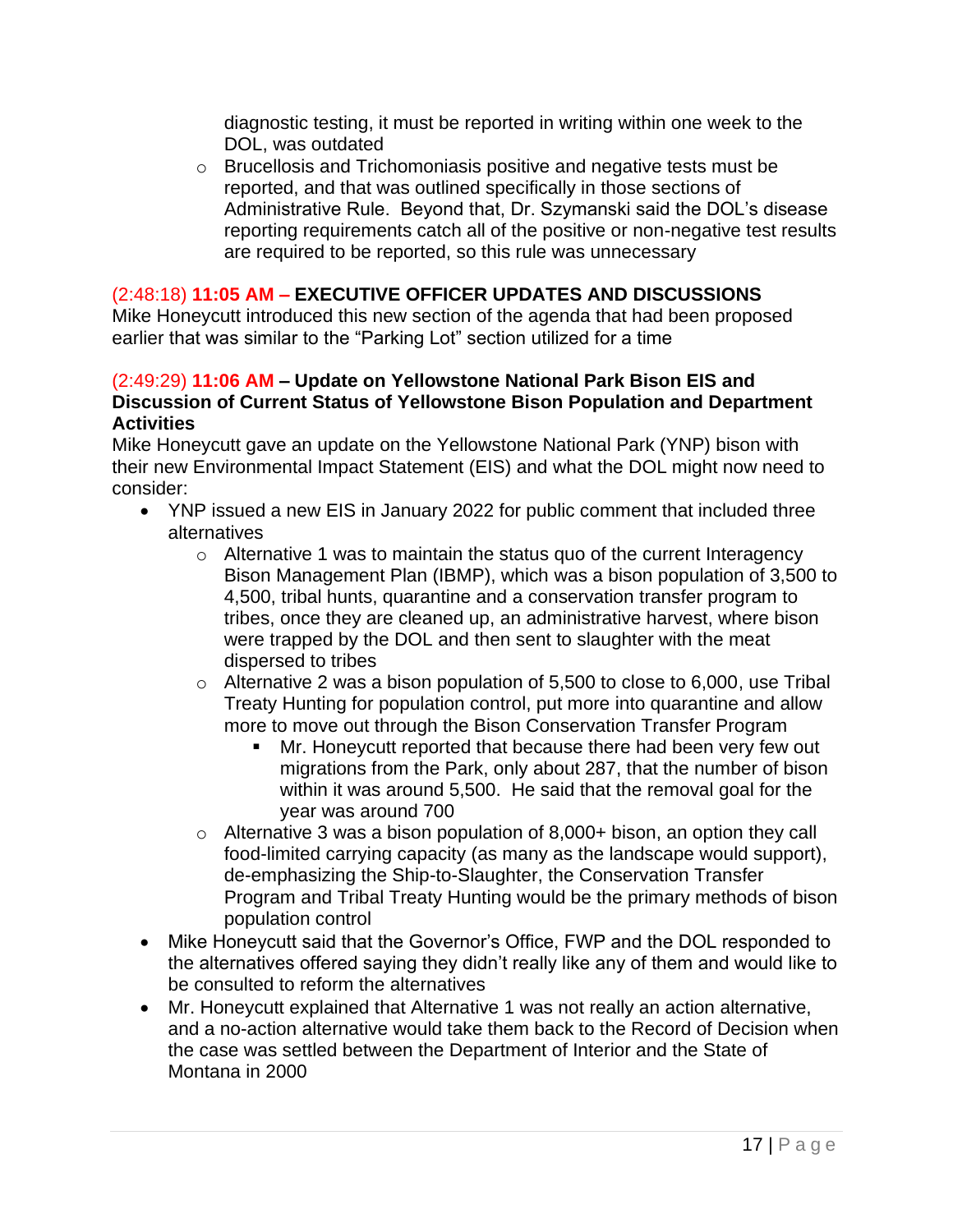diagnostic testing, it must be reported in writing within one week to the DOL, was outdated

o Brucellosis and Trichomoniasis positive and negative tests must be reported, and that was outlined specifically in those sections of Administrative Rule. Beyond that, Dr. Szymanski said the DOL's disease reporting requirements catch all of the positive or non-negative test results are required to be reported, so this rule was unnecessary

## (2:48:18) **11:05 AM – EXECUTIVE OFFICER UPDATES AND DISCUSSIONS**

Mike Honeycutt introduced this new section of the agenda that had been proposed earlier that was similar to the "Parking Lot" section utilized for a time

#### (2:49:29) **11:06 AM – Update on Yellowstone National Park Bison EIS and Discussion of Current Status of Yellowstone Bison Population and Department Activities**

Mike Honeycutt gave an update on the Yellowstone National Park (YNP) bison with their new Environmental Impact Statement (EIS) and what the DOL might now need to consider:

- YNP issued a new EIS in January 2022 for public comment that included three alternatives
	- o Alternative 1 was to maintain the status quo of the current Interagency Bison Management Plan (IBMP), which was a bison population of 3,500 to 4,500, tribal hunts, quarantine and a conservation transfer program to tribes, once they are cleaned up, an administrative harvest, where bison were trapped by the DOL and then sent to slaughter with the meat dispersed to tribes
	- $\circ$  Alternative 2 was a bison population of 5,500 to close to 6,000, use Tribal Treaty Hunting for population control, put more into quarantine and allow more to move out through the Bison Conservation Transfer Program
		- Mr. Honeycutt reported that because there had been very few out migrations from the Park, only about 287, that the number of bison within it was around 5,500. He said that the removal goal for the year was around 700
	- o Alternative 3 was a bison population of 8,000+ bison, an option they call food-limited carrying capacity (as many as the landscape would support), de-emphasizing the Ship-to-Slaughter, the Conservation Transfer Program and Tribal Treaty Hunting would be the primary methods of bison population control
- Mike Honeycutt said that the Governor's Office, FWP and the DOL responded to the alternatives offered saying they didn't really like any of them and would like to be consulted to reform the alternatives
- Mr. Honeycutt explained that Alternative 1 was not really an action alternative, and a no-action alternative would take them back to the Record of Decision when the case was settled between the Department of Interior and the State of Montana in 2000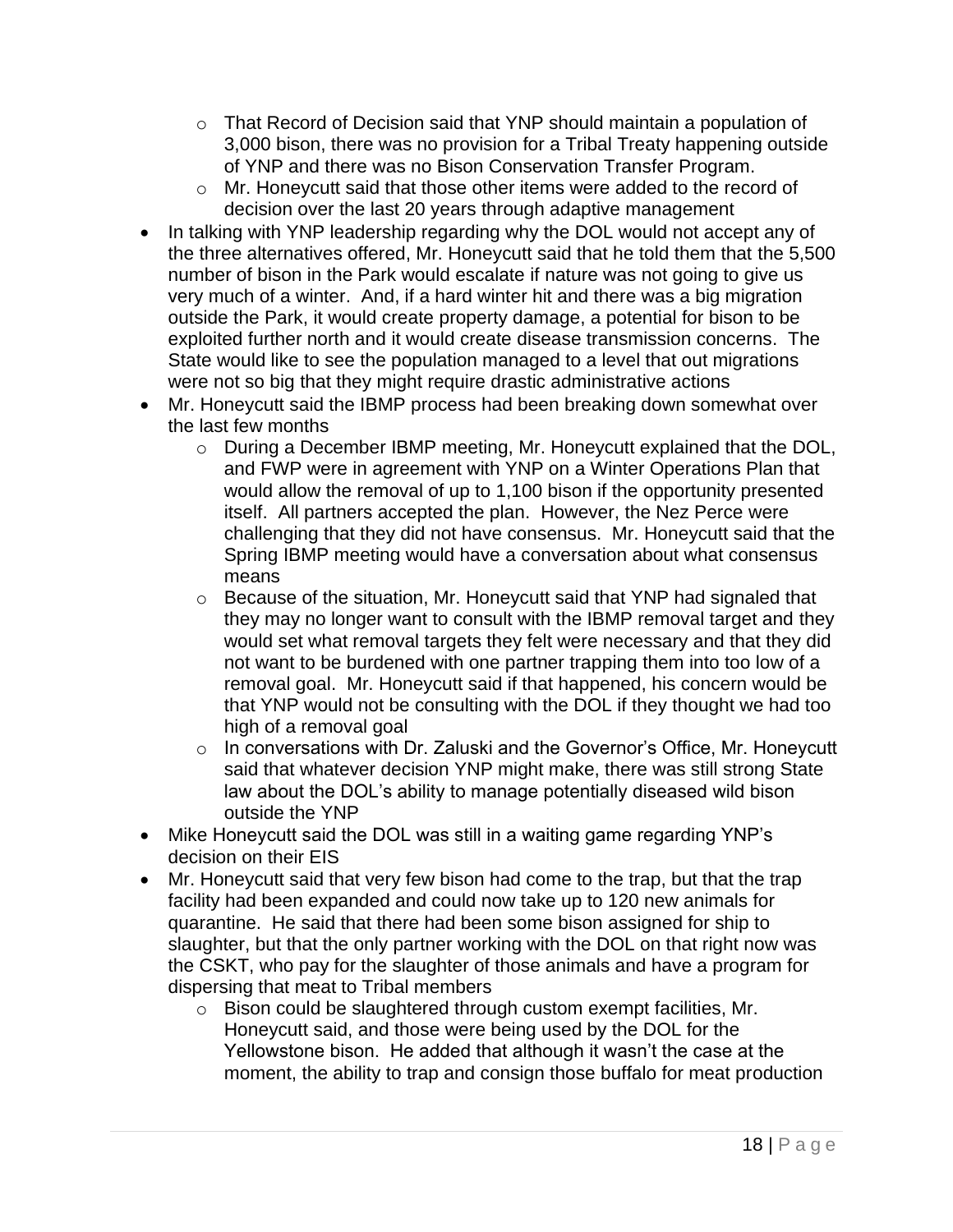- o That Record of Decision said that YNP should maintain a population of 3,000 bison, there was no provision for a Tribal Treaty happening outside of YNP and there was no Bison Conservation Transfer Program.
- o Mr. Honeycutt said that those other items were added to the record of decision over the last 20 years through adaptive management
- In talking with YNP leadership regarding why the DOL would not accept any of the three alternatives offered, Mr. Honeycutt said that he told them that the 5,500 number of bison in the Park would escalate if nature was not going to give us very much of a winter. And, if a hard winter hit and there was a big migration outside the Park, it would create property damage, a potential for bison to be exploited further north and it would create disease transmission concerns. The State would like to see the population managed to a level that out migrations were not so big that they might require drastic administrative actions
- Mr. Honeycutt said the IBMP process had been breaking down somewhat over the last few months
	- o During a December IBMP meeting, Mr. Honeycutt explained that the DOL, and FWP were in agreement with YNP on a Winter Operations Plan that would allow the removal of up to 1,100 bison if the opportunity presented itself. All partners accepted the plan. However, the Nez Perce were challenging that they did not have consensus. Mr. Honeycutt said that the Spring IBMP meeting would have a conversation about what consensus means
	- o Because of the situation, Mr. Honeycutt said that YNP had signaled that they may no longer want to consult with the IBMP removal target and they would set what removal targets they felt were necessary and that they did not want to be burdened with one partner trapping them into too low of a removal goal. Mr. Honeycutt said if that happened, his concern would be that YNP would not be consulting with the DOL if they thought we had too high of a removal goal
	- o In conversations with Dr. Zaluski and the Governor's Office, Mr. Honeycutt said that whatever decision YNP might make, there was still strong State law about the DOL's ability to manage potentially diseased wild bison outside the YNP
- Mike Honeycutt said the DOL was still in a waiting game regarding YNP's decision on their EIS
- Mr. Honeycutt said that very few bison had come to the trap, but that the trap facility had been expanded and could now take up to 120 new animals for quarantine. He said that there had been some bison assigned for ship to slaughter, but that the only partner working with the DOL on that right now was the CSKT, who pay for the slaughter of those animals and have a program for dispersing that meat to Tribal members
	- o Bison could be slaughtered through custom exempt facilities, Mr. Honeycutt said, and those were being used by the DOL for the Yellowstone bison. He added that although it wasn't the case at the moment, the ability to trap and consign those buffalo for meat production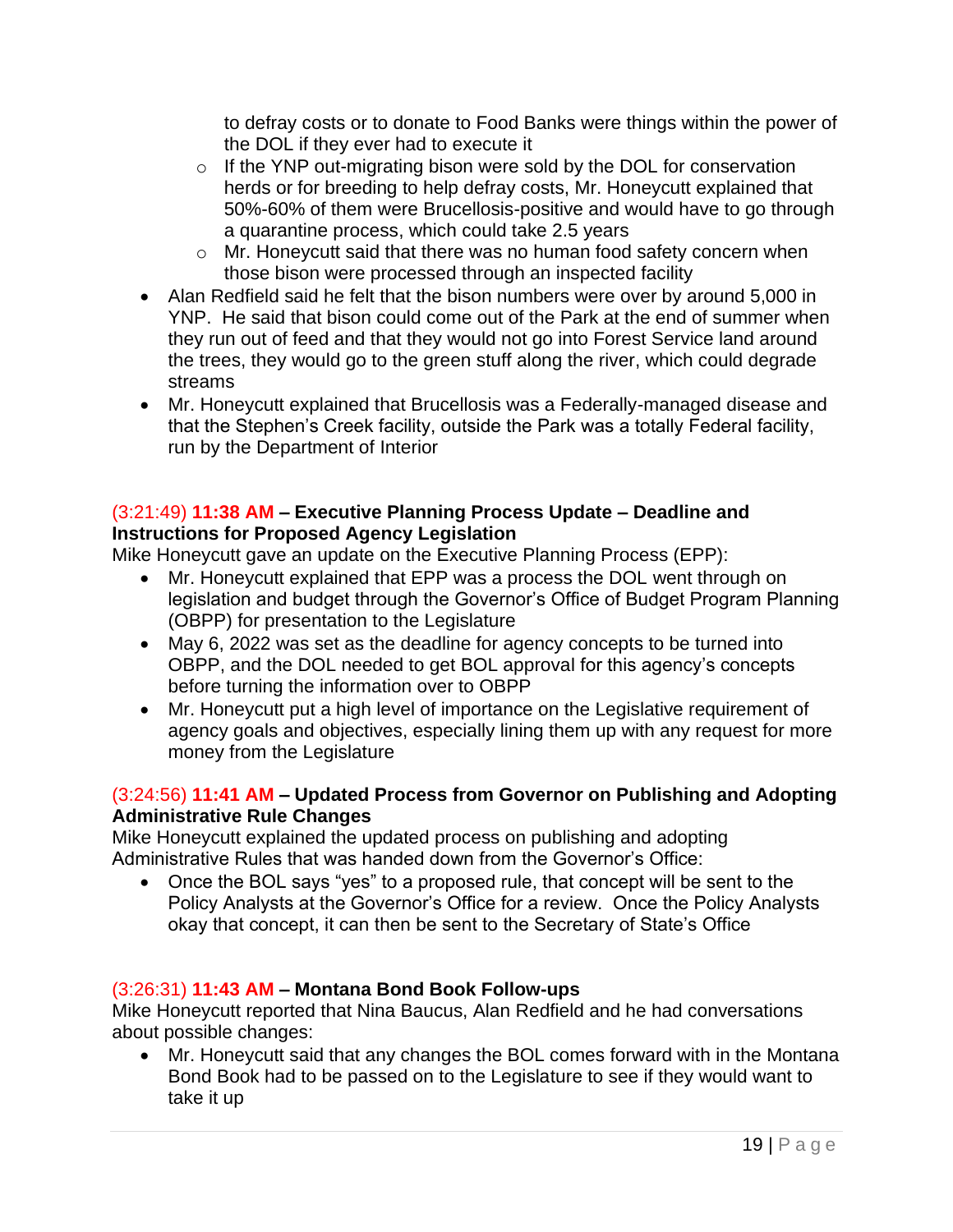to defray costs or to donate to Food Banks were things within the power of the DOL if they ever had to execute it

- o If the YNP out-migrating bison were sold by the DOL for conservation herds or for breeding to help defray costs, Mr. Honeycutt explained that 50%-60% of them were Brucellosis-positive and would have to go through a quarantine process, which could take 2.5 years
- o Mr. Honeycutt said that there was no human food safety concern when those bison were processed through an inspected facility
- Alan Redfield said he felt that the bison numbers were over by around 5,000 in YNP. He said that bison could come out of the Park at the end of summer when they run out of feed and that they would not go into Forest Service land around the trees, they would go to the green stuff along the river, which could degrade streams
- Mr. Honeycutt explained that Brucellosis was a Federally-managed disease and that the Stephen's Creek facility, outside the Park was a totally Federal facility, run by the Department of Interior

## (3:21:49) **11:38 AM – Executive Planning Process Update – Deadline and Instructions for Proposed Agency Legislation**

Mike Honeycutt gave an update on the Executive Planning Process (EPP):

- Mr. Honeycutt explained that EPP was a process the DOL went through on legislation and budget through the Governor's Office of Budget Program Planning (OBPP) for presentation to the Legislature
- May 6, 2022 was set as the deadline for agency concepts to be turned into OBPP, and the DOL needed to get BOL approval for this agency's concepts before turning the information over to OBPP
- Mr. Honeycutt put a high level of importance on the Legislative requirement of agency goals and objectives, especially lining them up with any request for more money from the Legislature

## (3:24:56) **11:41 AM – Updated Process from Governor on Publishing and Adopting Administrative Rule Changes**

Mike Honeycutt explained the updated process on publishing and adopting Administrative Rules that was handed down from the Governor's Office:

• Once the BOL says "yes" to a proposed rule, that concept will be sent to the Policy Analysts at the Governor's Office for a review. Once the Policy Analysts okay that concept, it can then be sent to the Secretary of State's Office

## (3:26:31) **11:43 AM – Montana Bond Book Follow-ups**

Mike Honeycutt reported that Nina Baucus, Alan Redfield and he had conversations about possible changes:

• Mr. Honeycutt said that any changes the BOL comes forward with in the Montana Bond Book had to be passed on to the Legislature to see if they would want to take it up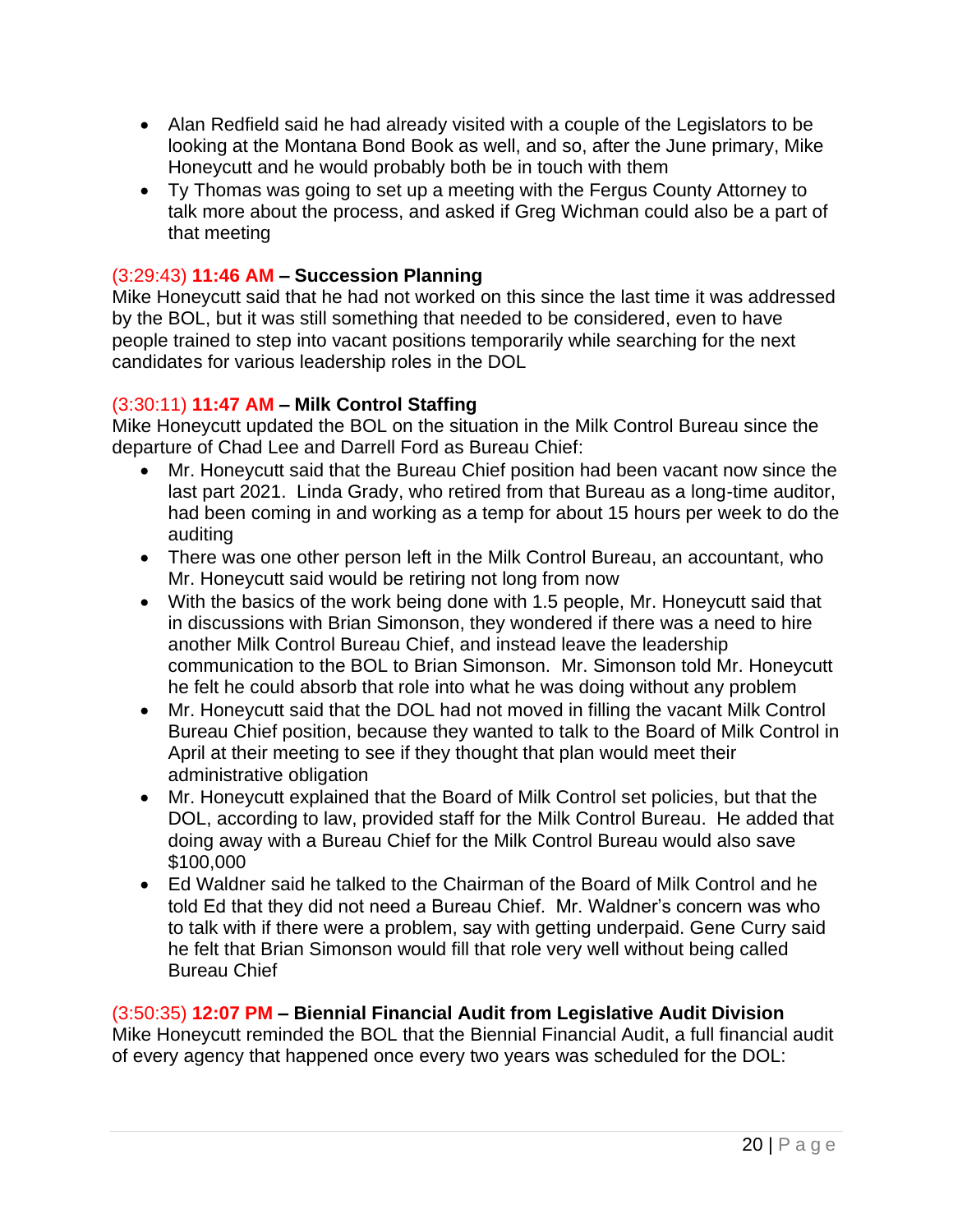- Alan Redfield said he had already visited with a couple of the Legislators to be looking at the Montana Bond Book as well, and so, after the June primary, Mike Honeycutt and he would probably both be in touch with them
- Ty Thomas was going to set up a meeting with the Fergus County Attorney to talk more about the process, and asked if Greg Wichman could also be a part of that meeting

#### (3:29:43) **11:46 AM – Succession Planning**

Mike Honeycutt said that he had not worked on this since the last time it was addressed by the BOL, but it was still something that needed to be considered, even to have people trained to step into vacant positions temporarily while searching for the next candidates for various leadership roles in the DOL

#### (3:30:11) **11:47 AM – Milk Control Staffing**

Mike Honeycutt updated the BOL on the situation in the Milk Control Bureau since the departure of Chad Lee and Darrell Ford as Bureau Chief:

- Mr. Honeycutt said that the Bureau Chief position had been vacant now since the last part 2021. Linda Grady, who retired from that Bureau as a long-time auditor, had been coming in and working as a temp for about 15 hours per week to do the auditing
- There was one other person left in the Milk Control Bureau, an accountant, who Mr. Honeycutt said would be retiring not long from now
- With the basics of the work being done with 1.5 people, Mr. Honeycutt said that in discussions with Brian Simonson, they wondered if there was a need to hire another Milk Control Bureau Chief, and instead leave the leadership communication to the BOL to Brian Simonson. Mr. Simonson told Mr. Honeycutt he felt he could absorb that role into what he was doing without any problem
- Mr. Honeycutt said that the DOL had not moved in filling the vacant Milk Control Bureau Chief position, because they wanted to talk to the Board of Milk Control in April at their meeting to see if they thought that plan would meet their administrative obligation
- Mr. Honeycutt explained that the Board of Milk Control set policies, but that the DOL, according to law, provided staff for the Milk Control Bureau. He added that doing away with a Bureau Chief for the Milk Control Bureau would also save \$100,000
- Ed Waldner said he talked to the Chairman of the Board of Milk Control and he told Ed that they did not need a Bureau Chief. Mr. Waldner's concern was who to talk with if there were a problem, say with getting underpaid. Gene Curry said he felt that Brian Simonson would fill that role very well without being called Bureau Chief

# (3:50:35) **12:07 PM – Biennial Financial Audit from Legislative Audit Division**

Mike Honeycutt reminded the BOL that the Biennial Financial Audit, a full financial audit of every agency that happened once every two years was scheduled for the DOL: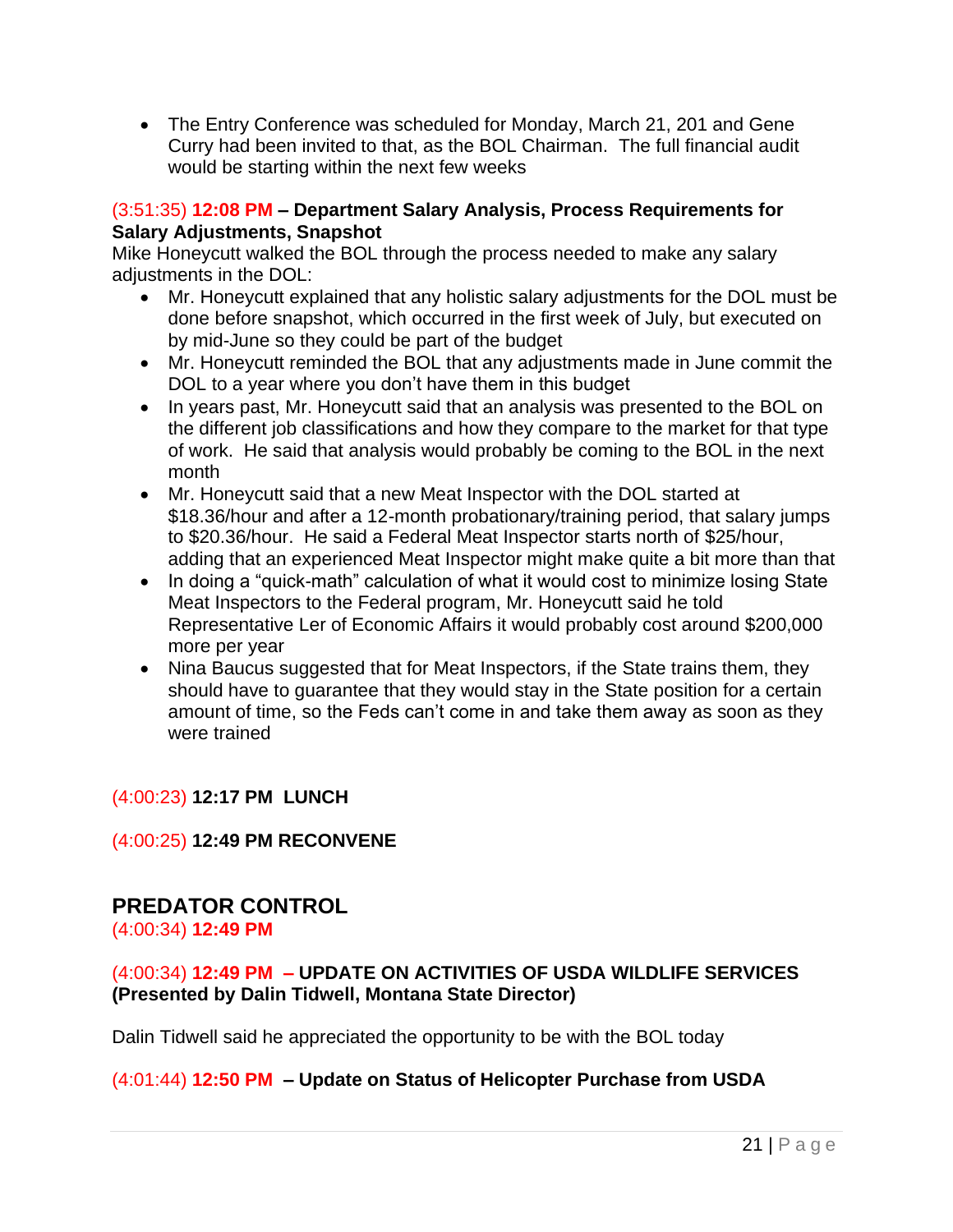• The Entry Conference was scheduled for Monday, March 21, 201 and Gene Curry had been invited to that, as the BOL Chairman. The full financial audit would be starting within the next few weeks

#### (3:51:35) **12:08 PM – Department Salary Analysis, Process Requirements for Salary Adjustments, Snapshot**

Mike Honeycutt walked the BOL through the process needed to make any salary adjustments in the DOL:

- Mr. Honeycutt explained that any holistic salary adjustments for the DOL must be done before snapshot, which occurred in the first week of July, but executed on by mid-June so they could be part of the budget
- Mr. Honeycutt reminded the BOL that any adjustments made in June commit the DOL to a year where you don't have them in this budget
- In years past, Mr. Honeycutt said that an analysis was presented to the BOL on the different job classifications and how they compare to the market for that type of work. He said that analysis would probably be coming to the BOL in the next month
- Mr. Honeycutt said that a new Meat Inspector with the DOL started at \$18.36/hour and after a 12-month probationary/training period, that salary jumps to \$20.36/hour. He said a Federal Meat Inspector starts north of \$25/hour, adding that an experienced Meat Inspector might make quite a bit more than that
- In doing a "quick-math" calculation of what it would cost to minimize losing State Meat Inspectors to the Federal program, Mr. Honeycutt said he told Representative Ler of Economic Affairs it would probably cost around \$200,000 more per year
- Nina Baucus suggested that for Meat Inspectors, if the State trains them, they should have to guarantee that they would stay in the State position for a certain amount of time, so the Feds can't come in and take them away as soon as they were trained

## (4:00:23) **12:17 PM LUNCH**

## (4:00:25) **12:49 PM RECONVENE**

# **PREDATOR CONTROL**

(4:00:34) **12:49 PM**

## (4:00:34) **12:49 PM – UPDATE ON ACTIVITIES OF USDA WILDLIFE SERVICES (Presented by Dalin Tidwell, Montana State Director)**

Dalin Tidwell said he appreciated the opportunity to be with the BOL today

## (4:01:44) **12:50 PM – Update on Status of Helicopter Purchase from USDA**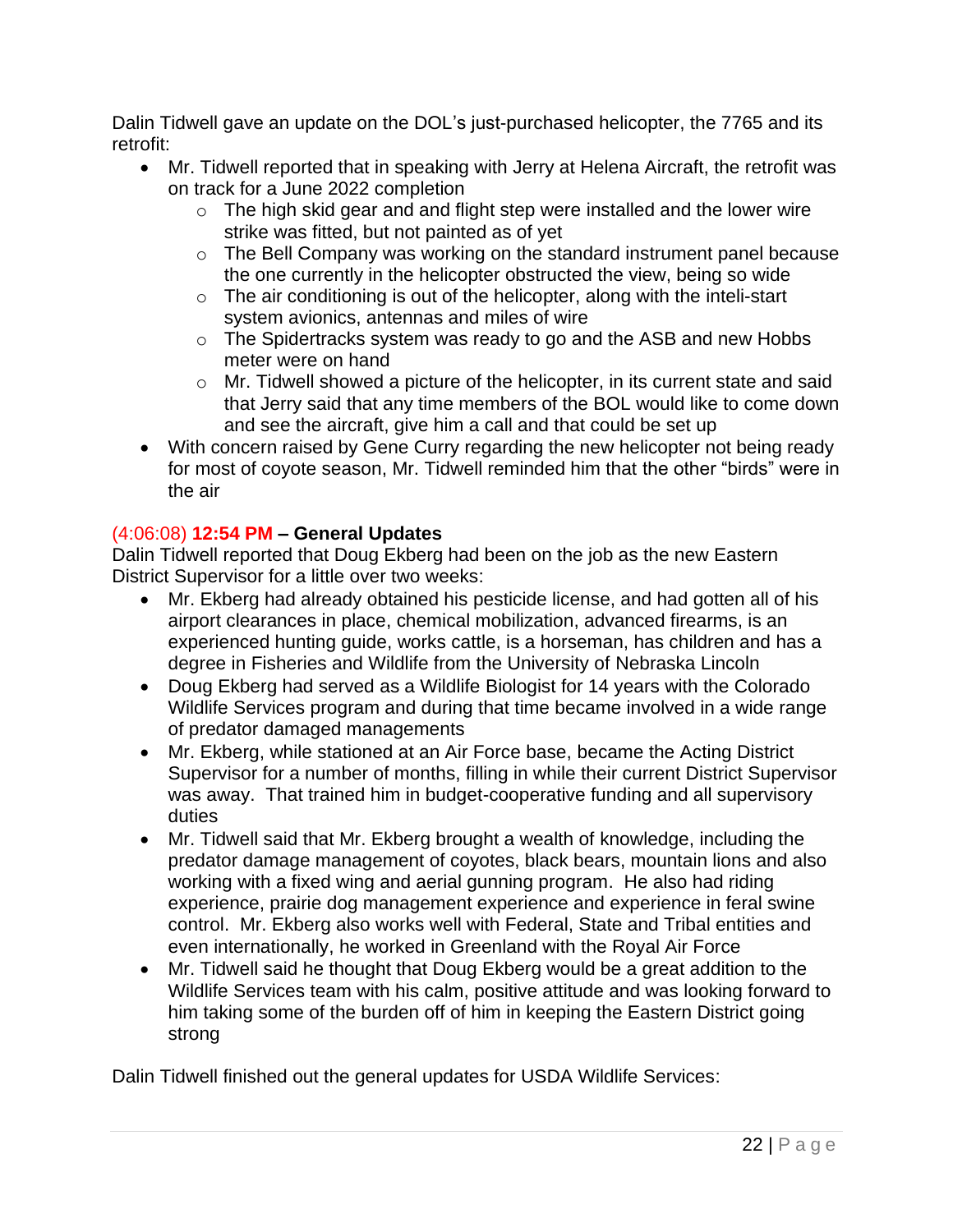Dalin Tidwell gave an update on the DOL's just-purchased helicopter, the 7765 and its retrofit:

- Mr. Tidwell reported that in speaking with Jerry at Helena Aircraft, the retrofit was on track for a June 2022 completion
	- o The high skid gear and and flight step were installed and the lower wire strike was fitted, but not painted as of yet
	- o The Bell Company was working on the standard instrument panel because the one currently in the helicopter obstructed the view, being so wide
	- $\circ$  The air conditioning is out of the helicopter, along with the inteli-start system avionics, antennas and miles of wire
	- o The Spidertracks system was ready to go and the ASB and new Hobbs meter were on hand
	- $\circ$  Mr. Tidwell showed a picture of the helicopter, in its current state and said that Jerry said that any time members of the BOL would like to come down and see the aircraft, give him a call and that could be set up
- With concern raised by Gene Curry regarding the new helicopter not being ready for most of coyote season, Mr. Tidwell reminded him that the other "birds" were in the air

## (4:06:08) **12:54 PM – General Updates**

Dalin Tidwell reported that Doug Ekberg had been on the job as the new Eastern District Supervisor for a little over two weeks:

- Mr. Ekberg had already obtained his pesticide license, and had gotten all of his airport clearances in place, chemical mobilization, advanced firearms, is an experienced hunting guide, works cattle, is a horseman, has children and has a degree in Fisheries and Wildlife from the University of Nebraska Lincoln
- Doug Ekberg had served as a Wildlife Biologist for 14 years with the Colorado Wildlife Services program and during that time became involved in a wide range of predator damaged managements
- Mr. Ekberg, while stationed at an Air Force base, became the Acting District Supervisor for a number of months, filling in while their current District Supervisor was away. That trained him in budget-cooperative funding and all supervisory duties
- Mr. Tidwell said that Mr. Ekberg brought a wealth of knowledge, including the predator damage management of coyotes, black bears, mountain lions and also working with a fixed wing and aerial gunning program. He also had riding experience, prairie dog management experience and experience in feral swine control. Mr. Ekberg also works well with Federal, State and Tribal entities and even internationally, he worked in Greenland with the Royal Air Force
- Mr. Tidwell said he thought that Doug Ekberg would be a great addition to the Wildlife Services team with his calm, positive attitude and was looking forward to him taking some of the burden off of him in keeping the Eastern District going strong

Dalin Tidwell finished out the general updates for USDA Wildlife Services: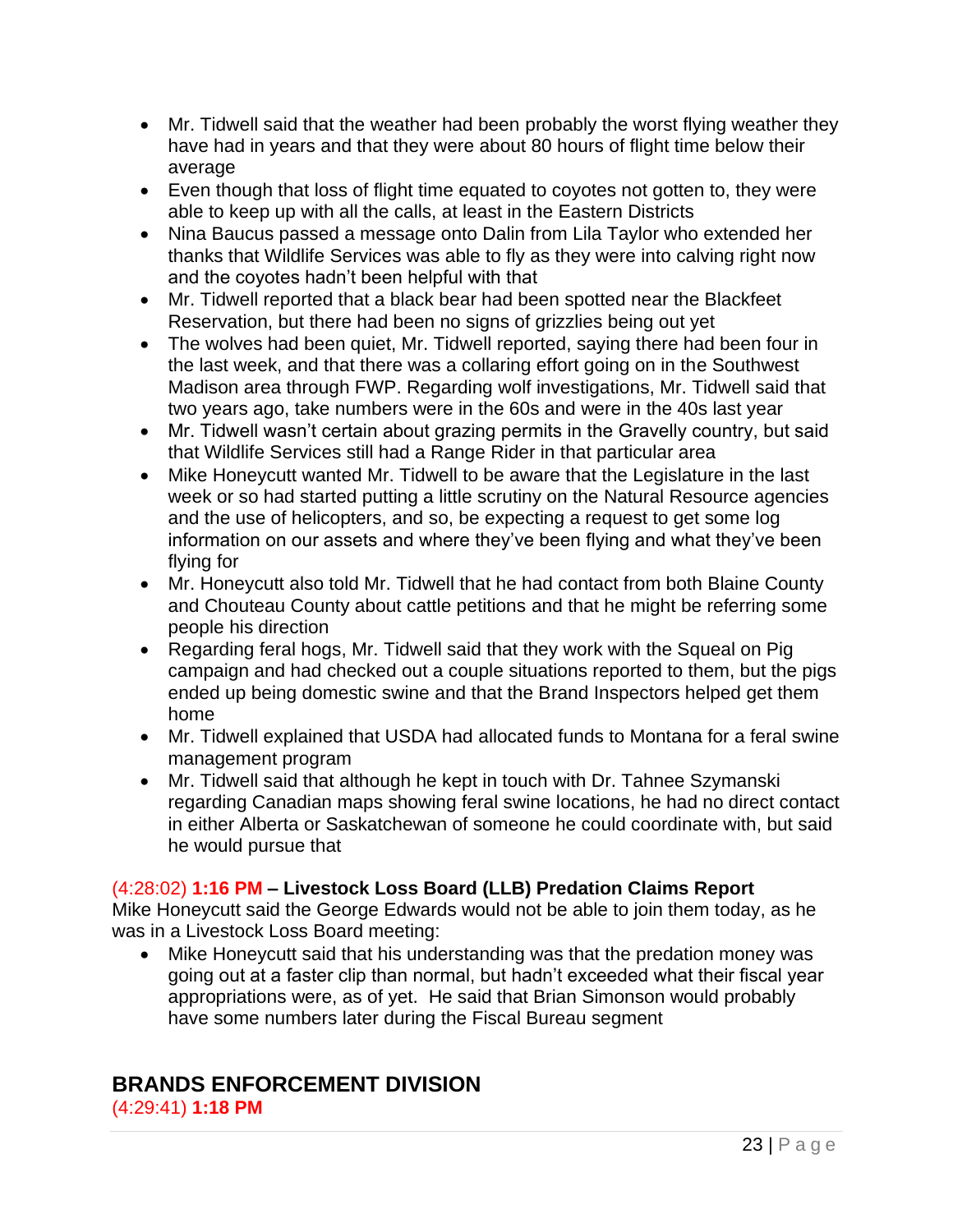- Mr. Tidwell said that the weather had been probably the worst flying weather they have had in years and that they were about 80 hours of flight time below their average
- Even though that loss of flight time equated to coyotes not gotten to, they were able to keep up with all the calls, at least in the Eastern Districts
- Nina Baucus passed a message onto Dalin from Lila Taylor who extended her thanks that Wildlife Services was able to fly as they were into calving right now and the coyotes hadn't been helpful with that
- Mr. Tidwell reported that a black bear had been spotted near the Blackfeet Reservation, but there had been no signs of grizzlies being out yet
- The wolves had been quiet, Mr. Tidwell reported, saying there had been four in the last week, and that there was a collaring effort going on in the Southwest Madison area through FWP. Regarding wolf investigations, Mr. Tidwell said that two years ago, take numbers were in the 60s and were in the 40s last year
- Mr. Tidwell wasn't certain about grazing permits in the Gravelly country, but said that Wildlife Services still had a Range Rider in that particular area
- Mike Honeycutt wanted Mr. Tidwell to be aware that the Legislature in the last week or so had started putting a little scrutiny on the Natural Resource agencies and the use of helicopters, and so, be expecting a request to get some log information on our assets and where they've been flying and what they've been flying for
- Mr. Honeycutt also told Mr. Tidwell that he had contact from both Blaine County and Chouteau County about cattle petitions and that he might be referring some people his direction
- Regarding feral hogs, Mr. Tidwell said that they work with the Squeal on Pig campaign and had checked out a couple situations reported to them, but the pigs ended up being domestic swine and that the Brand Inspectors helped get them home
- Mr. Tidwell explained that USDA had allocated funds to Montana for a feral swine management program
- Mr. Tidwell said that although he kept in touch with Dr. Tahnee Szymanski regarding Canadian maps showing feral swine locations, he had no direct contact in either Alberta or Saskatchewan of someone he could coordinate with, but said he would pursue that

## (4:28:02) **1:16 PM – Livestock Loss Board (LLB) Predation Claims Report**

Mike Honeycutt said the George Edwards would not be able to join them today, as he was in a Livestock Loss Board meeting:

• Mike Honeycutt said that his understanding was that the predation money was going out at a faster clip than normal, but hadn't exceeded what their fiscal year appropriations were, as of yet. He said that Brian Simonson would probably have some numbers later during the Fiscal Bureau segment

## **BRANDS ENFORCEMENT DIVISION** (4:29:41) **1:18 PM**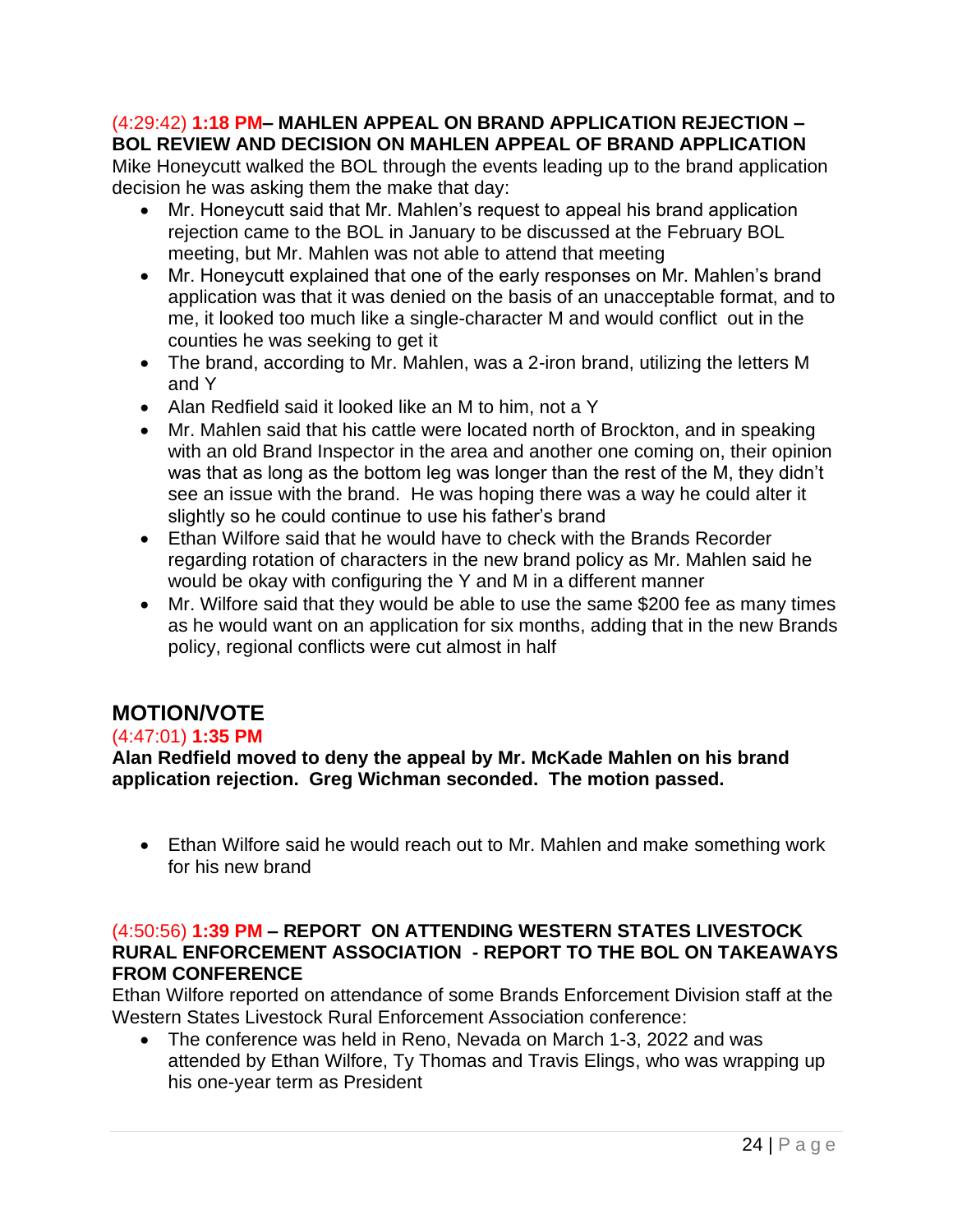#### (4:29:42) **1:18 PM– MAHLEN APPEAL ON BRAND APPLICATION REJECTION – BOL REVIEW AND DECISION ON MAHLEN APPEAL OF BRAND APPLICATION**

Mike Honeycutt walked the BOL through the events leading up to the brand application decision he was asking them the make that day:

- Mr. Honeycutt said that Mr. Mahlen's request to appeal his brand application rejection came to the BOL in January to be discussed at the February BOL meeting, but Mr. Mahlen was not able to attend that meeting
- Mr. Honeycutt explained that one of the early responses on Mr. Mahlen's brand application was that it was denied on the basis of an unacceptable format, and to me, it looked too much like a single-character M and would conflict out in the counties he was seeking to get it
- The brand, according to Mr. Mahlen, was a 2-iron brand, utilizing the letters M and Y
- Alan Redfield said it looked like an M to him, not a Y
- Mr. Mahlen said that his cattle were located north of Brockton, and in speaking with an old Brand Inspector in the area and another one coming on, their opinion was that as long as the bottom leg was longer than the rest of the M, they didn't see an issue with the brand. He was hoping there was a way he could alter it slightly so he could continue to use his father's brand
- Ethan Wilfore said that he would have to check with the Brands Recorder regarding rotation of characters in the new brand policy as Mr. Mahlen said he would be okay with configuring the Y and M in a different manner
- Mr. Wilfore said that they would be able to use the same \$200 fee as many times as he would want on an application for six months, adding that in the new Brands policy, regional conflicts were cut almost in half

# **MOTION/VOTE**

## (4:47:01) **1:35 PM**

**Alan Redfield moved to deny the appeal by Mr. McKade Mahlen on his brand application rejection. Greg Wichman seconded. The motion passed.**

• Ethan Wilfore said he would reach out to Mr. Mahlen and make something work for his new brand

#### (4:50:56) **1:39 PM – REPORT ON ATTENDING WESTERN STATES LIVESTOCK RURAL ENFORCEMENT ASSOCIATION - REPORT TO THE BOL ON TAKEAWAYS FROM CONFERENCE**

Ethan Wilfore reported on attendance of some Brands Enforcement Division staff at the Western States Livestock Rural Enforcement Association conference:

• The conference was held in Reno, Nevada on March 1-3, 2022 and was attended by Ethan Wilfore, Ty Thomas and Travis Elings, who was wrapping up his one-year term as President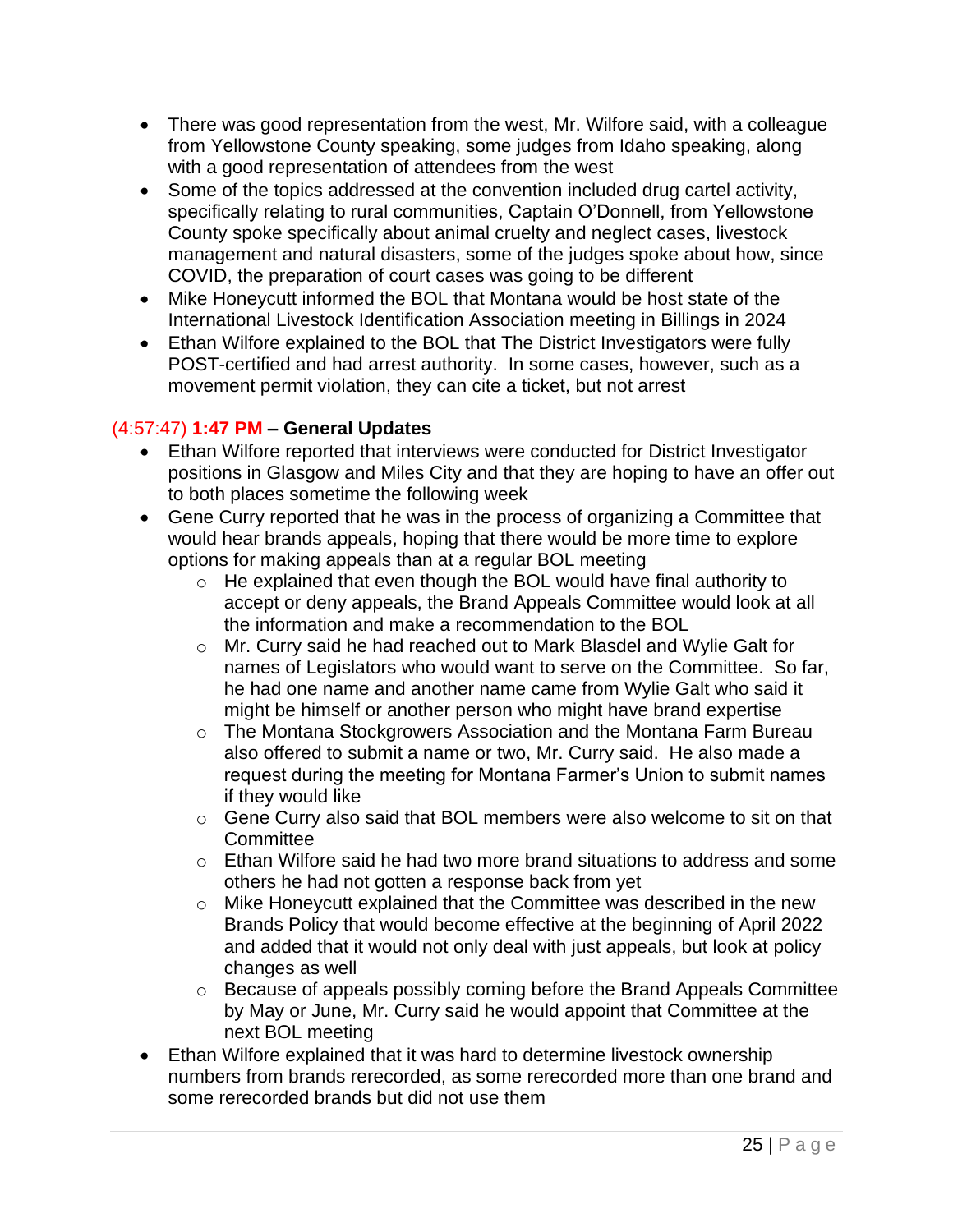- There was good representation from the west, Mr. Wilfore said, with a colleague from Yellowstone County speaking, some judges from Idaho speaking, along with a good representation of attendees from the west
- Some of the topics addressed at the convention included drug cartel activity, specifically relating to rural communities, Captain O'Donnell, from Yellowstone County spoke specifically about animal cruelty and neglect cases, livestock management and natural disasters, some of the judges spoke about how, since COVID, the preparation of court cases was going to be different
- Mike Honeycutt informed the BOL that Montana would be host state of the International Livestock Identification Association meeting in Billings in 2024
- Ethan Wilfore explained to the BOL that The District Investigators were fully POST-certified and had arrest authority. In some cases, however, such as a movement permit violation, they can cite a ticket, but not arrest

## (4:57:47) **1:47 PM – General Updates**

- Ethan Wilfore reported that interviews were conducted for District Investigator positions in Glasgow and Miles City and that they are hoping to have an offer out to both places sometime the following week
- Gene Curry reported that he was in the process of organizing a Committee that would hear brands appeals, hoping that there would be more time to explore options for making appeals than at a regular BOL meeting
	- $\circ$  He explained that even though the BOL would have final authority to accept or deny appeals, the Brand Appeals Committee would look at all the information and make a recommendation to the BOL
	- o Mr. Curry said he had reached out to Mark Blasdel and Wylie Galt for names of Legislators who would want to serve on the Committee. So far, he had one name and another name came from Wylie Galt who said it might be himself or another person who might have brand expertise
	- o The Montana Stockgrowers Association and the Montana Farm Bureau also offered to submit a name or two, Mr. Curry said. He also made a request during the meeting for Montana Farmer's Union to submit names if they would like
	- o Gene Curry also said that BOL members were also welcome to sit on that **Committee**
	- $\circ$  Ethan Wilfore said he had two more brand situations to address and some others he had not gotten a response back from yet
	- o Mike Honeycutt explained that the Committee was described in the new Brands Policy that would become effective at the beginning of April 2022 and added that it would not only deal with just appeals, but look at policy changes as well
	- o Because of appeals possibly coming before the Brand Appeals Committee by May or June, Mr. Curry said he would appoint that Committee at the next BOL meeting
- Ethan Wilfore explained that it was hard to determine livestock ownership numbers from brands rerecorded, as some rerecorded more than one brand and some rerecorded brands but did not use them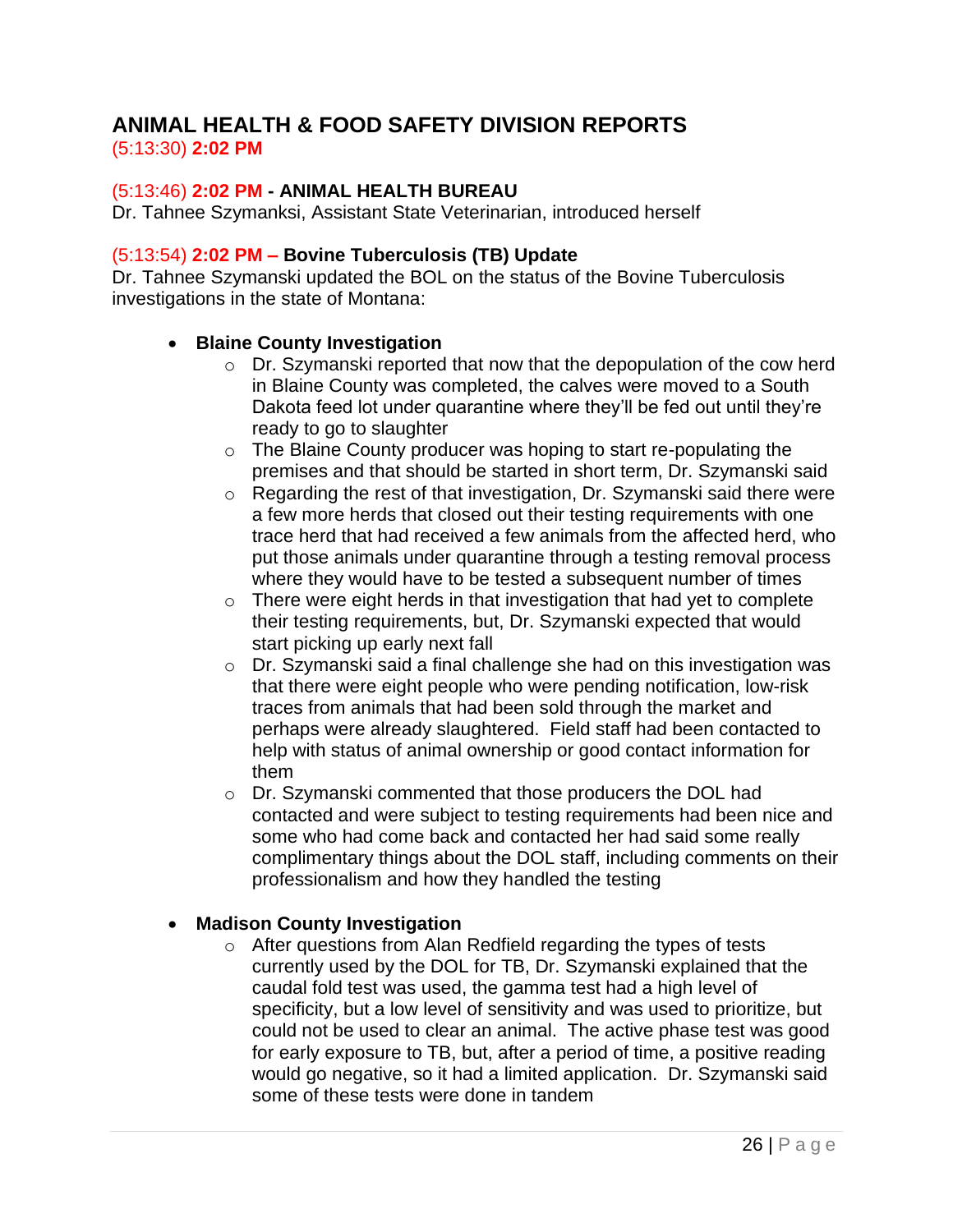# **ANIMAL HEALTH & FOOD SAFETY DIVISION REPORTS**

## (5:13:30) **2:02 PM**

## (5:13:46) **2:02 PM - ANIMAL HEALTH BUREAU**

Dr. Tahnee Szymanksi, Assistant State Veterinarian, introduced herself

## (5:13:54) **2:02 PM – Bovine Tuberculosis (TB) Update**

Dr. Tahnee Szymanski updated the BOL on the status of the Bovine Tuberculosis investigations in the state of Montana:

## • **Blaine County Investigation**

- o Dr. Szymanski reported that now that the depopulation of the cow herd in Blaine County was completed, the calves were moved to a South Dakota feed lot under quarantine where they'll be fed out until they're ready to go to slaughter
- o The Blaine County producer was hoping to start re-populating the premises and that should be started in short term, Dr. Szymanski said
- o Regarding the rest of that investigation, Dr. Szymanski said there were a few more herds that closed out their testing requirements with one trace herd that had received a few animals from the affected herd, who put those animals under quarantine through a testing removal process where they would have to be tested a subsequent number of times
- $\circ$  There were eight herds in that investigation that had yet to complete their testing requirements, but, Dr. Szymanski expected that would start picking up early next fall
- o Dr. Szymanski said a final challenge she had on this investigation was that there were eight people who were pending notification, low-risk traces from animals that had been sold through the market and perhaps were already slaughtered. Field staff had been contacted to help with status of animal ownership or good contact information for them
- o Dr. Szymanski commented that those producers the DOL had contacted and were subject to testing requirements had been nice and some who had come back and contacted her had said some really complimentary things about the DOL staff, including comments on their professionalism and how they handled the testing

## • **Madison County Investigation**

o After questions from Alan Redfield regarding the types of tests currently used by the DOL for TB, Dr. Szymanski explained that the caudal fold test was used, the gamma test had a high level of specificity, but a low level of sensitivity and was used to prioritize, but could not be used to clear an animal. The active phase test was good for early exposure to TB, but, after a period of time, a positive reading would go negative, so it had a limited application. Dr. Szymanski said some of these tests were done in tandem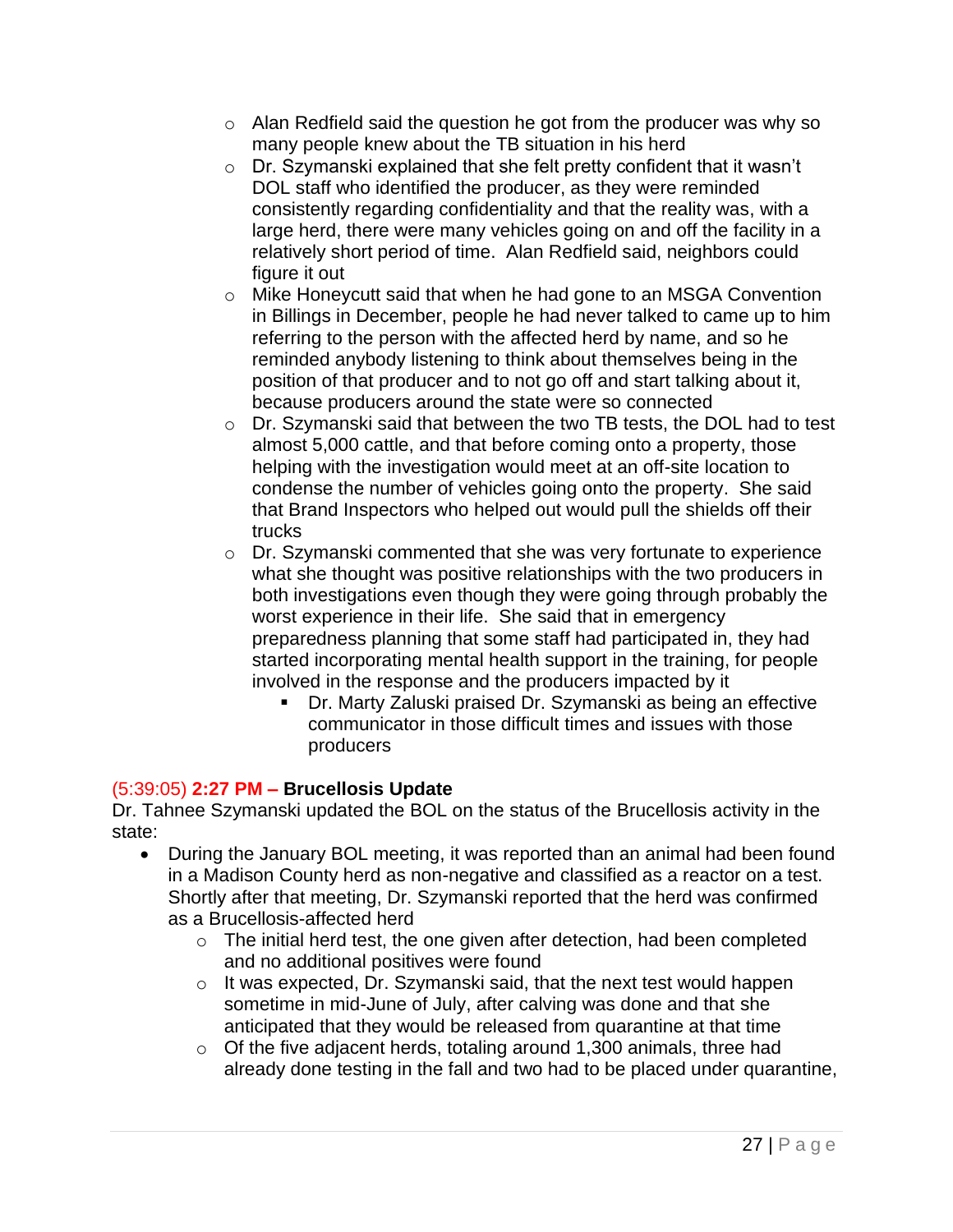- $\circ$  Alan Redfield said the question he got from the producer was why so many people knew about the TB situation in his herd
- o Dr. Szymanski explained that she felt pretty confident that it wasn't DOL staff who identified the producer, as they were reminded consistently regarding confidentiality and that the reality was, with a large herd, there were many vehicles going on and off the facility in a relatively short period of time. Alan Redfield said, neighbors could figure it out
- o Mike Honeycutt said that when he had gone to an MSGA Convention in Billings in December, people he had never talked to came up to him referring to the person with the affected herd by name, and so he reminded anybody listening to think about themselves being in the position of that producer and to not go off and start talking about it, because producers around the state were so connected
- o Dr. Szymanski said that between the two TB tests, the DOL had to test almost 5,000 cattle, and that before coming onto a property, those helping with the investigation would meet at an off-site location to condense the number of vehicles going onto the property. She said that Brand Inspectors who helped out would pull the shields off their trucks
- o Dr. Szymanski commented that she was very fortunate to experience what she thought was positive relationships with the two producers in both investigations even though they were going through probably the worst experience in their life. She said that in emergency preparedness planning that some staff had participated in, they had started incorporating mental health support in the training, for people involved in the response and the producers impacted by it
	- Dr. Marty Zaluski praised Dr. Szymanski as being an effective communicator in those difficult times and issues with those producers

## (5:39:05) **2:27 PM – Brucellosis Update**

Dr. Tahnee Szymanski updated the BOL on the status of the Brucellosis activity in the state:

- During the January BOL meeting, it was reported than an animal had been found in a Madison County herd as non-negative and classified as a reactor on a test. Shortly after that meeting, Dr. Szymanski reported that the herd was confirmed as a Brucellosis-affected herd
	- $\circ$  The initial herd test, the one given after detection, had been completed and no additional positives were found
	- o It was expected, Dr. Szymanski said, that the next test would happen sometime in mid-June of July, after calving was done and that she anticipated that they would be released from quarantine at that time
	- o Of the five adjacent herds, totaling around 1,300 animals, three had already done testing in the fall and two had to be placed under quarantine,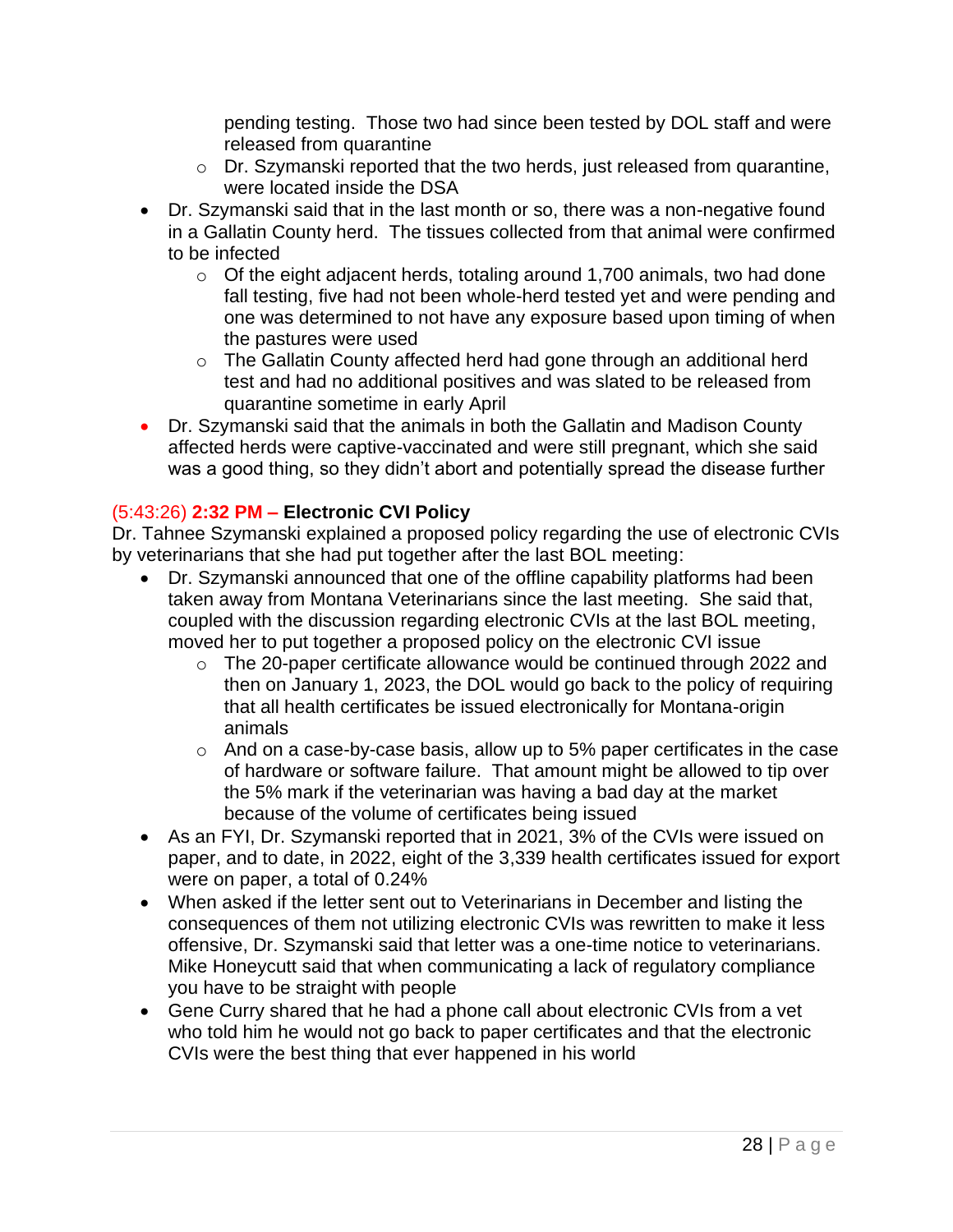pending testing. Those two had since been tested by DOL staff and were released from quarantine

- o Dr. Szymanski reported that the two herds, just released from quarantine, were located inside the DSA
- Dr. Szymanski said that in the last month or so, there was a non-negative found in a Gallatin County herd. The tissues collected from that animal were confirmed to be infected
	- $\circ$  Of the eight adjacent herds, totaling around 1,700 animals, two had done fall testing, five had not been whole-herd tested yet and were pending and one was determined to not have any exposure based upon timing of when the pastures were used
	- o The Gallatin County affected herd had gone through an additional herd test and had no additional positives and was slated to be released from quarantine sometime in early April
- Dr. Szymanski said that the animals in both the Gallatin and Madison County affected herds were captive-vaccinated and were still pregnant, which she said was a good thing, so they didn't abort and potentially spread the disease further

## (5:43:26) **2:32 PM – Electronic CVI Policy**

Dr. Tahnee Szymanski explained a proposed policy regarding the use of electronic CVIs by veterinarians that she had put together after the last BOL meeting:

- Dr. Szymanski announced that one of the offline capability platforms had been taken away from Montana Veterinarians since the last meeting. She said that, coupled with the discussion regarding electronic CVIs at the last BOL meeting, moved her to put together a proposed policy on the electronic CVI issue
	- o The 20-paper certificate allowance would be continued through 2022 and then on January 1, 2023, the DOL would go back to the policy of requiring that all health certificates be issued electronically for Montana-origin animals
	- o And on a case-by-case basis, allow up to 5% paper certificates in the case of hardware or software failure. That amount might be allowed to tip over the 5% mark if the veterinarian was having a bad day at the market because of the volume of certificates being issued
- As an FYI, Dr. Szymanski reported that in 2021, 3% of the CVIs were issued on paper, and to date, in 2022, eight of the 3,339 health certificates issued for export were on paper, a total of 0.24%
- When asked if the letter sent out to Veterinarians in December and listing the consequences of them not utilizing electronic CVIs was rewritten to make it less offensive, Dr. Szymanski said that letter was a one-time notice to veterinarians. Mike Honeycutt said that when communicating a lack of regulatory compliance you have to be straight with people
- Gene Curry shared that he had a phone call about electronic CVIs from a vet who told him he would not go back to paper certificates and that the electronic CVIs were the best thing that ever happened in his world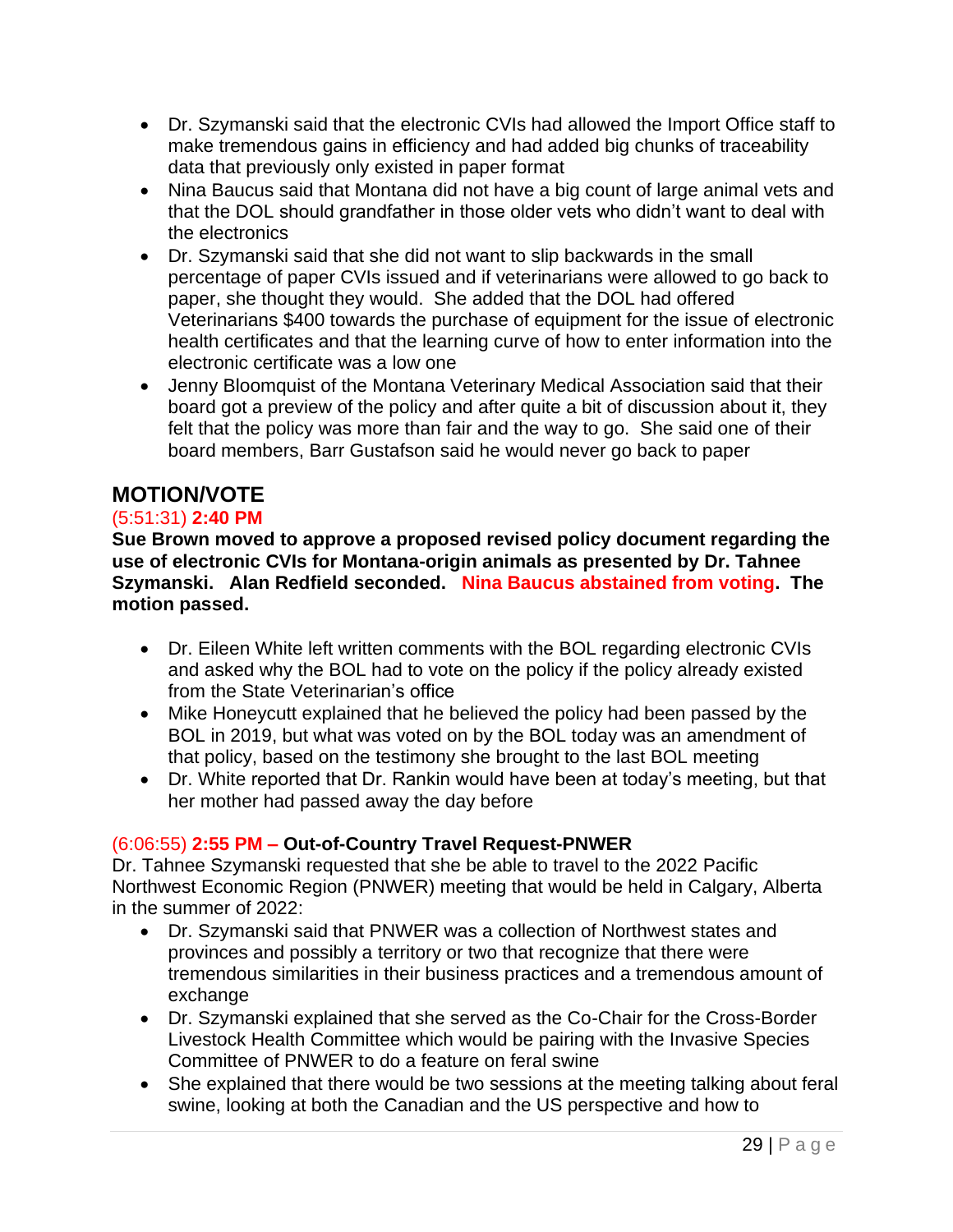- Dr. Szymanski said that the electronic CVIs had allowed the Import Office staff to make tremendous gains in efficiency and had added big chunks of traceability data that previously only existed in paper format
- Nina Baucus said that Montana did not have a big count of large animal vets and that the DOL should grandfather in those older vets who didn't want to deal with the electronics
- Dr. Szymanski said that she did not want to slip backwards in the small percentage of paper CVIs issued and if veterinarians were allowed to go back to paper, she thought they would. She added that the DOL had offered Veterinarians \$400 towards the purchase of equipment for the issue of electronic health certificates and that the learning curve of how to enter information into the electronic certificate was a low one
- Jenny Bloomquist of the Montana Veterinary Medical Association said that their board got a preview of the policy and after quite a bit of discussion about it, they felt that the policy was more than fair and the way to go. She said one of their board members, Barr Gustafson said he would never go back to paper

# **MOTION/VOTE**

#### (5:51:31) **2:40 PM**

**Sue Brown moved to approve a proposed revised policy document regarding the use of electronic CVIs for Montana-origin animals as presented by Dr. Tahnee Szymanski. Alan Redfield seconded. Nina Baucus abstained from voting. The motion passed.**

- Dr. Eileen White left written comments with the BOL regarding electronic CVIs and asked why the BOL had to vote on the policy if the policy already existed from the State Veterinarian's office
- Mike Honeycutt explained that he believed the policy had been passed by the BOL in 2019, but what was voted on by the BOL today was an amendment of that policy, based on the testimony she brought to the last BOL meeting
- Dr. White reported that Dr. Rankin would have been at today's meeting, but that her mother had passed away the day before

## (6:06:55) **2:55 PM – Out-of-Country Travel Request-PNWER**

Dr. Tahnee Szymanski requested that she be able to travel to the 2022 Pacific Northwest Economic Region (PNWER) meeting that would be held in Calgary, Alberta in the summer of 2022:

- Dr. Szymanski said that PNWER was a collection of Northwest states and provinces and possibly a territory or two that recognize that there were tremendous similarities in their business practices and a tremendous amount of exchange
- Dr. Szymanski explained that she served as the Co-Chair for the Cross-Border Livestock Health Committee which would be pairing with the Invasive Species Committee of PNWER to do a feature on feral swine
- She explained that there would be two sessions at the meeting talking about feral swine, looking at both the Canadian and the US perspective and how to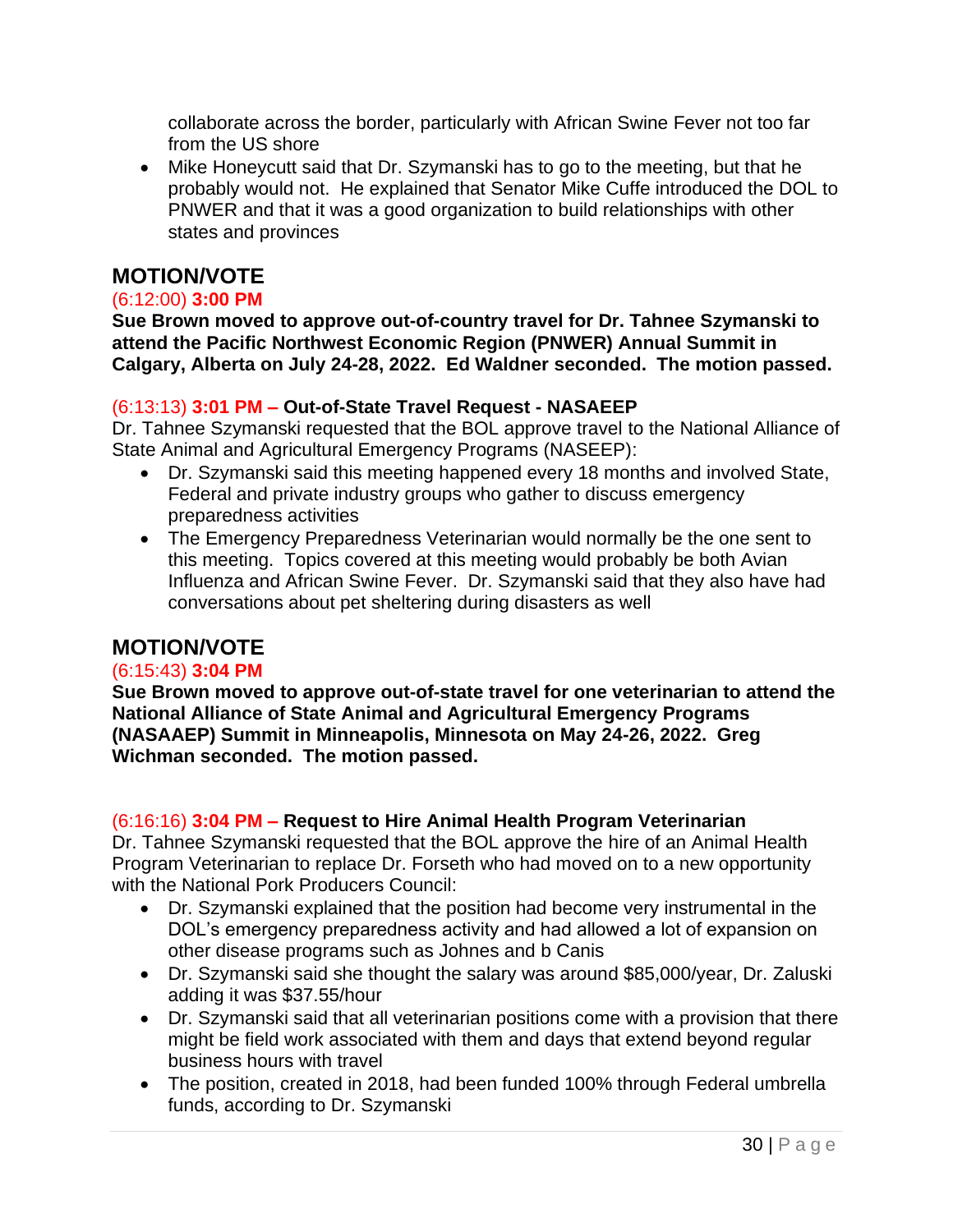collaborate across the border, particularly with African Swine Fever not too far from the US shore

• Mike Honeycutt said that Dr. Szymanski has to go to the meeting, but that he probably would not. He explained that Senator Mike Cuffe introduced the DOL to PNWER and that it was a good organization to build relationships with other states and provinces

# **MOTION/VOTE**

#### (6:12:00) **3:00 PM**

**Sue Brown moved to approve out-of-country travel for Dr. Tahnee Szymanski to attend the Pacific Northwest Economic Region (PNWER) Annual Summit in Calgary, Alberta on July 24-28, 2022. Ed Waldner seconded. The motion passed.**

#### (6:13:13) **3:01 PM – Out-of-State Travel Request - NASAEEP**

Dr. Tahnee Szymanski requested that the BOL approve travel to the National Alliance of State Animal and Agricultural Emergency Programs (NASEEP):

- Dr. Szymanski said this meeting happened every 18 months and involved State, Federal and private industry groups who gather to discuss emergency preparedness activities
- The Emergency Preparedness Veterinarian would normally be the one sent to this meeting. Topics covered at this meeting would probably be both Avian Influenza and African Swine Fever. Dr. Szymanski said that they also have had conversations about pet sheltering during disasters as well

## **MOTION/VOTE**

#### (6:15:43) **3:04 PM**

**Sue Brown moved to approve out-of-state travel for one veterinarian to attend the National Alliance of State Animal and Agricultural Emergency Programs (NASAAEP) Summit in Minneapolis, Minnesota on May 24-26, 2022. Greg Wichman seconded. The motion passed.**

#### (6:16:16) **3:04 PM – Request to Hire Animal Health Program Veterinarian**

Dr. Tahnee Szymanski requested that the BOL approve the hire of an Animal Health Program Veterinarian to replace Dr. Forseth who had moved on to a new opportunity with the National Pork Producers Council:

- Dr. Szymanski explained that the position had become very instrumental in the DOL's emergency preparedness activity and had allowed a lot of expansion on other disease programs such as Johnes and b Canis
- Dr. Szymanski said she thought the salary was around \$85,000/year, Dr. Zaluski adding it was \$37.55/hour
- Dr. Szymanski said that all veterinarian positions come with a provision that there might be field work associated with them and days that extend beyond regular business hours with travel
- The position, created in 2018, had been funded 100% through Federal umbrella funds, according to Dr. Szymanski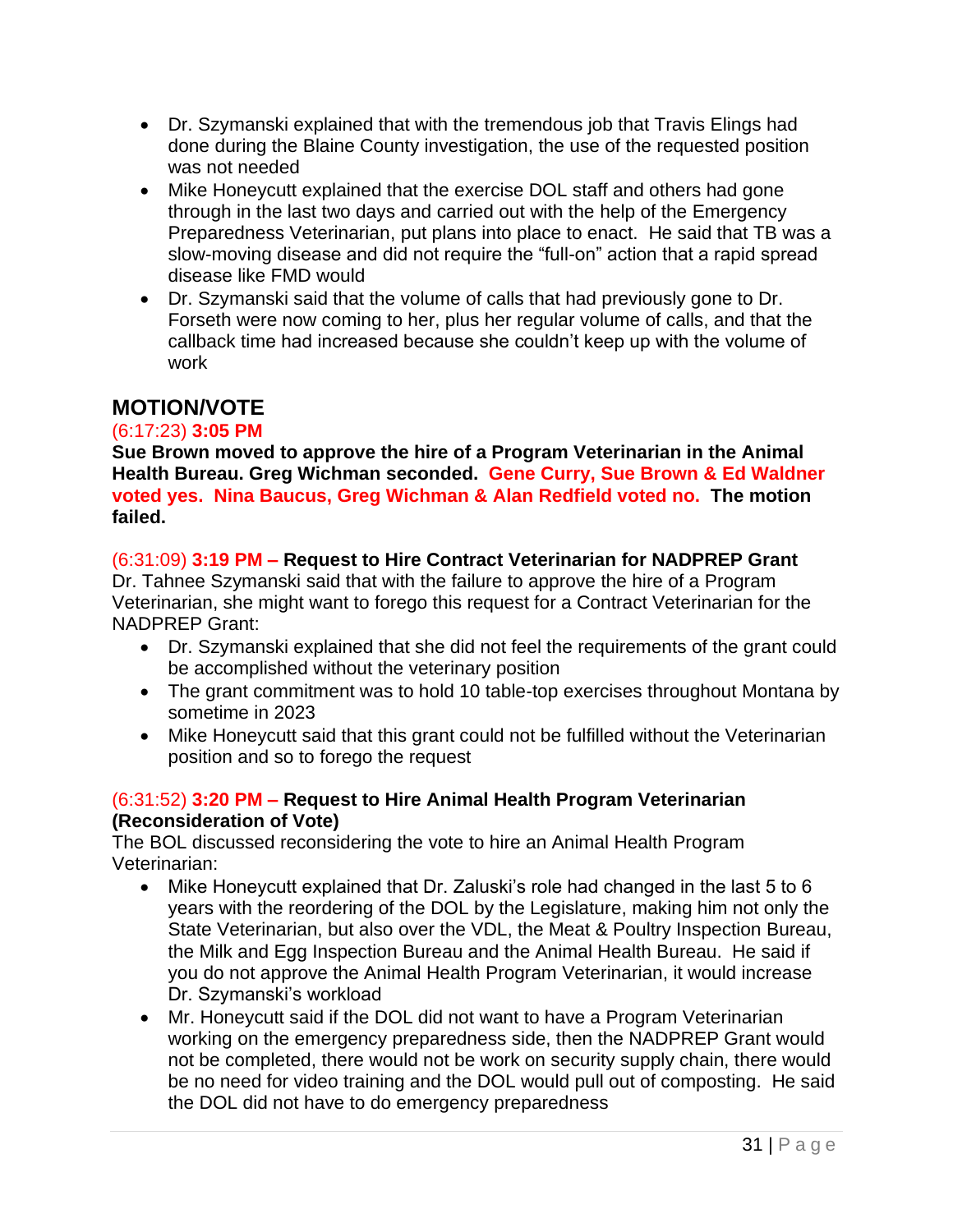- Dr. Szymanski explained that with the tremendous job that Travis Elings had done during the Blaine County investigation, the use of the requested position was not needed
- Mike Honeycutt explained that the exercise DOL staff and others had gone through in the last two days and carried out with the help of the Emergency Preparedness Veterinarian, put plans into place to enact. He said that TB was a slow-moving disease and did not require the "full-on" action that a rapid spread disease like FMD would
- Dr. Szymanski said that the volume of calls that had previously gone to Dr. Forseth were now coming to her, plus her regular volume of calls, and that the callback time had increased because she couldn't keep up with the volume of work

# **MOTION/VOTE**

## (6:17:23) **3:05 PM**

**Sue Brown moved to approve the hire of a Program Veterinarian in the Animal Health Bureau. Greg Wichman seconded. Gene Curry, Sue Brown & Ed Waldner voted yes. Nina Baucus, Greg Wichman & Alan Redfield voted no. The motion failed.**

## (6:31:09) **3:19 PM – Request to Hire Contract Veterinarian for NADPREP Grant**

Dr. Tahnee Szymanski said that with the failure to approve the hire of a Program Veterinarian, she might want to forego this request for a Contract Veterinarian for the NADPREP Grant:

- Dr. Szymanski explained that she did not feel the requirements of the grant could be accomplished without the veterinary position
- The grant commitment was to hold 10 table-top exercises throughout Montana by sometime in 2023
- Mike Honeycutt said that this grant could not be fulfilled without the Veterinarian position and so to forego the request

## (6:31:52) **3:20 PM – Request to Hire Animal Health Program Veterinarian (Reconsideration of Vote)**

The BOL discussed reconsidering the vote to hire an Animal Health Program Veterinarian:

- Mike Honeycutt explained that Dr. Zaluski's role had changed in the last 5 to 6 years with the reordering of the DOL by the Legislature, making him not only the State Veterinarian, but also over the VDL, the Meat & Poultry Inspection Bureau, the Milk and Egg Inspection Bureau and the Animal Health Bureau. He said if you do not approve the Animal Health Program Veterinarian, it would increase Dr. Szymanski's workload
- Mr. Honeycutt said if the DOL did not want to have a Program Veterinarian working on the emergency preparedness side, then the NADPREP Grant would not be completed, there would not be work on security supply chain, there would be no need for video training and the DOL would pull out of composting. He said the DOL did not have to do emergency preparedness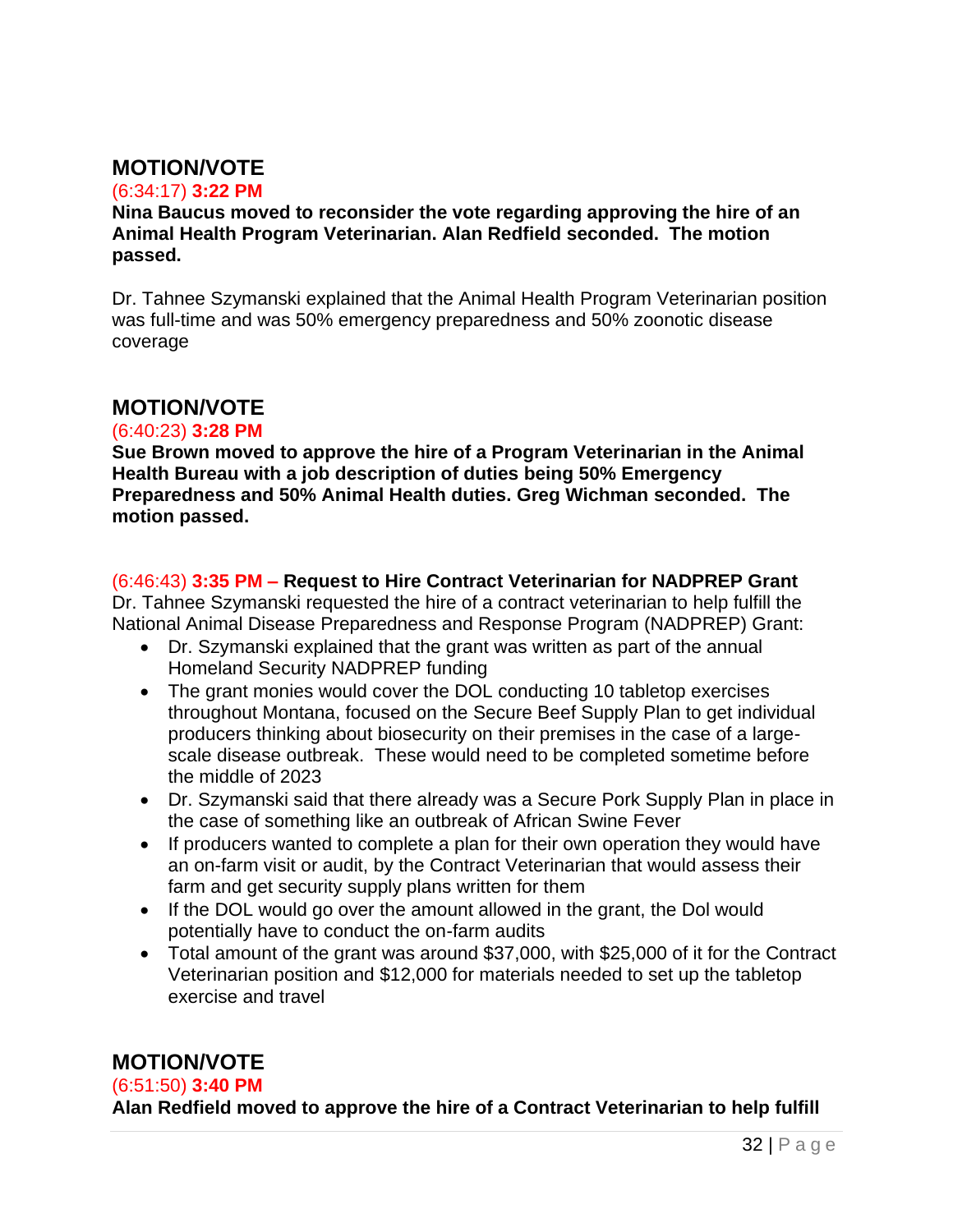# **MOTION/VOTE**

#### (6:34:17) **3:22 PM**

#### **Nina Baucus moved to reconsider the vote regarding approving the hire of an Animal Health Program Veterinarian. Alan Redfield seconded. The motion passed.**

Dr. Tahnee Szymanski explained that the Animal Health Program Veterinarian position was full-time and was 50% emergency preparedness and 50% zoonotic disease coverage

## **MOTION/VOTE**

#### (6:40:23) **3:28 PM**

**Sue Brown moved to approve the hire of a Program Veterinarian in the Animal Health Bureau with a job description of duties being 50% Emergency Preparedness and 50% Animal Health duties. Greg Wichman seconded. The motion passed.**

#### (6:46:43) **3:35 PM – Request to Hire Contract Veterinarian for NADPREP Grant**

Dr. Tahnee Szymanski requested the hire of a contract veterinarian to help fulfill the National Animal Disease Preparedness and Response Program (NADPREP) Grant:

- Dr. Szymanski explained that the grant was written as part of the annual Homeland Security NADPREP funding
- The grant monies would cover the DOL conducting 10 tabletop exercises throughout Montana, focused on the Secure Beef Supply Plan to get individual producers thinking about biosecurity on their premises in the case of a largescale disease outbreak. These would need to be completed sometime before the middle of 2023
- Dr. Szymanski said that there already was a Secure Pork Supply Plan in place in the case of something like an outbreak of African Swine Fever
- If producers wanted to complete a plan for their own operation they would have an on-farm visit or audit, by the Contract Veterinarian that would assess their farm and get security supply plans written for them
- If the DOL would go over the amount allowed in the grant, the Dol would potentially have to conduct the on-farm audits
- Total amount of the grant was around \$37,000, with \$25,000 of it for the Contract Veterinarian position and \$12,000 for materials needed to set up the tabletop exercise and travel

# **MOTION/VOTE**

#### (6:51:50) **3:40 PM**

**Alan Redfield moved to approve the hire of a Contract Veterinarian to help fulfill**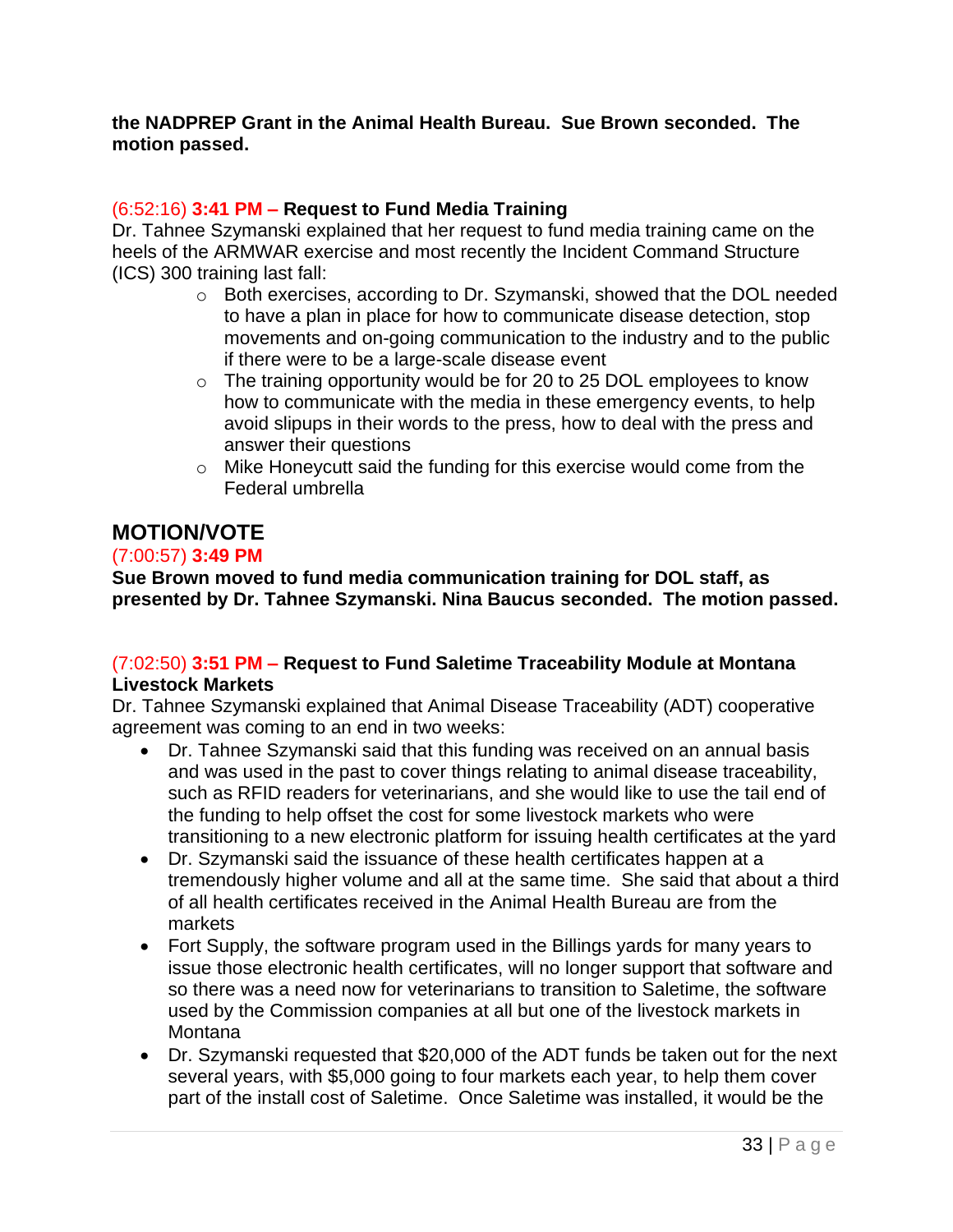#### **the NADPREP Grant in the Animal Health Bureau. Sue Brown seconded. The motion passed.**

#### (6:52:16) **3:41 PM – Request to Fund Media Training**

Dr. Tahnee Szymanski explained that her request to fund media training came on the heels of the ARMWAR exercise and most recently the Incident Command Structure (ICS) 300 training last fall:

- o Both exercises, according to Dr. Szymanski, showed that the DOL needed to have a plan in place for how to communicate disease detection, stop movements and on-going communication to the industry and to the public if there were to be a large-scale disease event
- o The training opportunity would be for 20 to 25 DOL employees to know how to communicate with the media in these emergency events, to help avoid slipups in their words to the press, how to deal with the press and answer their questions
- o Mike Honeycutt said the funding for this exercise would come from the Federal umbrella

# **MOTION/VOTE**

#### (7:00:57) **3:49 PM**

**Sue Brown moved to fund media communication training for DOL staff, as presented by Dr. Tahnee Szymanski. Nina Baucus seconded. The motion passed.**

#### (7:02:50) **3:51 PM – Request to Fund Saletime Traceability Module at Montana Livestock Markets**

Dr. Tahnee Szymanski explained that Animal Disease Traceability (ADT) cooperative agreement was coming to an end in two weeks:

- Dr. Tahnee Szymanski said that this funding was received on an annual basis and was used in the past to cover things relating to animal disease traceability, such as RFID readers for veterinarians, and she would like to use the tail end of the funding to help offset the cost for some livestock markets who were transitioning to a new electronic platform for issuing health certificates at the yard
- Dr. Szymanski said the issuance of these health certificates happen at a tremendously higher volume and all at the same time. She said that about a third of all health certificates received in the Animal Health Bureau are from the markets
- Fort Supply, the software program used in the Billings yards for many years to issue those electronic health certificates, will no longer support that software and so there was a need now for veterinarians to transition to Saletime, the software used by the Commission companies at all but one of the livestock markets in **Montana**
- Dr. Szymanski requested that \$20,000 of the ADT funds be taken out for the next several years, with \$5,000 going to four markets each year, to help them cover part of the install cost of Saletime. Once Saletime was installed, it would be the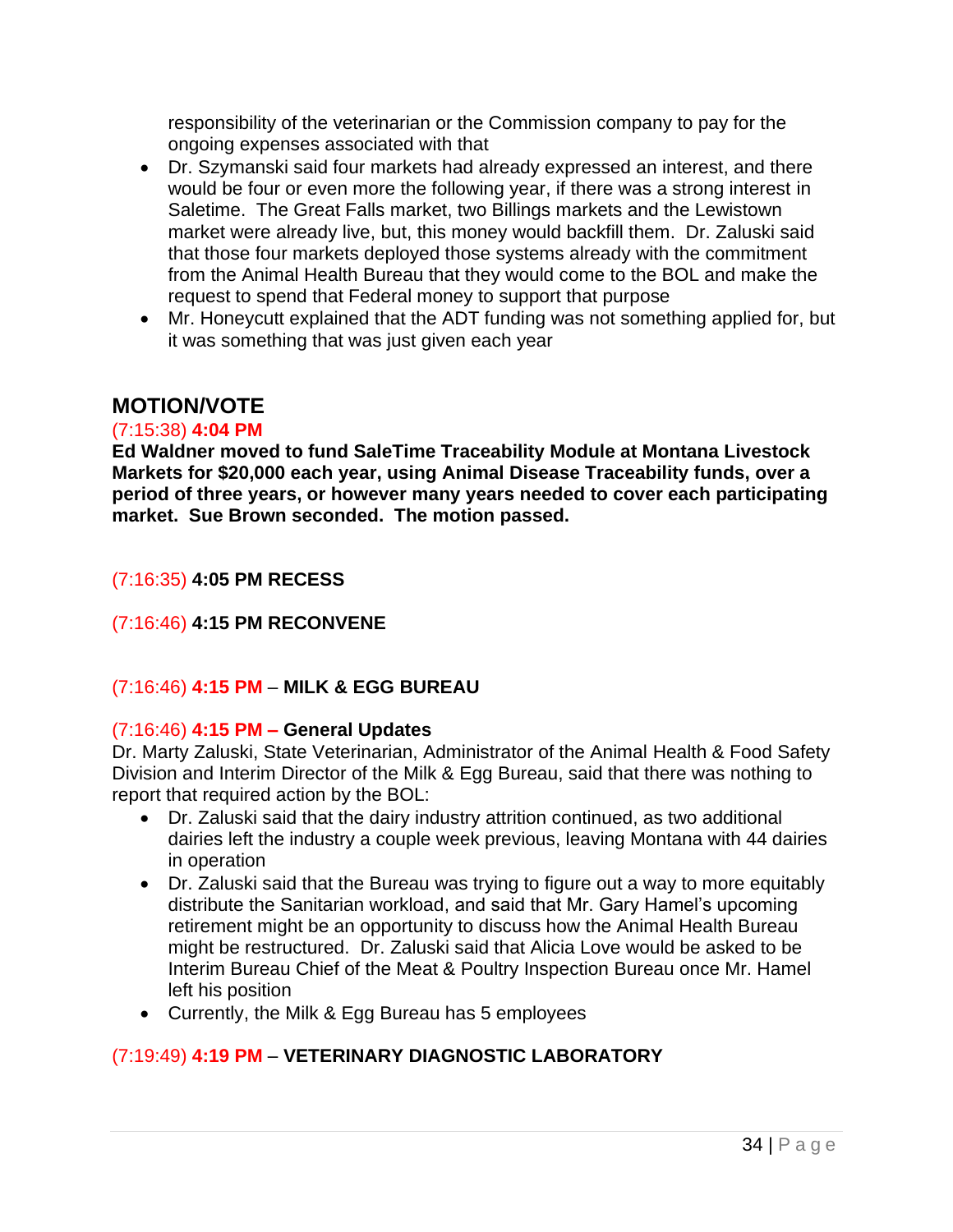responsibility of the veterinarian or the Commission company to pay for the ongoing expenses associated with that

- Dr. Szymanski said four markets had already expressed an interest, and there would be four or even more the following year, if there was a strong interest in Saletime. The Great Falls market, two Billings markets and the Lewistown market were already live, but, this money would backfill them. Dr. Zaluski said that those four markets deployed those systems already with the commitment from the Animal Health Bureau that they would come to the BOL and make the request to spend that Federal money to support that purpose
- Mr. Honeycutt explained that the ADT funding was not something applied for, but it was something that was just given each year

## **MOTION/VOTE**

#### (7:15:38) **4:04 PM**

**Ed Waldner moved to fund SaleTime Traceability Module at Montana Livestock Markets for \$20,000 each year, using Animal Disease Traceability funds, over a period of three years, or however many years needed to cover each participating market. Sue Brown seconded. The motion passed.**

#### (7:16:35) **4:05 PM RECESS**

## (7:16:46) **4:15 PM RECONVENE**

## (7:16:46) **4:15 PM** – **MILK & EGG BUREAU**

#### (7:16:46) **4:15 PM – General Updates**

Dr. Marty Zaluski, State Veterinarian, Administrator of the Animal Health & Food Safety Division and Interim Director of the Milk & Egg Bureau, said that there was nothing to report that required action by the BOL:

- Dr. Zaluski said that the dairy industry attrition continued, as two additional dairies left the industry a couple week previous, leaving Montana with 44 dairies in operation
- Dr. Zaluski said that the Bureau was trying to figure out a way to more equitably distribute the Sanitarian workload, and said that Mr. Gary Hamel's upcoming retirement might be an opportunity to discuss how the Animal Health Bureau might be restructured. Dr. Zaluski said that Alicia Love would be asked to be Interim Bureau Chief of the Meat & Poultry Inspection Bureau once Mr. Hamel left his position
- Currently, the Milk & Egg Bureau has 5 employees

## (7:19:49) **4:19 PM** – **VETERINARY DIAGNOSTIC LABORATORY**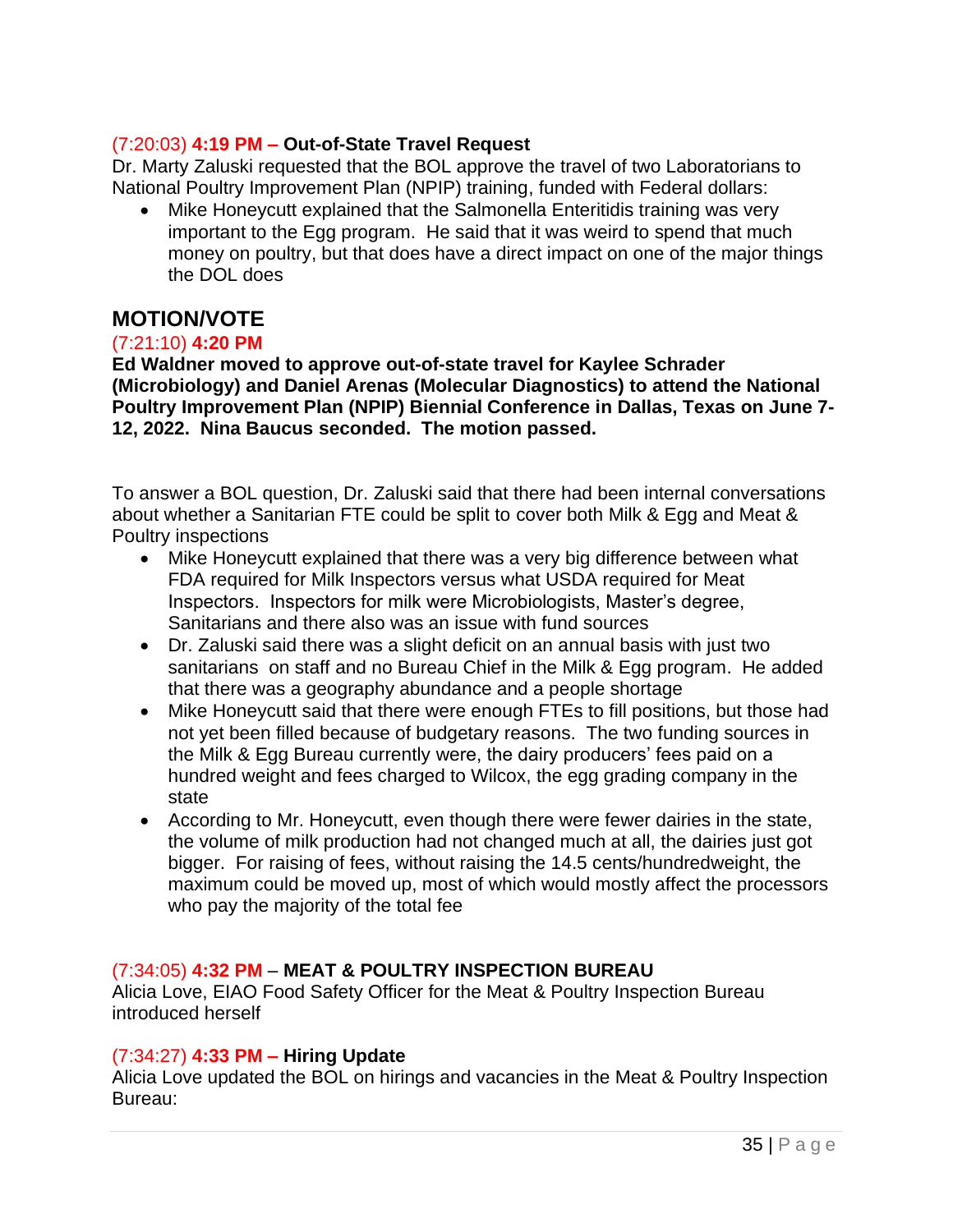#### (7:20:03) **4:19 PM – Out-of-State Travel Request**

Dr. Marty Zaluski requested that the BOL approve the travel of two Laboratorians to National Poultry Improvement Plan (NPIP) training, funded with Federal dollars:

• Mike Honeycutt explained that the Salmonella Enteritidis training was very important to the Egg program. He said that it was weird to spend that much money on poultry, but that does have a direct impact on one of the major things the DOL does

# **MOTION/VOTE**

#### (7:21:10) **4:20 PM**

**Ed Waldner moved to approve out-of-state travel for Kaylee Schrader (Microbiology) and Daniel Arenas (Molecular Diagnostics) to attend the National Poultry Improvement Plan (NPIP) Biennial Conference in Dallas, Texas on June 7- 12, 2022. Nina Baucus seconded. The motion passed.**

To answer a BOL question, Dr. Zaluski said that there had been internal conversations about whether a Sanitarian FTE could be split to cover both Milk & Egg and Meat & Poultry inspections

- Mike Honeycutt explained that there was a very big difference between what FDA required for Milk Inspectors versus what USDA required for Meat Inspectors. Inspectors for milk were Microbiologists, Master's degree, Sanitarians and there also was an issue with fund sources
- Dr. Zaluski said there was a slight deficit on an annual basis with just two sanitarians on staff and no Bureau Chief in the Milk & Egg program. He added that there was a geography abundance and a people shortage
- Mike Honeycutt said that there were enough FTEs to fill positions, but those had not yet been filled because of budgetary reasons. The two funding sources in the Milk & Egg Bureau currently were, the dairy producers' fees paid on a hundred weight and fees charged to Wilcox, the egg grading company in the state
- According to Mr. Honeycutt, even though there were fewer dairies in the state, the volume of milk production had not changed much at all, the dairies just got bigger. For raising of fees, without raising the 14.5 cents/hundredweight, the maximum could be moved up, most of which would mostly affect the processors who pay the majority of the total fee

#### (7:34:05) **4:32 PM** – **MEAT & POULTRY INSPECTION BUREAU**

Alicia Love, EIAO Food Safety Officer for the Meat & Poultry Inspection Bureau introduced herself

#### (7:34:27) **4:33 PM – Hiring Update**

Alicia Love updated the BOL on hirings and vacancies in the Meat & Poultry Inspection Bureau: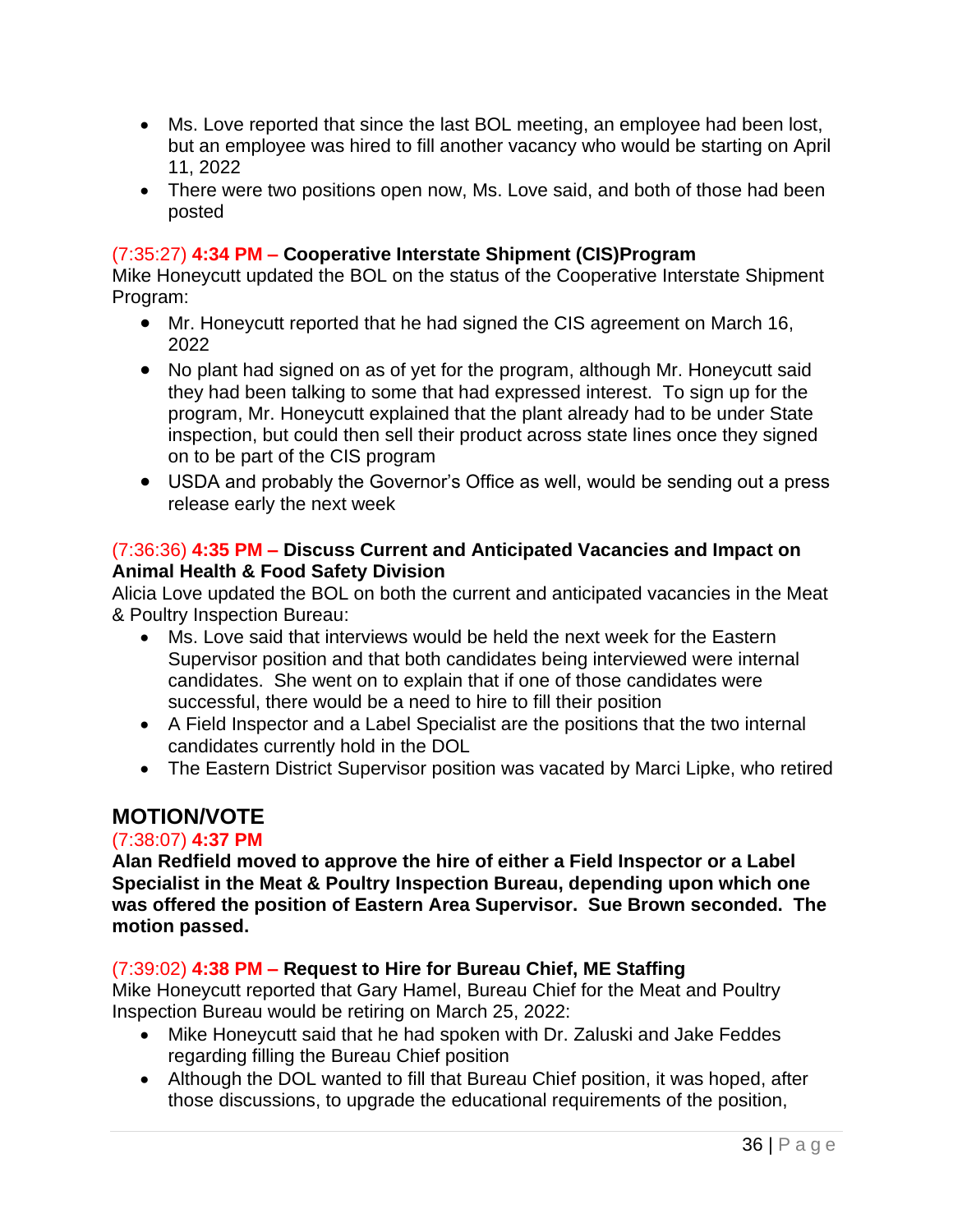- Ms. Love reported that since the last BOL meeting, an employee had been lost, but an employee was hired to fill another vacancy who would be starting on April 11, 2022
- There were two positions open now, Ms. Love said, and both of those had been posted

#### (7:35:27) **4:34 PM – Cooperative Interstate Shipment (CIS)Program**

Mike Honeycutt updated the BOL on the status of the Cooperative Interstate Shipment Program:

- Mr. Honeycutt reported that he had signed the CIS agreement on March 16, 2022
- No plant had signed on as of yet for the program, although Mr. Honeycutt said they had been talking to some that had expressed interest. To sign up for the program, Mr. Honeycutt explained that the plant already had to be under State inspection, but could then sell their product across state lines once they signed on to be part of the CIS program
- USDA and probably the Governor's Office as well, would be sending out a press release early the next week

#### (7:36:36) **4:35 PM – Discuss Current and Anticipated Vacancies and Impact on Animal Health & Food Safety Division**

Alicia Love updated the BOL on both the current and anticipated vacancies in the Meat & Poultry Inspection Bureau:

- Ms. Love said that interviews would be held the next week for the Eastern Supervisor position and that both candidates being interviewed were internal candidates. She went on to explain that if one of those candidates were successful, there would be a need to hire to fill their position
- A Field Inspector and a Label Specialist are the positions that the two internal candidates currently hold in the DOL
- The Eastern District Supervisor position was vacated by Marci Lipke, who retired

# **MOTION/VOTE**

#### (7:38:07) **4:37 PM**

**Alan Redfield moved to approve the hire of either a Field Inspector or a Label Specialist in the Meat & Poultry Inspection Bureau, depending upon which one was offered the position of Eastern Area Supervisor. Sue Brown seconded. The motion passed.**

## (7:39:02) **4:38 PM – Request to Hire for Bureau Chief, ME Staffing**

Mike Honeycutt reported that Gary Hamel, Bureau Chief for the Meat and Poultry Inspection Bureau would be retiring on March 25, 2022:

- Mike Honeycutt said that he had spoken with Dr. Zaluski and Jake Feddes regarding filling the Bureau Chief position
- Although the DOL wanted to fill that Bureau Chief position, it was hoped, after those discussions, to upgrade the educational requirements of the position,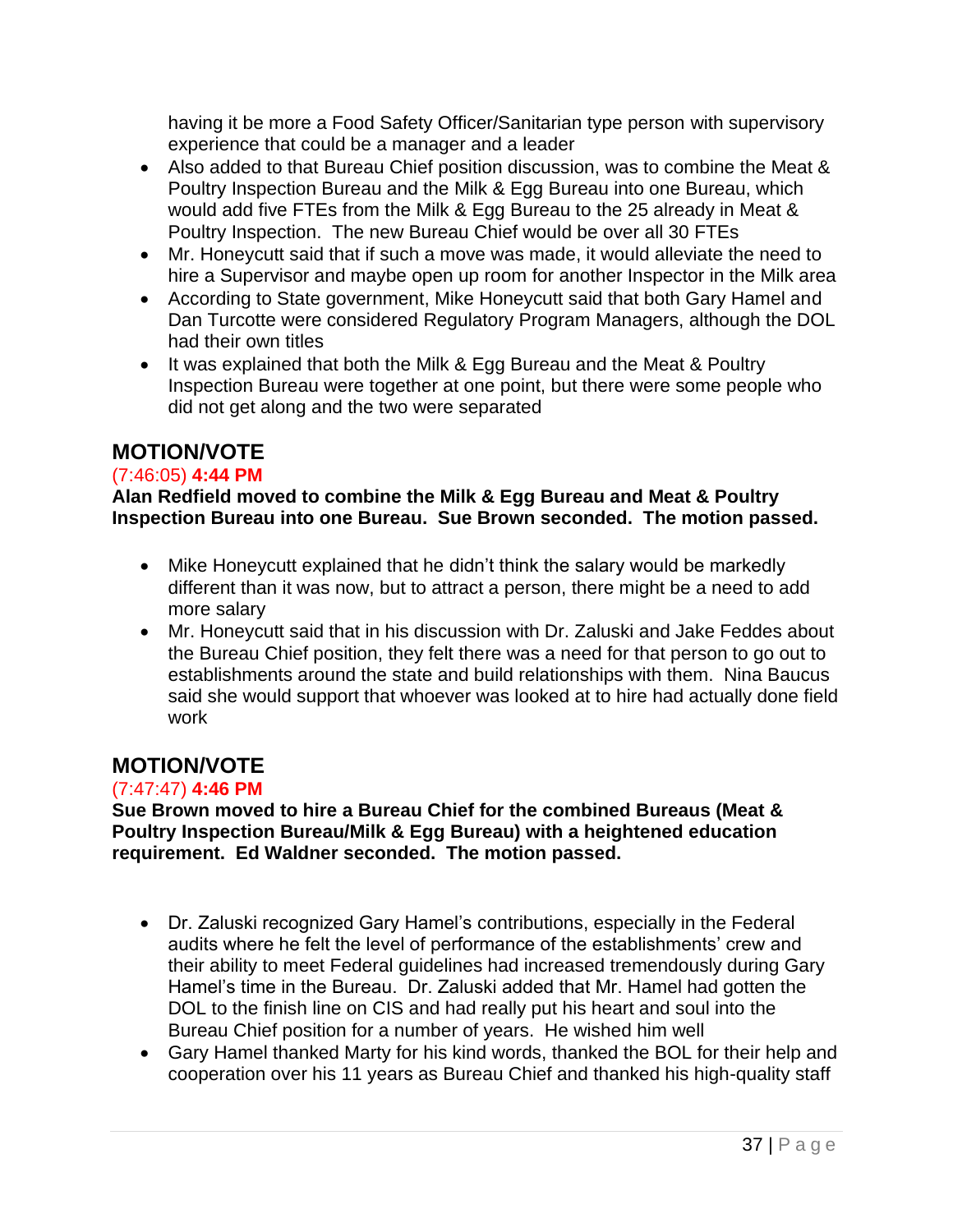having it be more a Food Safety Officer/Sanitarian type person with supervisory experience that could be a manager and a leader

- Also added to that Bureau Chief position discussion, was to combine the Meat & Poultry Inspection Bureau and the Milk & Egg Bureau into one Bureau, which would add five FTEs from the Milk & Egg Bureau to the 25 already in Meat & Poultry Inspection. The new Bureau Chief would be over all 30 FTEs
- Mr. Honeycutt said that if such a move was made, it would alleviate the need to hire a Supervisor and maybe open up room for another Inspector in the Milk area
- According to State government, Mike Honeycutt said that both Gary Hamel and Dan Turcotte were considered Regulatory Program Managers, although the DOL had their own titles
- It was explained that both the Milk & Egg Bureau and the Meat & Poultry Inspection Bureau were together at one point, but there were some people who did not get along and the two were separated

# **MOTION/VOTE**

## (7:46:05) **4:44 PM**

**Alan Redfield moved to combine the Milk & Egg Bureau and Meat & Poultry Inspection Bureau into one Bureau. Sue Brown seconded. The motion passed.**

- Mike Honeycutt explained that he didn't think the salary would be markedly different than it was now, but to attract a person, there might be a need to add more salary
- Mr. Honeycutt said that in his discussion with Dr. Zaluski and Jake Feddes about the Bureau Chief position, they felt there was a need for that person to go out to establishments around the state and build relationships with them. Nina Baucus said she would support that whoever was looked at to hire had actually done field work

# **MOTION/VOTE**

## (7:47:47) **4:46 PM**

**Sue Brown moved to hire a Bureau Chief for the combined Bureaus (Meat & Poultry Inspection Bureau/Milk & Egg Bureau) with a heightened education requirement. Ed Waldner seconded. The motion passed.** 

- Dr. Zaluski recognized Gary Hamel's contributions, especially in the Federal audits where he felt the level of performance of the establishments' crew and their ability to meet Federal guidelines had increased tremendously during Gary Hamel's time in the Bureau. Dr. Zaluski added that Mr. Hamel had gotten the DOL to the finish line on CIS and had really put his heart and soul into the Bureau Chief position for a number of years. He wished him well
- Gary Hamel thanked Marty for his kind words, thanked the BOL for their help and cooperation over his 11 years as Bureau Chief and thanked his high-quality staff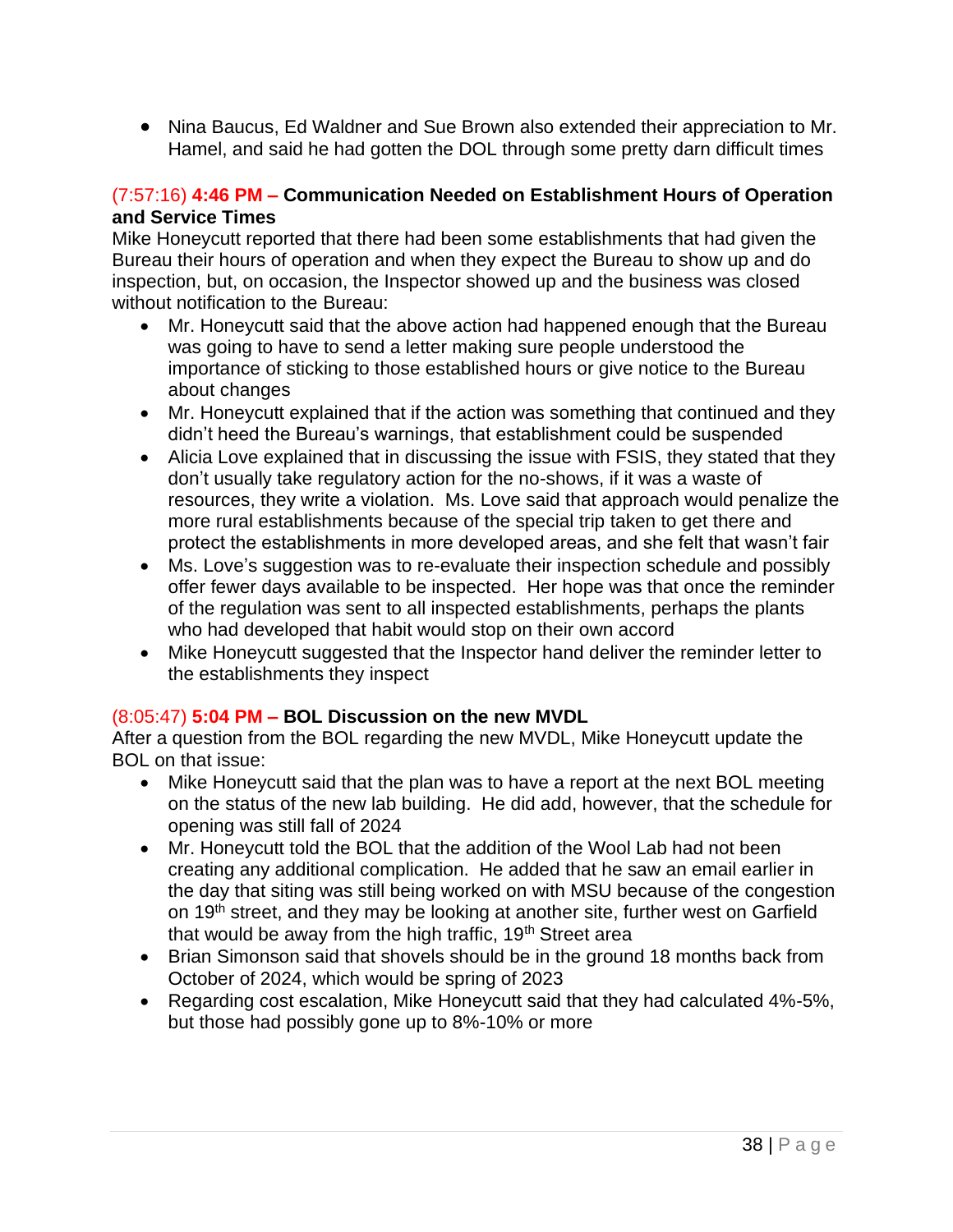• Nina Baucus, Ed Waldner and Sue Brown also extended their appreciation to Mr. Hamel, and said he had gotten the DOL through some pretty darn difficult times

#### (7:57:16) **4:46 PM – Communication Needed on Establishment Hours of Operation and Service Times**

Mike Honeycutt reported that there had been some establishments that had given the Bureau their hours of operation and when they expect the Bureau to show up and do inspection, but, on occasion, the Inspector showed up and the business was closed without notification to the Bureau:

- Mr. Honeycutt said that the above action had happened enough that the Bureau was going to have to send a letter making sure people understood the importance of sticking to those established hours or give notice to the Bureau about changes
- Mr. Honeycutt explained that if the action was something that continued and they didn't heed the Bureau's warnings, that establishment could be suspended
- Alicia Love explained that in discussing the issue with FSIS, they stated that they don't usually take regulatory action for the no-shows, if it was a waste of resources, they write a violation. Ms. Love said that approach would penalize the more rural establishments because of the special trip taken to get there and protect the establishments in more developed areas, and she felt that wasn't fair
- Ms. Love's suggestion was to re-evaluate their inspection schedule and possibly offer fewer days available to be inspected. Her hope was that once the reminder of the regulation was sent to all inspected establishments, perhaps the plants who had developed that habit would stop on their own accord
- Mike Honeycutt suggested that the Inspector hand deliver the reminder letter to the establishments they inspect

#### (8:05:47) **5:04 PM – BOL Discussion on the new MVDL**

After a question from the BOL regarding the new MVDL, Mike Honeycutt update the BOL on that issue:

- Mike Honeycutt said that the plan was to have a report at the next BOL meeting on the status of the new lab building. He did add, however, that the schedule for opening was still fall of 2024
- Mr. Honeycutt told the BOL that the addition of the Wool Lab had not been creating any additional complication. He added that he saw an email earlier in the day that siting was still being worked on with MSU because of the congestion on 19<sup>th</sup> street, and they may be looking at another site, further west on Garfield that would be away from the high traffic, 19<sup>th</sup> Street area
- Brian Simonson said that shovels should be in the ground 18 months back from October of 2024, which would be spring of 2023
- Regarding cost escalation, Mike Honeycutt said that they had calculated 4%-5%, but those had possibly gone up to 8%-10% or more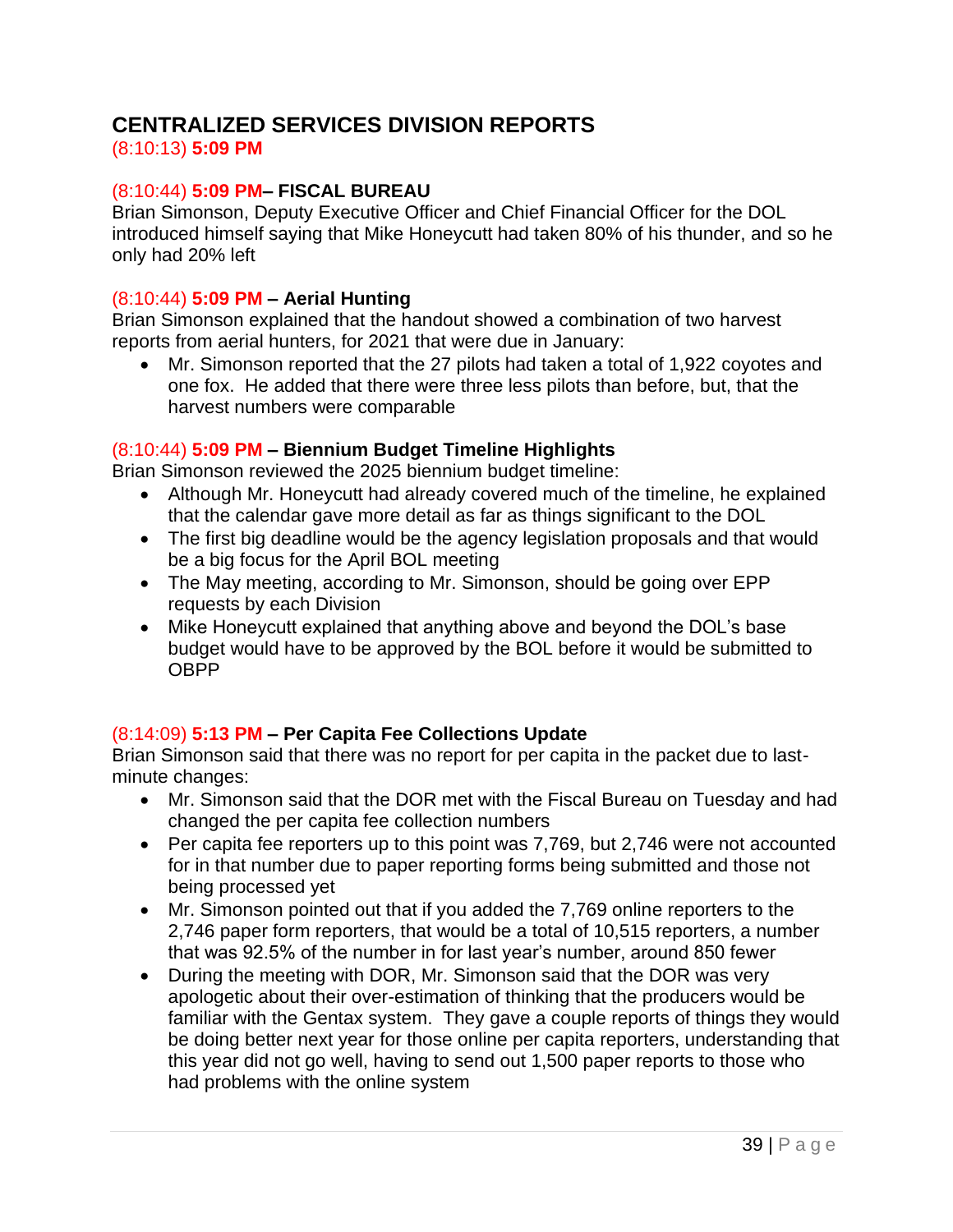# **CENTRALIZED SERVICES DIVISION REPORTS**

(8:10:13) **5:09 PM**

## (8:10:44) **5:09 PM– FISCAL BUREAU**

Brian Simonson, Deputy Executive Officer and Chief Financial Officer for the DOL introduced himself saying that Mike Honeycutt had taken 80% of his thunder, and so he only had 20% left

#### (8:10:44) **5:09 PM – Aerial Hunting**

Brian Simonson explained that the handout showed a combination of two harvest reports from aerial hunters, for 2021 that were due in January:

• Mr. Simonson reported that the 27 pilots had taken a total of 1,922 coyotes and one fox. He added that there were three less pilots than before, but, that the harvest numbers were comparable

## (8:10:44) **5:09 PM – Biennium Budget Timeline Highlights**

Brian Simonson reviewed the 2025 biennium budget timeline:

- Although Mr. Honeycutt had already covered much of the timeline, he explained that the calendar gave more detail as far as things significant to the DOL
- The first big deadline would be the agency legislation proposals and that would be a big focus for the April BOL meeting
- The May meeting, according to Mr. Simonson, should be going over EPP requests by each Division
- Mike Honeycutt explained that anything above and beyond the DOL's base budget would have to be approved by the BOL before it would be submitted to OBPP

## (8:14:09) **5:13 PM – Per Capita Fee Collections Update**

Brian Simonson said that there was no report for per capita in the packet due to lastminute changes:

- Mr. Simonson said that the DOR met with the Fiscal Bureau on Tuesday and had changed the per capita fee collection numbers
- Per capita fee reporters up to this point was 7,769, but 2,746 were not accounted for in that number due to paper reporting forms being submitted and those not being processed yet
- Mr. Simonson pointed out that if you added the 7,769 online reporters to the 2,746 paper form reporters, that would be a total of 10,515 reporters, a number that was 92.5% of the number in for last year's number, around 850 fewer
- During the meeting with DOR, Mr. Simonson said that the DOR was very apologetic about their over-estimation of thinking that the producers would be familiar with the Gentax system. They gave a couple reports of things they would be doing better next year for those online per capita reporters, understanding that this year did not go well, having to send out 1,500 paper reports to those who had problems with the online system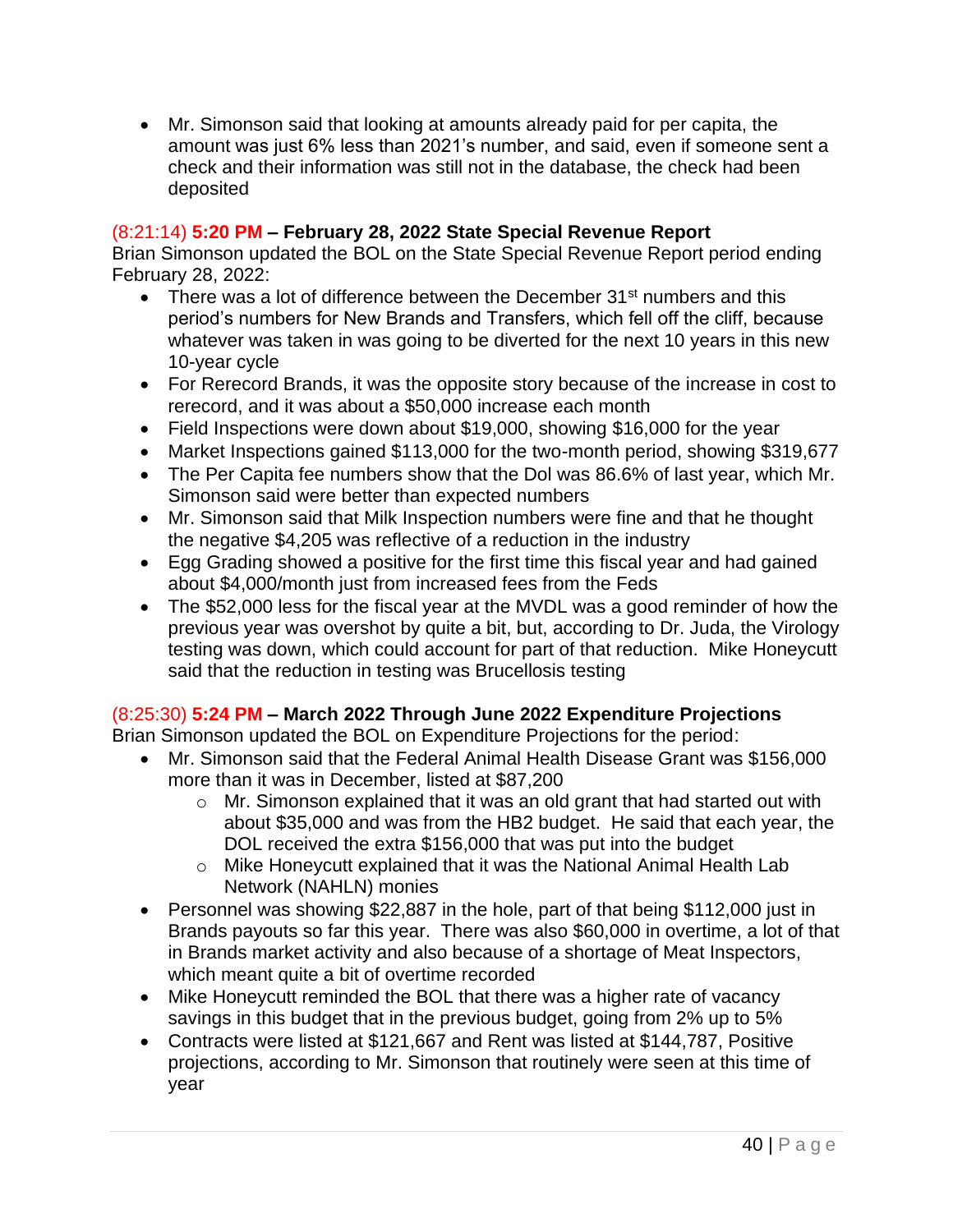• Mr. Simonson said that looking at amounts already paid for per capita, the amount was just 6% less than 2021's number, and said, even if someone sent a check and their information was still not in the database, the check had been deposited

## (8:21:14) **5:20 PM – February 28, 2022 State Special Revenue Report**

Brian Simonson updated the BOL on the State Special Revenue Report period ending February 28, 2022:

- There was a lot of difference between the December  $31<sup>st</sup>$  numbers and this period's numbers for New Brands and Transfers, which fell off the cliff, because whatever was taken in was going to be diverted for the next 10 years in this new 10-year cycle
- For Rerecord Brands, it was the opposite story because of the increase in cost to rerecord, and it was about a \$50,000 increase each month
- Field Inspections were down about \$19,000, showing \$16,000 for the year
- Market Inspections gained \$113,000 for the two-month period, showing \$319,677
- The Per Capita fee numbers show that the Dol was 86.6% of last year, which Mr. Simonson said were better than expected numbers
- Mr. Simonson said that Milk Inspection numbers were fine and that he thought the negative \$4,205 was reflective of a reduction in the industry
- Egg Grading showed a positive for the first time this fiscal year and had gained about \$4,000/month just from increased fees from the Feds
- The \$52,000 less for the fiscal year at the MVDL was a good reminder of how the previous year was overshot by quite a bit, but, according to Dr. Juda, the Virology testing was down, which could account for part of that reduction. Mike Honeycutt said that the reduction in testing was Brucellosis testing

## (8:25:30) **5:24 PM – March 2022 Through June 2022 Expenditure Projections**

Brian Simonson updated the BOL on Expenditure Projections for the period:

- Mr. Simonson said that the Federal Animal Health Disease Grant was \$156,000 more than it was in December, listed at \$87,200
	- o Mr. Simonson explained that it was an old grant that had started out with about \$35,000 and was from the HB2 budget. He said that each year, the DOL received the extra \$156,000 that was put into the budget
	- o Mike Honeycutt explained that it was the National Animal Health Lab Network (NAHLN) monies
- Personnel was showing \$22,887 in the hole, part of that being \$112,000 just in Brands payouts so far this year. There was also \$60,000 in overtime, a lot of that in Brands market activity and also because of a shortage of Meat Inspectors, which meant quite a bit of overtime recorded
- Mike Honeycutt reminded the BOL that there was a higher rate of vacancy savings in this budget that in the previous budget, going from 2% up to 5%
- Contracts were listed at \$121,667 and Rent was listed at \$144,787, Positive projections, according to Mr. Simonson that routinely were seen at this time of year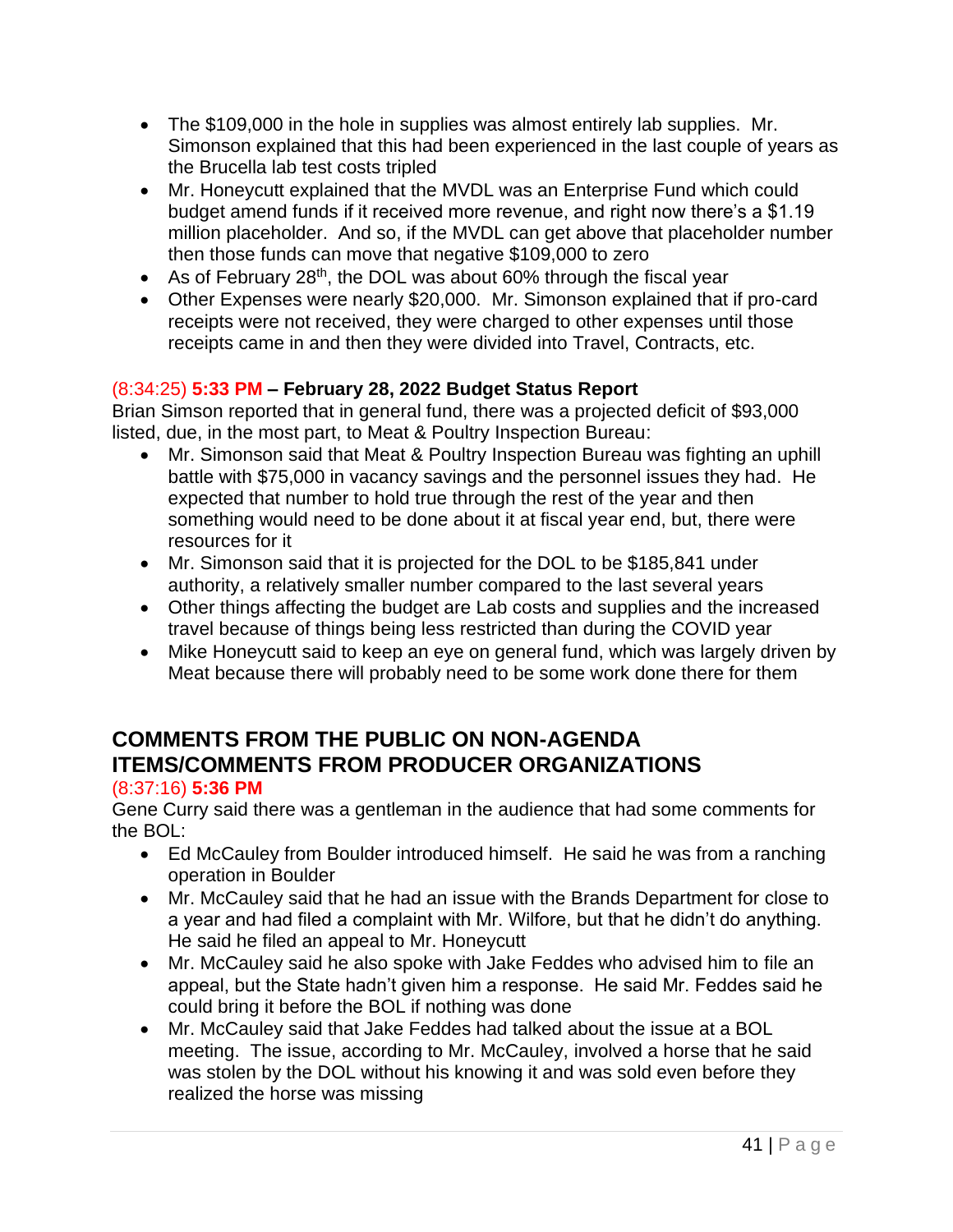- The \$109,000 in the hole in supplies was almost entirely lab supplies. Mr. Simonson explained that this had been experienced in the last couple of years as the Brucella lab test costs tripled
- Mr. Honeycutt explained that the MVDL was an Enterprise Fund which could budget amend funds if it received more revenue, and right now there's a \$1.19 million placeholder. And so, if the MVDL can get above that placeholder number then those funds can move that negative \$109,000 to zero
- As of February 28<sup>th</sup>, the DOL was about 60% through the fiscal year
- Other Expenses were nearly \$20,000. Mr. Simonson explained that if pro-card receipts were not received, they were charged to other expenses until those receipts came in and then they were divided into Travel, Contracts, etc.

## (8:34:25) **5:33 PM – February 28, 2022 Budget Status Report**

Brian Simson reported that in general fund, there was a projected deficit of \$93,000 listed, due, in the most part, to Meat & Poultry Inspection Bureau:

- Mr. Simonson said that Meat & Poultry Inspection Bureau was fighting an uphill battle with \$75,000 in vacancy savings and the personnel issues they had. He expected that number to hold true through the rest of the year and then something would need to be done about it at fiscal year end, but, there were resources for it
- Mr. Simonson said that it is projected for the DOL to be \$185,841 under authority, a relatively smaller number compared to the last several years
- Other things affecting the budget are Lab costs and supplies and the increased travel because of things being less restricted than during the COVID year
- Mike Honeycutt said to keep an eye on general fund, which was largely driven by Meat because there will probably need to be some work done there for them

# **COMMENTS FROM THE PUBLIC ON NON-AGENDA ITEMS/COMMENTS FROM PRODUCER ORGANIZATIONS**

#### (8:37:16) **5:36 PM**

Gene Curry said there was a gentleman in the audience that had some comments for the BOL:

- Ed McCauley from Boulder introduced himself. He said he was from a ranching operation in Boulder
- Mr. McCauley said that he had an issue with the Brands Department for close to a year and had filed a complaint with Mr. Wilfore, but that he didn't do anything. He said he filed an appeal to Mr. Honeycutt
- Mr. McCauley said he also spoke with Jake Feddes who advised him to file an appeal, but the State hadn't given him a response. He said Mr. Feddes said he could bring it before the BOL if nothing was done
- Mr. McCauley said that Jake Feddes had talked about the issue at a BOL meeting. The issue, according to Mr. McCauley, involved a horse that he said was stolen by the DOL without his knowing it and was sold even before they realized the horse was missing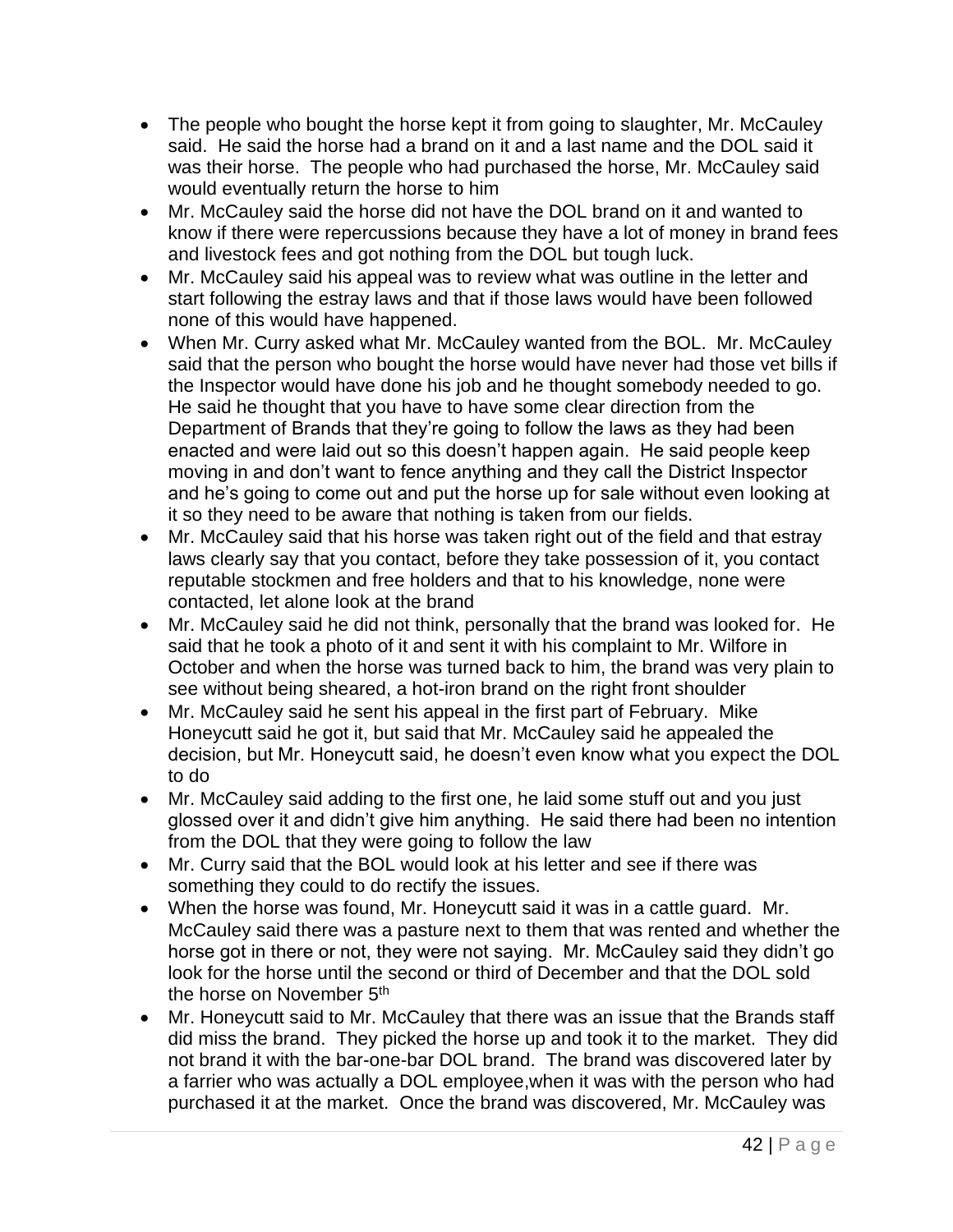- The people who bought the horse kept it from going to slaughter, Mr. McCauley said. He said the horse had a brand on it and a last name and the DOL said it was their horse. The people who had purchased the horse, Mr. McCauley said would eventually return the horse to him
- Mr. McCauley said the horse did not have the DOL brand on it and wanted to know if there were repercussions because they have a lot of money in brand fees and livestock fees and got nothing from the DOL but tough luck.
- Mr. McCauley said his appeal was to review what was outline in the letter and start following the estray laws and that if those laws would have been followed none of this would have happened.
- When Mr. Curry asked what Mr. McCauley wanted from the BOL. Mr. McCauley said that the person who bought the horse would have never had those vet bills if the Inspector would have done his job and he thought somebody needed to go. He said he thought that you have to have some clear direction from the Department of Brands that they're going to follow the laws as they had been enacted and were laid out so this doesn't happen again. He said people keep moving in and don't want to fence anything and they call the District Inspector and he's going to come out and put the horse up for sale without even looking at it so they need to be aware that nothing is taken from our fields.
- Mr. McCauley said that his horse was taken right out of the field and that estray laws clearly say that you contact, before they take possession of it, you contact reputable stockmen and free holders and that to his knowledge, none were contacted, let alone look at the brand
- Mr. McCauley said he did not think, personally that the brand was looked for. He said that he took a photo of it and sent it with his complaint to Mr. Wilfore in October and when the horse was turned back to him, the brand was very plain to see without being sheared, a hot-iron brand on the right front shoulder
- Mr. McCauley said he sent his appeal in the first part of February. Mike Honeycutt said he got it, but said that Mr. McCauley said he appealed the decision, but Mr. Honeycutt said, he doesn't even know what you expect the DOL to do
- Mr. McCauley said adding to the first one, he laid some stuff out and you just glossed over it and didn't give him anything. He said there had been no intention from the DOL that they were going to follow the law
- Mr. Curry said that the BOL would look at his letter and see if there was something they could to do rectify the issues.
- When the horse was found, Mr. Honeycutt said it was in a cattle guard. Mr. McCauley said there was a pasture next to them that was rented and whether the horse got in there or not, they were not saying. Mr. McCauley said they didn't go look for the horse until the second or third of December and that the DOL sold the horse on November 5<sup>th</sup>
- Mr. Honeycutt said to Mr. McCauley that there was an issue that the Brands staff did miss the brand. They picked the horse up and took it to the market. They did not brand it with the bar-one-bar DOL brand. The brand was discovered later by a farrier who was actually a DOL employee,when it was with the person who had purchased it at the market. Once the brand was discovered, Mr. McCauley was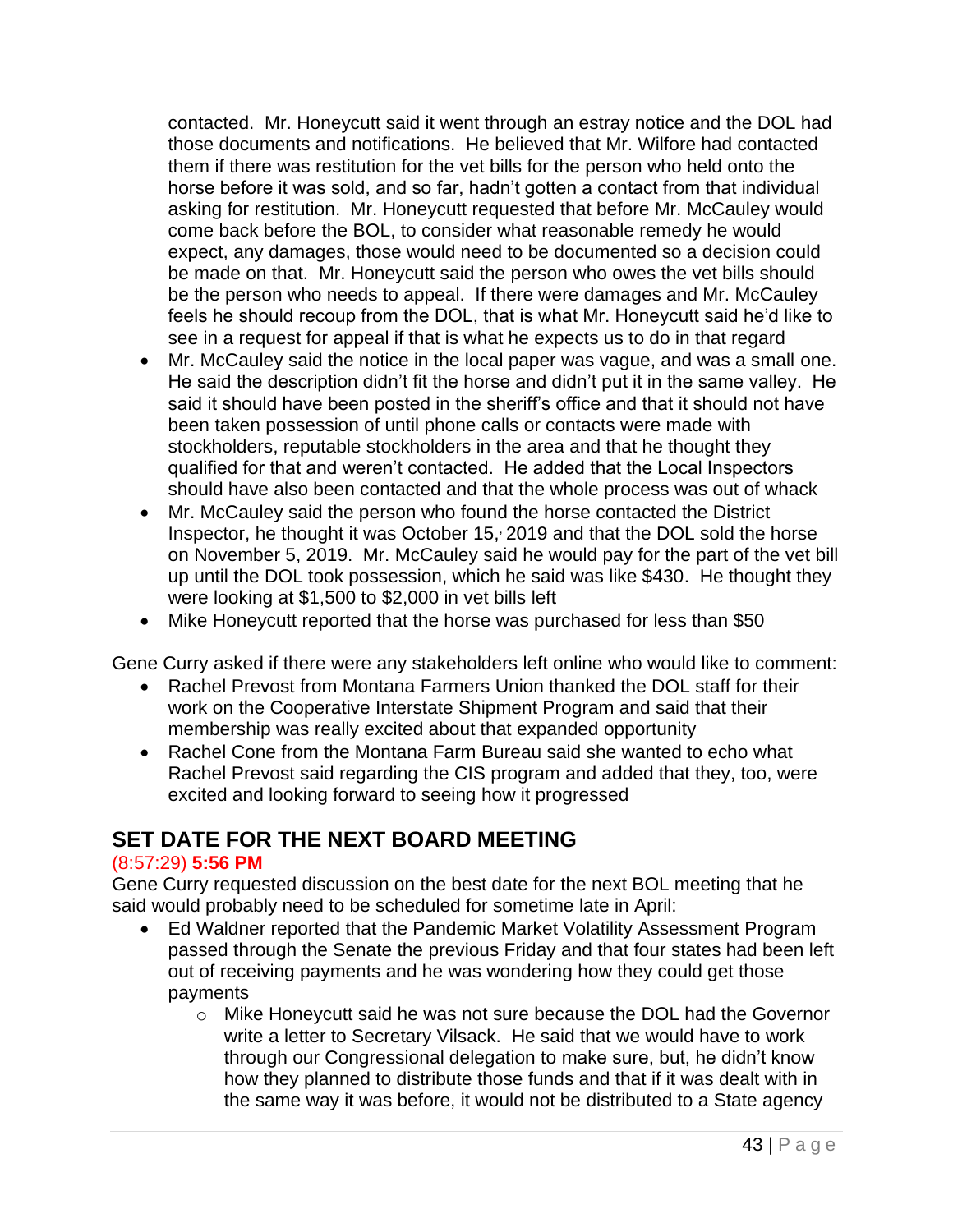contacted. Mr. Honeycutt said it went through an estray notice and the DOL had those documents and notifications. He believed that Mr. Wilfore had contacted them if there was restitution for the vet bills for the person who held onto the horse before it was sold, and so far, hadn't gotten a contact from that individual asking for restitution. Mr. Honeycutt requested that before Mr. McCauley would come back before the BOL, to consider what reasonable remedy he would expect, any damages, those would need to be documented so a decision could be made on that. Mr. Honeycutt said the person who owes the vet bills should be the person who needs to appeal. If there were damages and Mr. McCauley feels he should recoup from the DOL, that is what Mr. Honeycutt said he'd like to see in a request for appeal if that is what he expects us to do in that regard

- Mr. McCauley said the notice in the local paper was vague, and was a small one. He said the description didn't fit the horse and didn't put it in the same valley. He said it should have been posted in the sheriff's office and that it should not have been taken possession of until phone calls or contacts were made with stockholders, reputable stockholders in the area and that he thought they qualified for that and weren't contacted. He added that the Local Inspectors should have also been contacted and that the whole process was out of whack
- Mr. McCauley said the person who found the horse contacted the District Inspector, he thought it was October 15, , 2019 and that the DOL sold the horse on November 5, 2019. Mr. McCauley said he would pay for the part of the vet bill up until the DOL took possession, which he said was like \$430. He thought they were looking at \$1,500 to \$2,000 in vet bills left
- Mike Honeycutt reported that the horse was purchased for less than \$50

Gene Curry asked if there were any stakeholders left online who would like to comment:

- Rachel Prevost from Montana Farmers Union thanked the DOL staff for their work on the Cooperative Interstate Shipment Program and said that their membership was really excited about that expanded opportunity
- Rachel Cone from the Montana Farm Bureau said she wanted to echo what Rachel Prevost said regarding the CIS program and added that they, too, were excited and looking forward to seeing how it progressed

# **SET DATE FOR THE NEXT BOARD MEETING**

#### (8:57:29) **5:56 PM**

Gene Curry requested discussion on the best date for the next BOL meeting that he said would probably need to be scheduled for sometime late in April:

- Ed Waldner reported that the Pandemic Market Volatility Assessment Program passed through the Senate the previous Friday and that four states had been left out of receiving payments and he was wondering how they could get those payments
	- o Mike Honeycutt said he was not sure because the DOL had the Governor write a letter to Secretary Vilsack. He said that we would have to work through our Congressional delegation to make sure, but, he didn't know how they planned to distribute those funds and that if it was dealt with in the same way it was before, it would not be distributed to a State agency